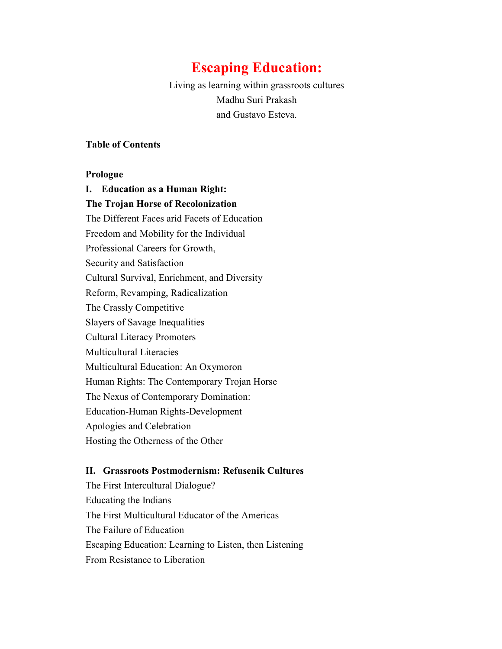# Escaping Education:

Living as learning within grassroots cultures Madhu Suri Prakash and Gustavo Esteva.

## Table of Contents

#### Prologue

I. Education as a Human Right: The Trojan Horse of Recolonization The Different Faces arid Facets of Education Freedom and Mobility for the Individual Professional Careers for Growth, Security and Satisfaction Cultural Survival, Enrichment, and Diversity Reform, Revamping, Radicalization The Crassly Competitive Slayers of Savage Inequalities Cultural Literacy Promoters Multicultural Literacies Multicultural Education: An Oxymoron Human Rights: The Contemporary Trojan Horse The Nexus of Contemporary Domination: Education-Human Rights-Development Apologies and Celebration Hosting the Otherness of the Other

## II. Grassroots Postmodernism: Refusenik Cultures

The First Intercultural Dialogue? Educating the Indians The First Multicultural Educator of the Americas The Failure of Education Escaping Education: Learning to Listen, then Listening From Resistance to Liberation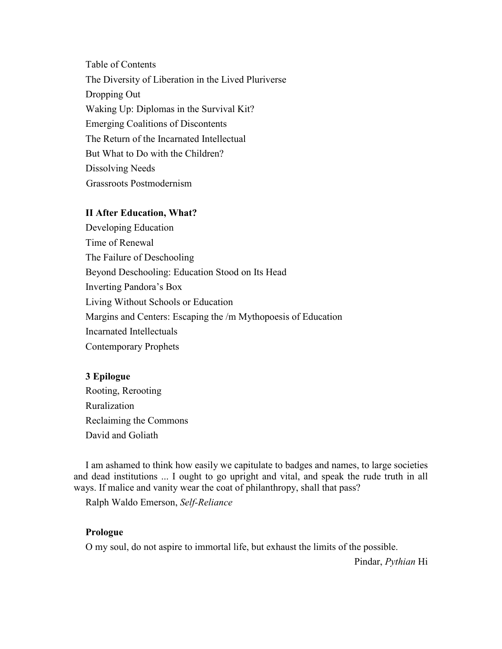Table of Contents The Diversity of Liberation in the Lived Pluriverse Dropping Out Waking Up: Diplomas in the Survival Kit? Emerging Coalitions of Discontents The Return of the Incarnated Intellectual But What to Do with the Children? Dissolving Needs Grassroots Postmodernism

## II After Education, What?

Developing Education Time of Renewal The Failure of Deschooling Beyond Deschooling: Education Stood on Its Head Inverting Pandora's Box Living Without Schools or Education Margins and Centers: Escaping the /m Mythopoesis of Education Incarnated Intellectuals Contemporary Prophets

## 3 Epilogue

Rooting, Rerooting Ruralization Reclaiming the Commons David and Goliath

I am ashamed to think how easily we capitulate to badges and names, to large societies and dead institutions ... I ought to go upright and vital, and speak the rude truth in all ways. If malice and vanity wear the coat of philanthropy, shall that pass?

Ralph Waldo Emerson, Self-Reliance

## Prologue

O my soul, do not aspire to immortal life, but exhaust the limits of the possible.

Pindar, Pythian Hi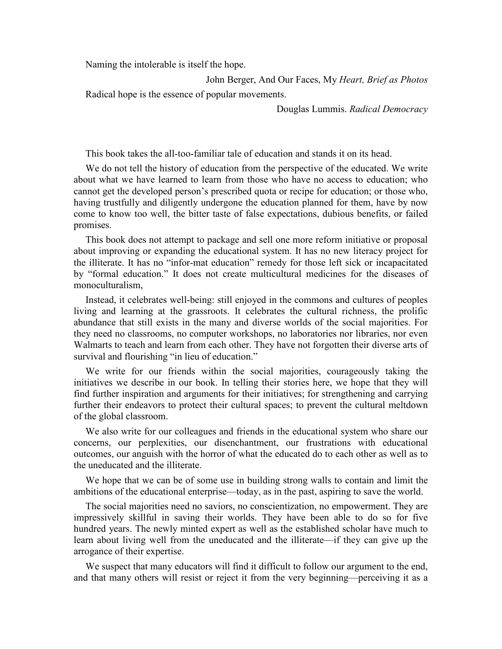Naming the intolerable is itself the hope.

John Berger, And Our Faces, My Heart, Brief as Photos Radical hope is the essence of popular movements.

Douglas Lummis. Radical Democracy

This book takes the all-too-familiar tale of education and stands it on its head.

We do not tell the history of education from the perspective of the educated. We write about what we have learned to learn from those who have no access to education; who cannot get the developed person's prescribed quota or recipe for education; or those who, having trustfully and diligently undergone the education planned for them, have by now come to know too well, the bitter taste of false expectations, dubious benefits, or failed promises.

This book does not attempt to package and sell one more reform initiative or proposal about improving or expanding the educational system. It has no new literacy project for the illiterate. It has no "infor-mat education" remedy for those left sick or incapacitated by "formal education." It does not create multicultural medicines for the diseases of monoculturalism,

Instead, it celebrates well-being: still enjoyed in the commons and cultures of peoples living and learning at the grassroots. It celebrates the cultural richness, the prolific abundance that still exists in the many and diverse worlds of the social majorities. For they need no classrooms, no computer workshops, no laboratories nor libraries, nor even Walmarts to teach and learn from each other. They have not forgotten their diverse arts of survival and flourishing "in lieu of education."

We write for our friends within the social majorities, courageously taking the initiatives we describe in our book. In telling their stories here, we hope that they will find further inspiration and arguments for their initiatives; for strengthening and carrying further their endeavors to protect their cultural spaces; to prevent the cultural meltdown of the global classroom.

We also write for our colleagues and friends in the educational system who share our concerns, our perplexities, our disenchantment, our frustrations with educational outcomes, our anguish with the horror of what the educated do to each other as well as to the uneducated and the illiterate.

We hope that we can be of some use in building strong walls to contain and limit the ambitions of the educational enterprise—today, as in the past, aspiring to save the world.

The social majorities need no saviors, no conscientization, no empowerment. They are impressively skillful in saving their worlds. They have been able to do so for five hundred years. The newly minted expert as well as the established scholar have much to learn about living well from the uneducated and the illiterate—if they can give up the arrogance of their expertise.

We suspect that many educators will find it difficult to follow our argument to the end, and that many others will resist or reject it from the very beginning—perceiving it as a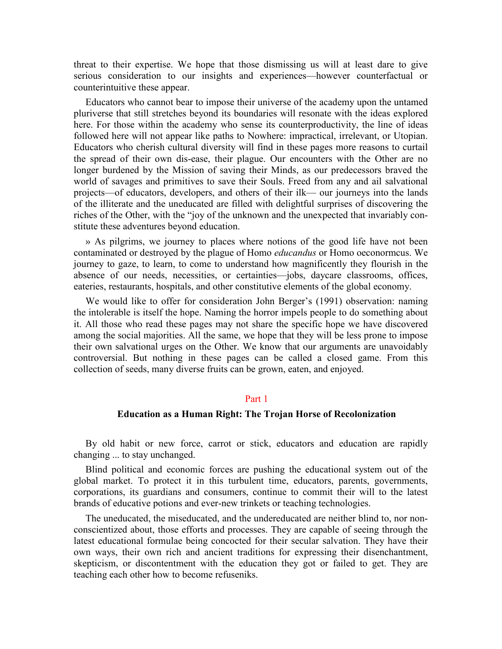threat to their expertise. We hope that those dismissing us will at least dare to give serious consideration to our insights and experiences—however counterfactual or counterintuitive these appear.

Educators who cannot bear to impose their universe of the academy upon the untamed pluriverse that still stretches beyond its boundaries will resonate with the ideas explored here. For those within the academy who sense its counterproductivity, the line of ideas followed here will not appear like paths to Nowhere: impractical, irrelevant, or Utopian. Educators who cherish cultural diversity will find in these pages more reasons to curtail the spread of their own dis-ease, their plague. Our encounters with the Other are no longer burdened by the Mission of saving their Minds, as our predecessors braved the world of savages and primitives to save their Souls. Freed from any and ail salvational projects—of educators, developers, and others of their ilk— our journeys into the lands of the illiterate and the uneducated are filled with delightful surprises of discovering the riches of the Other, with the "joy of the unknown and the unexpected that invariably constitute these adventures beyond education.

» As pilgrims, we journey to places where notions of the good life have not been contaminated or destroyed by the plague of Homo *educandus* or Homo oeconormcus. We journey to gaze, to learn, to come to understand how magnificently they flourish in the absence of our needs, necessities, or certainties—jobs, daycare classrooms, offices, eateries, restaurants, hospitals, and other constitutive elements of the global economy.

We would like to offer for consideration John Berger's (1991) observation: naming the intolerable is itself the hope. Naming the horror impels people to do something about it. All those who read these pages may not share the specific hope we have discovered among the social majorities. All the same, we hope that they will be less prone to impose their own salvational urges on the Other. We know that our arguments are unavoidably controversial. But nothing in these pages can be called a closed game. From this collection of seeds, many diverse fruits can be grown, eaten, and enjoyed.

#### Part 1

#### Education as a Human Right: The Trojan Horse of Recolonization

By old habit or new force, carrot or stick, educators and education are rapidly changing ... to stay unchanged.

Blind political and economic forces are pushing the educational system out of the global market. To protect it in this turbulent time, educators, parents, governments, corporations, its guardians and consumers, continue to commit their will to the latest brands of educative potions and ever-new trinkets or teaching technologies.

The uneducated, the miseducated, and the undereducated are neither blind to, nor nonconscientized about, those efforts and processes. They are capable of seeing through the latest educational formulae being concocted for their secular salvation. They have their own ways, their own rich and ancient traditions for expressing their disenchantment, skepticism, or discontentment with the education they got or failed to get. They are teaching each other how to become refuseniks.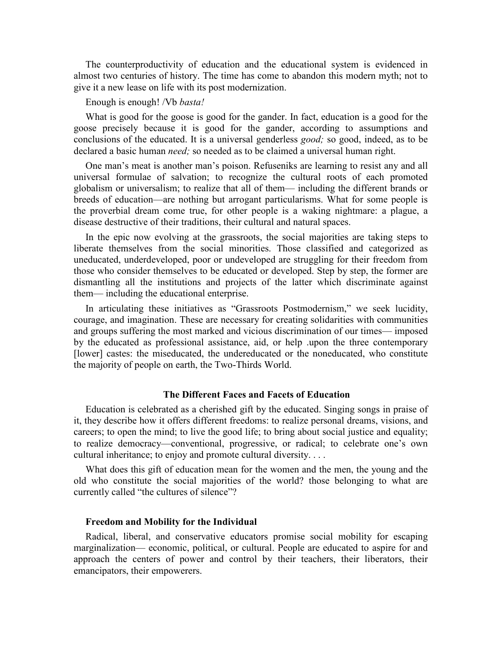The counterproductivity of education and the educational system is evidenced in almost two centuries of history. The time has come to abandon this modern myth; not to give it a new lease on life with its post modernization.

#### Enough is enough! /Vb *basta!*

What is good for the goose is good for the gander. In fact, education is a good for the goose precisely because it is good for the gander, according to assumptions and conclusions of the educated. It is a universal genderless *good*; so good, indeed, as to be declared a basic human *need*; so needed as to be claimed a universal human right.

One man's meat is another man's poison. Refuseniks are learning to resist any and all universal formulae of salvation; to recognize the cultural roots of each promoted globalism or universalism; to realize that all of them— including the different brands or breeds of education—are nothing but arrogant particularisms. What for some people is the proverbial dream come true, for other people is a waking nightmare: a plague, a disease destructive of their traditions, their cultural and natural spaces.

In the epic now evolving at the grassroots, the social majorities are taking steps to liberate themselves from the social minorities. Those classified and categorized as uneducated, underdeveloped, poor or undeveloped are struggling for their freedom from those who consider themselves to be educated or developed. Step by step, the former are dismantling all the institutions and projects of the latter which discriminate against them— including the educational enterprise.

In articulating these initiatives as "Grassroots Postmodernism," we seek lucidity, courage, and imagination. These are necessary for creating solidarities with communities and groups suffering the most marked and vicious discrimination of our times— imposed by the educated as professional assistance, aid, or help .upon the three contemporary [lower] castes: the miseducated, the undereducated or the noneducated, who constitute the majority of people on earth, the Two-Thirds World.

#### The Different Faces and Facets of Education

Education is celebrated as a cherished gift by the educated. Singing songs in praise of it, they describe how it offers different freedoms: to realize personal dreams, visions, and careers; to open the mind; to live the good life; to bring about social justice and equality; to realize democracy—conventional, progressive, or radical; to celebrate one's own cultural inheritance; to enjoy and promote cultural diversity. . . .

What does this gift of education mean for the women and the men, the young and the old who constitute the social majorities of the world? those belonging to what are currently called "the cultures of silence"?

#### Freedom and Mobility for the Individual

Radical, liberal, and conservative educators promise social mobility for escaping marginalization— economic, political, or cultural. People are educated to aspire for and approach the centers of power and control by their teachers, their liberators, their emancipators, their empowerers.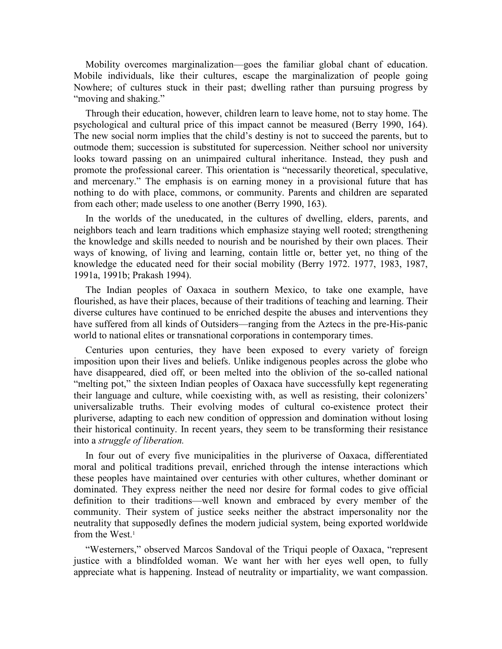Mobility overcomes marginalization—goes the familiar global chant of education. Mobile individuals, like their cultures, escape the marginalization of people going Nowhere; of cultures stuck in their past; dwelling rather than pursuing progress by "moving and shaking."

Through their education, however, children learn to leave home, not to stay home. The psychological and cultural price of this impact cannot be measured (Berry 1990, 164). The new social norm implies that the child's destiny is not to succeed the parents, but to outmode them; succession is substituted for supercession. Neither school nor university looks toward passing on an unimpaired cultural inheritance. Instead, they push and promote the professional career. This orientation is "necessarily theoretical, speculative, and mercenary." The emphasis is on earning money in a provisional future that has nothing to do with place, commons, or community. Parents and children are separated from each other; made useless to one another (Berry 1990, 163).

In the worlds of the uneducated, in the cultures of dwelling, elders, parents, and neighbors teach and learn traditions which emphasize staying well rooted; strengthening the knowledge and skills needed to nourish and be nourished by their own places. Their ways of knowing, of living and learning, contain little or, better yet, no thing of the knowledge the educated need for their social mobility (Berry 1972. 1977, 1983, 1987, 1991a, 1991b; Prakash 1994).

The Indian peoples of Oaxaca in southern Mexico, to take one example, have flourished, as have their places, because of their traditions of teaching and learning. Their diverse cultures have continued to be enriched despite the abuses and interventions they have suffered from all kinds of Outsiders—ranging from the Aztecs in the pre-His-panic world to national elites or transnational corporations in contemporary times.

Centuries upon centuries, they have been exposed to every variety of foreign imposition upon their lives and beliefs. Unlike indigenous peoples across the globe who have disappeared, died off, or been melted into the oblivion of the so-called national "melting pot," the sixteen Indian peoples of Oaxaca have successfully kept regenerating their language and culture, while coexisting with, as well as resisting, their colonizers' universalizable truths. Their evolving modes of cultural co-existence protect their pluriverse, adapting to each new condition of oppression and domination without losing their historical continuity. In recent years, they seem to be transforming their resistance into a struggle of liberation.

In four out of every five municipalities in the pluriverse of Oaxaca, differentiated moral and political traditions prevail, enriched through the intense interactions which these peoples have maintained over centuries with other cultures, whether dominant or dominated. They express neither the need nor desire for formal codes to give official definition to their traditions—well known and embraced by every member of the community. Their system of justice seeks neither the abstract impersonality nor the neutrality that supposedly defines the modern judicial system, being exported worldwide from the West $<sup>1</sup>$ </sup>

"Westerners," observed Marcos Sandoval of the Triqui people of Oaxaca, "represent justice with a blindfolded woman. We want her with her eyes well open, to fully appreciate what is happening. Instead of neutrality or impartiality, we want compassion.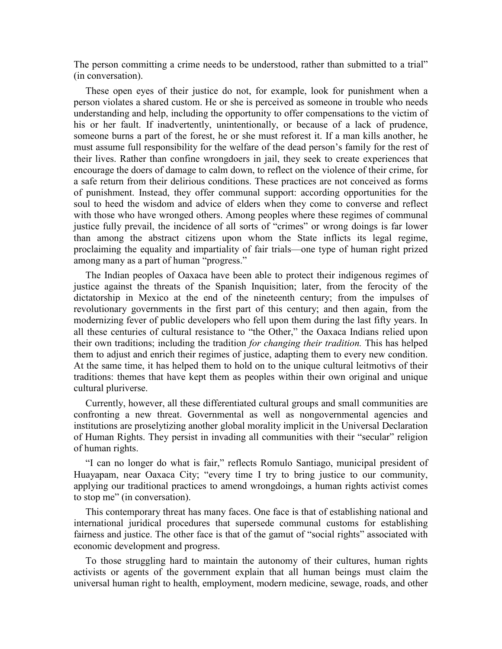The person committing a crime needs to be understood, rather than submitted to a trial" (in conversation).

These open eyes of their justice do not, for example, look for punishment when a person violates a shared custom. He or she is perceived as someone in trouble who needs understanding and help, including the opportunity to offer compensations to the victim of his or her fault. If inadvertently, unintentionally, or because of a lack of prudence, someone burns a part of the forest, he or she must reforest it. If a man kills another, he must assume full responsibility for the welfare of the dead person's family for the rest of their lives. Rather than confine wrongdoers in jail, they seek to create experiences that encourage the doers of damage to calm down, to reflect on the violence of their crime, for a safe return from their delirious conditions. These practices are not conceived as forms of punishment. Instead, they offer communal support: according opportunities for the soul to heed the wisdom and advice of elders when they come to converse and reflect with those who have wronged others. Among peoples where these regimes of communal justice fully prevail, the incidence of all sorts of "crimes" or wrong doings is far lower than among the abstract citizens upon whom the State inflicts its legal regime, proclaiming the equality and impartiality of fair trials—one type of human right prized among many as a part of human "progress."

The Indian peoples of Oaxaca have been able to protect their indigenous regimes of justice against the threats of the Spanish Inquisition; later, from the ferocity of the dictatorship in Mexico at the end of the nineteenth century; from the impulses of revolutionary governments in the first part of this century; and then again, from the modernizing fever of public developers who fell upon them during the last fifty years. In all these centuries of cultural resistance to "the Other," the Oaxaca Indians relied upon their own traditions; including the tradition *for changing their tradition*. This has helped them to adjust and enrich their regimes of justice, adapting them to every new condition. At the same time, it has helped them to hold on to the unique cultural leitmotivs of their traditions: themes that have kept them as peoples within their own original and unique cultural pluriverse.

Currently, however, all these differentiated cultural groups and small communities are confronting a new threat. Governmental as well as nongovernmental agencies and institutions are proselytizing another global morality implicit in the Universal Declaration of Human Rights. They persist in invading all communities with their "secular" religion of human rights.

"I can no longer do what is fair," reflects Romulo Santiago, municipal president of Huayapam, near Oaxaca City; "every time I try to bring justice to our community, applying our traditional practices to amend wrongdoings, a human rights activist comes to stop me" (in conversation).

This contemporary threat has many faces. One face is that of establishing national and international juridical procedures that supersede communal customs for establishing fairness and justice. The other face is that of the gamut of "social rights" associated with economic development and progress.

To those struggling hard to maintain the autonomy of their cultures, human rights activists or agents of the government explain that all human beings must claim the universal human right to health, employment, modern medicine, sewage, roads, and other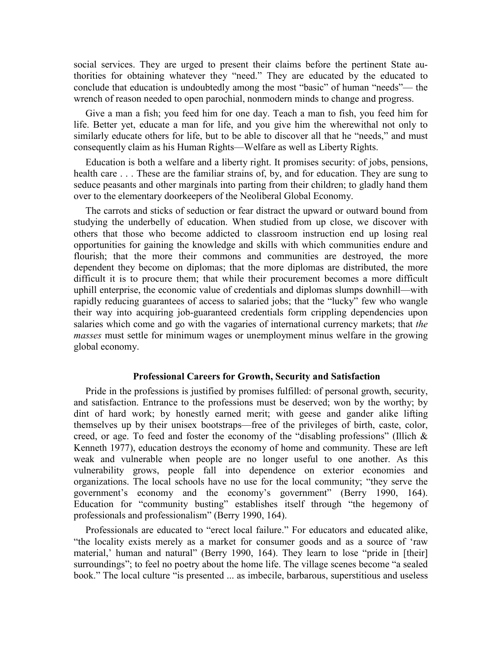social services. They are urged to present their claims before the pertinent State authorities for obtaining whatever they "need." They are educated by the educated to conclude that education is undoubtedly among the most "basic" of human "needs"— the wrench of reason needed to open parochial, nonmodern minds to change and progress.

Give a man a fish; you feed him for one day. Teach a man to fish, you feed him for life. Better yet, educate a man for life, and you give him the wherewithal not only to similarly educate others for life, but to be able to discover all that he "needs," and must consequently claim as his Human Rights—Welfare as well as Liberty Rights.

Education is both a welfare and a liberty right. It promises security: of jobs, pensions, health care . . . These are the familiar strains of, by, and for education. They are sung to seduce peasants and other marginals into parting from their children; to gladly hand them over to the elementary doorkeepers of the Neoliberal Global Economy.

The carrots and sticks of seduction or fear distract the upward or outward bound from studying the underbelly of education. When studied from up close, we discover with others that those who become addicted to classroom instruction end up losing real opportunities for gaining the knowledge and skills with which communities endure and flourish; that the more their commons and communities are destroyed, the more dependent they become on diplomas; that the more diplomas are distributed, the more difficult it is to procure them; that while their procurement becomes a more difficult uphill enterprise, the economic value of credentials and diplomas slumps downhill—with rapidly reducing guarantees of access to salaried jobs; that the "lucky" few who wangle their way into acquiring job-guaranteed credentials form crippling dependencies upon salaries which come and go with the vagaries of international currency markets; that the masses must settle for minimum wages or unemployment minus welfare in the growing global economy.

#### Professional Careers for Growth, Security and Satisfaction

Pride in the professions is justified by promises fulfilled: of personal growth, security, and satisfaction. Entrance to the professions must be deserved; won by the worthy; by dint of hard work; by honestly earned merit; with geese and gander alike lifting themselves up by their unisex bootstraps—free of the privileges of birth, caste, color, creed, or age. To feed and foster the economy of the "disabling professions" (Illich  $\&$ Kenneth 1977), education destroys the economy of home and community. These are left weak and vulnerable when people are no longer useful to one another. As this vulnerability grows, people fall into dependence on exterior economies and organizations. The local schools have no use for the local community; "they serve the government's economy and the economy's government" (Berry 1990, 164). Education for "community busting" establishes itself through "the hegemony of professionals and professionalism" (Berry 1990, 164).

Professionals are educated to "erect local failure." For educators and educated alike, "the locality exists merely as a market for consumer goods and as a source of 'raw material,' human and natural" (Berry 1990, 164). They learn to lose "pride in [their] surroundings"; to feel no poetry about the home life. The village scenes become "a sealed book." The local culture "is presented ... as imbecile, barbarous, superstitious and useless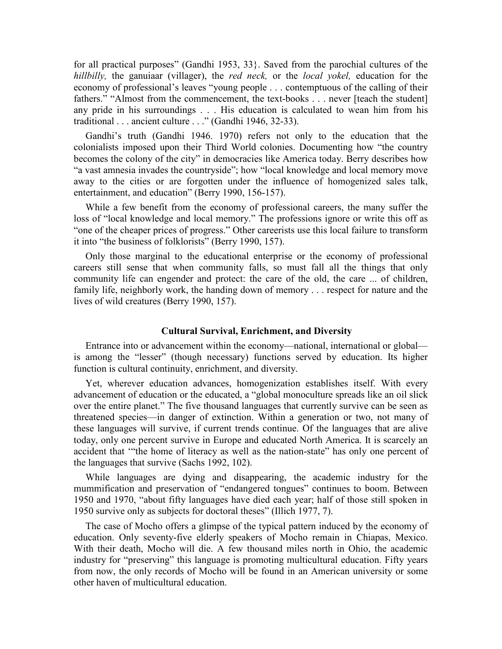for all practical purposes" (Gandhi 1953, 33}. Saved from the parochial cultures of the hillbilly, the ganuiaar (villager), the *red neck*, or the *local yokel*, education for the economy of professional's leaves "young people . . . contemptuous of the calling of their fathers." "Almost from the commencement, the text-books . . . never [teach the student] any pride in his surroundings . . . His education is calculated to wean him from his traditional . . . ancient culture . . ." (Gandhi 1946, 32-33).

Gandhi's truth (Gandhi 1946. 1970) refers not only to the education that the colonialists imposed upon their Third World colonies. Documenting how "the country becomes the colony of the city" in democracies like America today. Berry describes how "a vast amnesia invades the countryside"; how "local knowledge and local memory move away to the cities or are forgotten under the influence of homogenized sales talk, entertainment, and education" (Berry 1990, 156-157).

While a few benefit from the economy of professional careers, the many suffer the loss of "local knowledge and local memory." The professions ignore or write this off as "one of the cheaper prices of progress." Other careerists use this local failure to transform it into "the business of folklorists" (Berry 1990, 157).

Only those marginal to the educational enterprise or the economy of professional careers still sense that when community falls, so must fall all the things that only community life can engender and protect: the care of the old, the care ... of children, family life, neighborly work, the handing down of memory . . . respect for nature and the lives of wild creatures (Berry 1990, 157).

#### Cultural Survival, Enrichment, and Diversity

Entrance into or advancement within the economy—national, international or global is among the "lesser" (though necessary) functions served by education. Its higher function is cultural continuity, enrichment, and diversity.

Yet, wherever education advances, homogenization establishes itself. With every advancement of education or the educated, a "global monoculture spreads like an oil slick over the entire planet." The five thousand languages that currently survive can be seen as threatened species—in danger of extinction. Within a generation or two, not many of these languages will survive, if current trends continue. Of the languages that are alive today, only one percent survive in Europe and educated North America. It is scarcely an accident that '"the home of literacy as well as the nation-state" has only one percent of the languages that survive (Sachs 1992, 102).

While languages are dying and disappearing, the academic industry for the mummification and preservation of "endangered tongues" continues to boom. Between 1950 and 1970, "about fifty languages have died each year; half of those still spoken in 1950 survive only as subjects for doctoral theses" (Illich 1977, 7).

The case of Mocho offers a glimpse of the typical pattern induced by the economy of education. Only seventy-five elderly speakers of Mocho remain in Chiapas, Mexico. With their death, Mocho will die. A few thousand miles north in Ohio, the academic industry for "preserving" this language is promoting multicultural education. Fifty years from now, the only records of Mocho will be found in an American university or some other haven of multicultural education.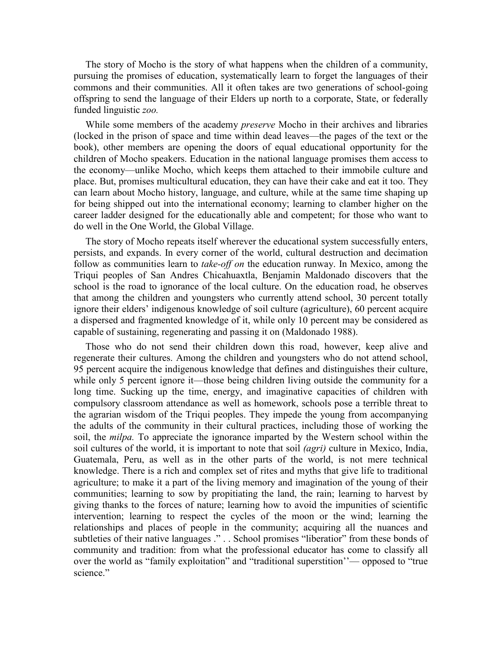The story of Mocho is the story of what happens when the children of a community, pursuing the promises of education, systematically learn to forget the languages of their commons and their communities. All it often takes are two generations of school-going offspring to send the language of their Elders up north to a corporate, State, or federally funded linguistic zoo.

While some members of the academy *preserve* Mocho in their archives and libraries (locked in the prison of space and time within dead leaves—the pages of the text or the book), other members are opening the doors of equal educational opportunity for the children of Mocho speakers. Education in the national language promises them access to the economy—unlike Mocho, which keeps them attached to their immobile culture and place. But, promises multicultural education, they can have their cake and eat it too. They can learn about Mocho history, language, and culture, while at the same time shaping up for being shipped out into the international economy; learning to clamber higher on the career ladder designed for the educationally able and competent; for those who want to do well in the One World, the Global Village.

The story of Mocho repeats itself wherever the educational system successfully enters, persists, and expands. In every corner of the world, cultural destruction and decimation follow as communities learn to *take-off on* the education runway. In Mexico, among the Triqui peoples of San Andres Chicahuaxtla, Benjamin Maldonado discovers that the school is the road to ignorance of the local culture. On the education road, he observes that among the children and youngsters who currently attend school, 30 percent totally ignore their elders' indigenous knowledge of soil culture (agriculture), 60 percent acquire a dispersed and fragmented knowledge of it, while only 10 percent may be considered as capable of sustaining, regenerating and passing it on (Maldonado 1988).

Those who do not send their children down this road, however, keep alive and regenerate their cultures. Among the children and youngsters who do not attend school, 95 percent acquire the indigenous knowledge that defines and distinguishes their culture, while only 5 percent ignore it—those being children living outside the community for a long time. Sucking up the time, energy, and imaginative capacities of children with compulsory classroom attendance as well as homework, schools pose a terrible threat to the agrarian wisdom of the Triqui peoples. They impede the young from accompanying the adults of the community in their cultural practices, including those of working the soil, the *milpa*. To appreciate the ignorance imparted by the Western school within the soil cultures of the world, it is important to note that soil *(agri)* culture in Mexico, India, Guatemala, Peru, as well as in the other parts of the world, is not mere technical knowledge. There is a rich and complex set of rites and myths that give life to traditional agriculture; to make it a part of the living memory and imagination of the young of their communities; learning to sow by propitiating the land, the rain; learning to harvest by giving thanks to the forces of nature; learning how to avoid the impunities of scientific intervention; learning to respect the cycles of the moon or the wind; learning the relationships and places of people in the community; acquiring all the nuances and subtleties of their native languages ." . . School promises "liberatior" from these bonds of community and tradition: from what the professional educator has come to classify all over the world as "family exploitation" and "traditional superstition''— opposed to "true science."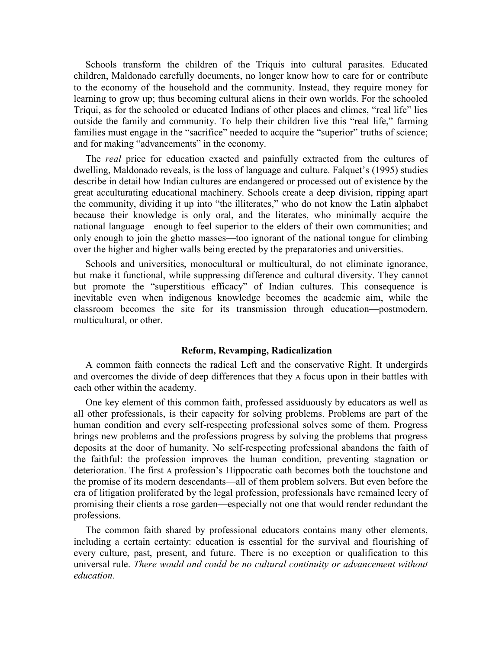Schools transform the children of the Triquis into cultural parasites. Educated children, Maldonado carefully documents, no longer know how to care for or contribute to the economy of the household and the community. Instead, they require money for learning to grow up; thus becoming cultural aliens in their own worlds. For the schooled Triqui, as for the schooled or educated Indians of other places and climes, "real life" lies outside the family and community. To help their children live this "real life," farming families must engage in the "sacrifice" needed to acquire the "superior" truths of science; and for making "advancements" in the economy.

The *real* price for education exacted and painfully extracted from the cultures of dwelling, Maldonado reveals, is the loss of language and culture. Falquet's (1995) studies describe in detail how Indian cultures are endangered or processed out of existence by the great acculturating educational machinery. Schools create a deep division, ripping apart the community, dividing it up into "the illiterates," who do not know the Latin alphabet because their knowledge is only oral, and the literates, who minimally acquire the national language—enough to feel superior to the elders of their own communities; and only enough to join the ghetto masses—too ignorant of the national tongue for climbing over the higher and higher walls being erected by the preparatories and universities.

Schools and universities, monocultural or multicultural, do not eliminate ignorance, but make it functional, while suppressing difference and cultural diversity. They cannot but promote the "superstitious efficacy" of Indian cultures. This consequence is inevitable even when indigenous knowledge becomes the academic aim, while the classroom becomes the site for its transmission through education—postmodern, multicultural, or other.

#### Reform, Revamping, Radicalization

A common faith connects the radical Left and the conservative Right. It undergirds and overcomes the divide of deep differences that they A focus upon in their battles with each other within the academy.

One key element of this common faith, professed assiduously by educators as well as all other professionals, is their capacity for solving problems. Problems are part of the human condition and every self-respecting professional solves some of them. Progress brings new problems and the professions progress by solving the problems that progress deposits at the door of humanity. No self-respecting professional abandons the faith of the faithful: the profession improves the human condition, preventing stagnation or deterioration. The first A profession's Hippocratic oath becomes both the touchstone and the promise of its modern descendants—all of them problem solvers. But even before the era of litigation proliferated by the legal profession, professionals have remained leery of promising their clients a rose garden—especially not one that would render redundant the professions.

The common faith shared by professional educators contains many other elements, including a certain certainty: education is essential for the survival and flourishing of every culture, past, present, and future. There is no exception or qualification to this universal rule. There would and could be no cultural continuity or advancement without education.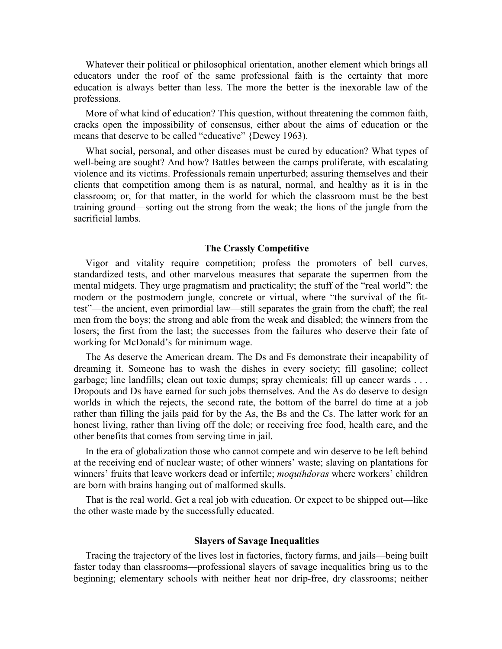Whatever their political or philosophical orientation, another element which brings all educators under the roof of the same professional faith is the certainty that more education is always better than less. The more the better is the inexorable law of the professions.

More of what kind of education? This question, without threatening the common faith, cracks open the impossibility of consensus, either about the aims of education or the means that deserve to be called "educative" {Dewey 1963).

What social, personal, and other diseases must be cured by education? What types of well-being are sought? And how? Battles between the camps proliferate, with escalating violence and its victims. Professionals remain unperturbed; assuring themselves and their clients that competition among them is as natural, normal, and healthy as it is in the classroom; or, for that matter, in the world for which the classroom must be the best training ground—sorting out the strong from the weak; the lions of the jungle from the sacrificial lambs.

#### The Crassly Competitive

Vigor and vitality require competition; profess the promoters of bell curves, standardized tests, and other marvelous measures that separate the supermen from the mental midgets. They urge pragmatism and practicality; the stuff of the "real world": the modern or the postmodern jungle, concrete or virtual, where "the survival of the fittest"—the ancient, even primordial law—still separates the grain from the chaff; the real men from the boys; the strong and able from the weak and disabled; the winners from the losers; the first from the last; the successes from the failures who deserve their fate of working for McDonald's for minimum wage.

The As deserve the American dream. The Ds and Fs demonstrate their incapability of dreaming it. Someone has to wash the dishes in every society; fill gasoline; collect garbage; line landfills; clean out toxic dumps; spray chemicals; fill up cancer wards . . . Dropouts and Ds have earned for such jobs themselves. And the As do deserve to design worlds in which the rejects, the second rate, the bottom of the barrel do time at a job rather than filling the jails paid for by the As, the Bs and the Cs. The latter work for an honest living, rather than living off the dole; or receiving free food, health care, and the other benefits that comes from serving time in jail.

In the era of globalization those who cannot compete and win deserve to be left behind at the receiving end of nuclear waste; of other winners' waste; slaving on plantations for winners' fruits that leave workers dead or infertile; *moquihdoras* where workers' children are born with brains hanging out of malformed skulls.

That is the real world. Get a real job with education. Or expect to be shipped out—like the other waste made by the successfully educated.

#### Slayers of Savage Inequalities

Tracing the trajectory of the lives lost in factories, factory farms, and jails—being built faster today than classrooms—professional slayers of savage inequalities bring us to the beginning; elementary schools with neither heat nor drip-free, dry classrooms; neither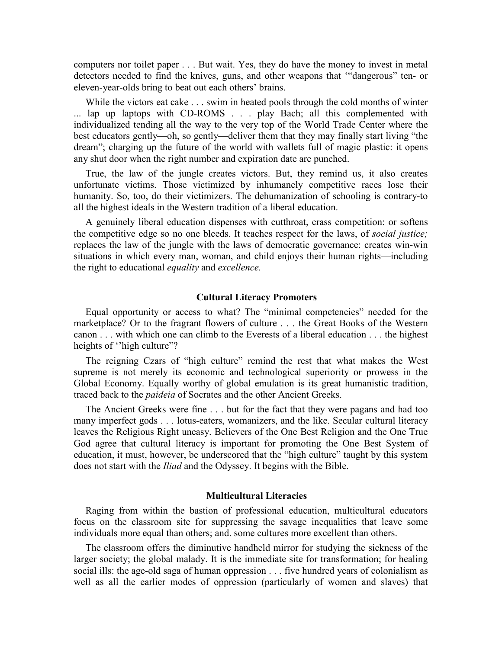computers nor toilet paper . . . But wait. Yes, they do have the money to invest in metal detectors needed to find the knives, guns, and other weapons that '"dangerous" ten- or eleven-year-olds bring to beat out each others' brains.

While the victors eat cake . . . swim in heated pools through the cold months of winter ... lap up laptops with CD-ROMS . . . play Bach; all this complemented with individualized tending all the way to the very top of the World Trade Center where the best educators gently—oh, so gently—deliver them that they may finally start living "the dream"; charging up the future of the world with wallets full of magic plastic: it opens any shut door when the right number and expiration date are punched.

True, the law of the jungle creates victors. But, they remind us, it also creates unfortunate victims. Those victimized by inhumanely competitive races lose their humanity. So, too, do their victimizers. The dehumanization of schooling is contrary-to all the highest ideals in the Western tradition of a liberal education.

A genuinely liberal education dispenses with cutthroat, crass competition: or softens the competitive edge so no one bleeds. It teaches respect for the laws, of social justice; replaces the law of the jungle with the laws of democratic governance: creates win-win situations in which every man, woman, and child enjoys their human rights—including the right to educational *equality* and *excellence*.

#### Cultural Literacy Promoters

Equal opportunity or access to what? The "minimal competencies" needed for the marketplace? Or to the fragrant flowers of culture . . . the Great Books of the Western canon . . . with which one can climb to the Everests of a liberal education . . . the highest heights of "high culture"?

The reigning Czars of "high culture" remind the rest that what makes the West supreme is not merely its economic and technological superiority or prowess in the Global Economy. Equally worthy of global emulation is its great humanistic tradition, traced back to the *paideia* of Socrates and the other Ancient Greeks.

The Ancient Greeks were fine . . . but for the fact that they were pagans and had too many imperfect gods . . . lotus-eaters, womanizers, and the like. Secular cultural literacy leaves the Religious Right uneasy. Believers of the One Best Religion and the One True God agree that cultural literacy is important for promoting the One Best System of education, it must, however, be underscored that the "high culture" taught by this system does not start with the *Iliad* and the Odyssey. It begins with the Bible.

#### Multicultural Literacies

Raging from within the bastion of professional education, multicultural educators focus on the classroom site for suppressing the savage inequalities that leave some individuals more equal than others; and. some cultures more excellent than others.

The classroom offers the diminutive handheld mirror for studying the sickness of the larger society; the global malady. It is the immediate site for transformation; for healing social ills: the age-old saga of human oppression . . . five hundred years of colonialism as well as all the earlier modes of oppression (particularly of women and slaves) that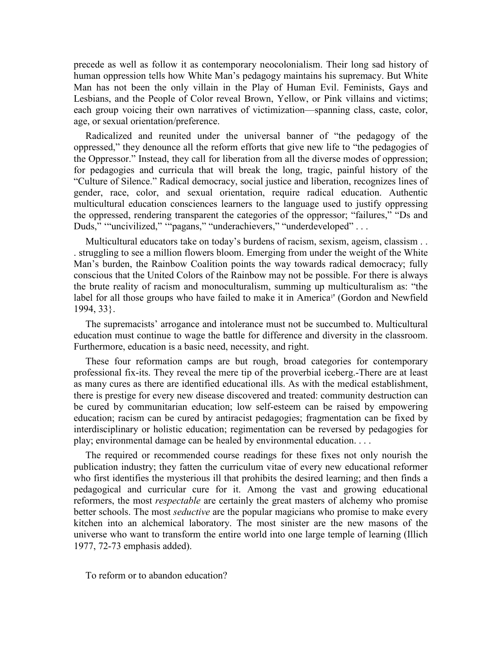precede as well as follow it as contemporary neocolonialism. Their long sad history of human oppression tells how White Man's pedagogy maintains his supremacy. But White Man has not been the only villain in the Play of Human Evil. Feminists, Gays and Lesbians, and the People of Color reveal Brown, Yellow, or Pink villains and victims; each group voicing their own narratives of victimization—spanning class, caste, color, age, or sexual orientation/preference.

Radicalized and reunited under the universal banner of "the pedagogy of the oppressed," they denounce all the reform efforts that give new life to "the pedagogies of the Oppressor." Instead, they call for liberation from all the diverse modes of oppression; for pedagogies and curricula that will break the long, tragic, painful history of the "Culture of Silence." Radical democracy, social justice and liberation, recognizes lines of gender, race, color, and sexual orientation, require radical education. Authentic multicultural education consciences learners to the language used to justify oppressing the oppressed, rendering transparent the categories of the oppressor; "failures," "Ds and Duds," "uncivilized," "pagans," "underachievers," "underdeveloped" . . .

Multicultural educators take on today's burdens of racism, sexism, ageism, classism . . . struggling to see a million flowers bloom. Emerging from under the weight of the White Man's burden, the Rainbow Coalition points the way towards radical democracy; fully conscious that the United Colors of the Rainbow may not be possible. For there is always the brute reality of racism and monoculturalism, summing up multiculturalism as: "the label for all those groups who have failed to make it in America<sup>1</sup> (Gordon and Newfield 1994, 33}.

The supremacists' arrogance and intolerance must not be succumbed to. Multicultural education must continue to wage the battle for difference and diversity in the classroom. Furthermore, education is a basic need, necessity, and right.

These four reformation camps are but rough, broad categories for contemporary professional fix-its. They reveal the mere tip of the proverbial iceberg.-There are at least as many cures as there are identified educational ills. As with the medical establishment, there is prestige for every new disease discovered and treated: community destruction can be cured by communitarian education; low self-esteem can be raised by empowering education; racism can be cured by antiracist pedagogies; fragmentation can be fixed by interdisciplinary or holistic education; regimentation can be reversed by pedagogies for play; environmental damage can be healed by environmental education. . . .

The required or recommended course readings for these fixes not only nourish the publication industry; they fatten the curriculum vitae of every new educational reformer who first identifies the mysterious ill that prohibits the desired learning; and then finds a pedagogical and curricular cure for it. Among the vast and growing educational reformers, the most *respectable* are certainly the great masters of alchemy who promise better schools. The most *seductive* are the popular magicians who promise to make every kitchen into an alchemical laboratory. The most sinister are the new masons of the universe who want to transform the entire world into one large temple of learning (Illich 1977, 72-73 emphasis added).

To reform or to abandon education?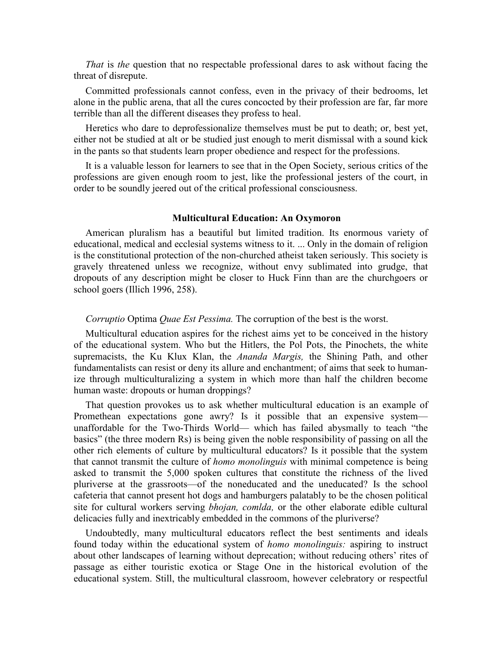That is the question that no respectable professional dares to ask without facing the threat of disrepute.

Committed professionals cannot confess, even in the privacy of their bedrooms, let alone in the public arena, that all the cures concocted by their profession are far, far more terrible than all the different diseases they profess to heal.

Heretics who dare to deprofessionalize themselves must be put to death; or, best yet, either not be studied at alt or be studied just enough to merit dismissal with a sound kick in the pants so that students learn proper obedience and respect for the professions.

It is a valuable lesson for learners to see that in the Open Society, serious critics of the professions are given enough room to jest, like the professional jesters of the court, in order to be soundly jeered out of the critical professional consciousness.

#### Multicultural Education: An Oxymoron

American pluralism has a beautiful but limited tradition. Its enormous variety of educational, medical and ecclesial systems witness to it. ... Only in the domain of religion is the constitutional protection of the non-churched atheist taken seriously. This society is gravely threatened unless we recognize, without envy sublimated into grudge, that dropouts of any description might be closer to Huck Finn than are the churchgoers or school goers (Illich 1996, 258).

#### Corruptio Optima Quae Est Pessima. The corruption of the best is the worst.

Multicultural education aspires for the richest aims yet to be conceived in the history of the educational system. Who but the Hitlers, the Pol Pots, the Pinochets, the white supremacists, the Ku Klux Klan, the *Ananda Margis*, the Shining Path, and other fundamentalists can resist or deny its allure and enchantment; of aims that seek to humanize through multiculturalizing a system in which more than half the children become human waste: dropouts or human droppings?

That question provokes us to ask whether multicultural education is an example of Promethean expectations gone awry? Is it possible that an expensive system unaffordable for the Two-Thirds World— which has failed abysmally to teach "the basics" (the three modern Rs) is being given the noble responsibility of passing on all the other rich elements of culture by multicultural educators? Is it possible that the system that cannot transmit the culture of homo monolinguis with minimal competence is being asked to transmit the 5,000 spoken cultures that constitute the richness of the lived pluriverse at the grassroots—of the noneducated and the uneducated? Is the school cafeteria that cannot present hot dogs and hamburgers palatably to be the chosen political site for cultural workers serving *bhojan, comlda,* or the other elaborate edible cultural delicacies fully and inextricably embedded in the commons of the pluriverse?

Undoubtedly, many multicultural educators reflect the best sentiments and ideals found today within the educational system of homo monolinguis: aspiring to instruct about other landscapes of learning without deprecation; without reducing others' rites of passage as either touristic exotica or Stage One in the historical evolution of the educational system. Still, the multicultural classroom, however celebratory or respectful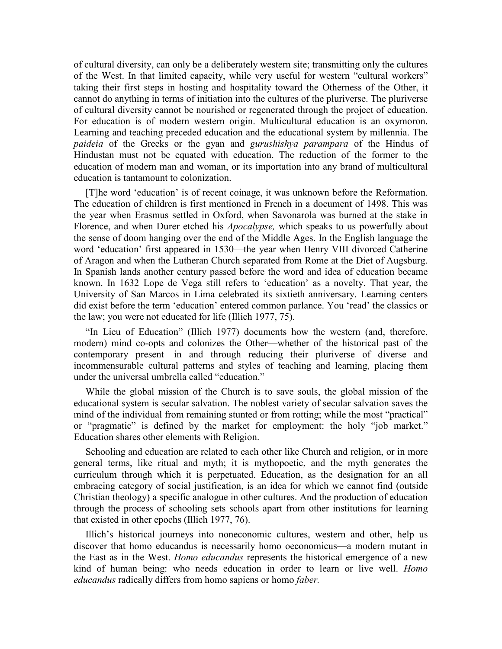of cultural diversity, can only be a deliberately western site; transmitting only the cultures of the West. In that limited capacity, while very useful for western "cultural workers" taking their first steps in hosting and hospitality toward the Otherness of the Other, it cannot do anything in terms of initiation into the cultures of the pluriverse. The pluriverse of cultural diversity cannot be nourished or regenerated through the project of education. For education is of modern western origin. Multicultural education is an oxymoron. Learning and teaching preceded education and the educational system by millennia. The paideia of the Greeks or the gyan and gurushishya parampara of the Hindus of Hindustan must not be equated with education. The reduction of the former to the education of modern man and woman, or its importation into any brand of multicultural education is tantamount to colonization.

[T]he word 'education' is of recent coinage, it was unknown before the Reformation. The education of children is first mentioned in French in a document of 1498. This was the year when Erasmus settled in Oxford, when Savonarola was burned at the stake in Florence, and when Durer etched his *Apocalypse*, which speaks to us powerfully about the sense of doom hanging over the end of the Middle Ages. In the English language the word 'education' first appeared in 1530—the year when Henry VIII divorced Catherine of Aragon and when the Lutheran Church separated from Rome at the Diet of Augsburg. In Spanish lands another century passed before the word and idea of education became known. In 1632 Lope de Vega still refers to 'education' as a novelty. That year, the University of San Marcos in Lima celebrated its sixtieth anniversary. Learning centers did exist before the term 'education' entered common parlance. You 'read' the classics or the law; you were not educated for life (Illich 1977, 75).

"In Lieu of Education" (Illich 1977) documents how the western (and, therefore, modern) mind co-opts and colonizes the Other—whether of the historical past of the contemporary present—in and through reducing their pluriverse of diverse and incommensurable cultural patterns and styles of teaching and learning, placing them under the universal umbrella called "education."

While the global mission of the Church is to save souls, the global mission of the educational system is secular salvation. The noblest variety of secular salvation saves the mind of the individual from remaining stunted or from rotting; while the most "practical" or "pragmatic" is defined by the market for employment: the holy "job market." Education shares other elements with Religion.

Schooling and education are related to each other like Church and religion, or in more general terms, like ritual and myth; it is mythopoetic, and the myth generates the curriculum through which it is perpetuated. Education, as the designation for an all embracing category of social justification, is an idea for which we cannot find (outside Christian theology) a specific analogue in other cultures. And the production of education through the process of schooling sets schools apart from other institutions for learning that existed in other epochs (Illich 1977, 76).

Illich's historical journeys into noneconomic cultures, western and other, help us discover that homo educandus is necessarily homo oeconomicus—a modern mutant in the East as in the West. *Homo educandus* represents the historical emergence of a new kind of human being: who needs education in order to learn or live well. Homo educandus radically differs from homo sapiens or homo *faber*.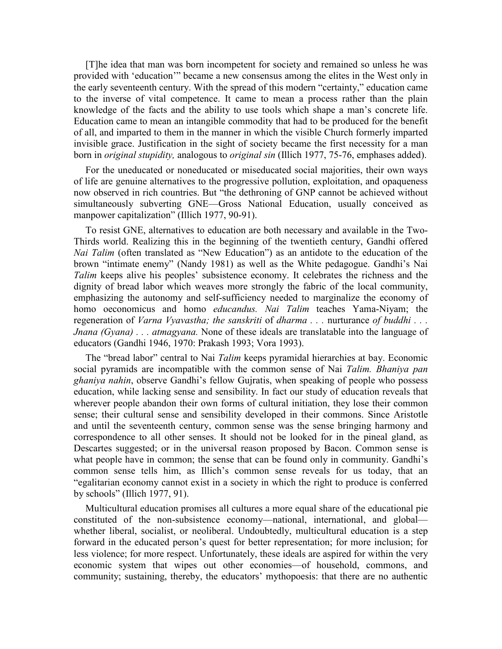[T]he idea that man was born incompetent for society and remained so unless he was provided with 'education'" became a new consensus among the elites in the West only in the early seventeenth century. With the spread of this modern "certainty," education came to the inverse of vital competence. It came to mean a process rather than the plain knowledge of the facts and the ability to use tools which shape a man's concrete life. Education came to mean an intangible commodity that had to be produced for the benefit of all, and imparted to them in the manner in which the visible Church formerly imparted invisible grace. Justification in the sight of society became the first necessity for a man born in *original stupidity*, analogous to *original sin* (Illich 1977, 75-76, emphases added).

For the uneducated or noneducated or miseducated social majorities, their own ways of life are genuine alternatives to the progressive pollution, exploitation, and opaqueness now observed in rich countries. But "the dethroning of GNP cannot be achieved without simultaneously subverting GNE—Gross National Education, usually conceived as manpower capitalization" (Illich 1977, 90-91).

To resist GNE, alternatives to education are both necessary and available in the Two-Thirds world. Realizing this in the beginning of the twentieth century, Gandhi offered Nai Talim (often translated as "New Education") as an antidote to the education of the brown "intimate enemy" (Nandy 1981) as well as the White pedagogue. Gandhi's Nai Talim keeps alive his peoples' subsistence economy. It celebrates the richness and the dignity of bread labor which weaves more strongly the fabric of the local community, emphasizing the autonomy and self-sufficiency needed to marginalize the economy of homo oeconomicus and homo *educandus*. Nai Talim teaches Yama-Niyam; the regeneration of Varna Vyavastha; the sanskriti of dharma . . . nurturance of buddhi . . . *Jnana (Gyana) ... atmagyana.* None of these ideals are translatable into the language of educators (Gandhi 1946, 1970: Prakash 1993; Vora 1993).

The "bread labor" central to Nai Talim keeps pyramidal hierarchies at bay. Economic social pyramids are incompatible with the common sense of Nai Talim. Bhaniya pan ghaniya nahin, observe Gandhi's fellow Gujratis, when speaking of people who possess education, while lacking sense and sensibility. In fact our study of education reveals that wherever people abandon their own forms of cultural initiation, they lose their common sense; their cultural sense and sensibility developed in their commons. Since Aristotle and until the seventeenth century, common sense was the sense bringing harmony and correspondence to all other senses. It should not be looked for in the pineal gland, as Descartes suggested; or in the universal reason proposed by Bacon. Common sense is what people have in common; the sense that can be found only in community. Gandhi's common sense tells him, as Illich's common sense reveals for us today, that an "egalitarian economy cannot exist in a society in which the right to produce is conferred by schools" (Illich 1977, 91).

Multicultural education promises all cultures a more equal share of the educational pie constituted of the non-subsistence economy—national, international, and global whether liberal, socialist, or neoliberal. Undoubtedly, multicultural education is a step forward in the educated person's quest for better representation; for more inclusion; for less violence; for more respect. Unfortunately, these ideals are aspired for within the very economic system that wipes out other economies—of household, commons, and community; sustaining, thereby, the educators' mythopoesis: that there are no authentic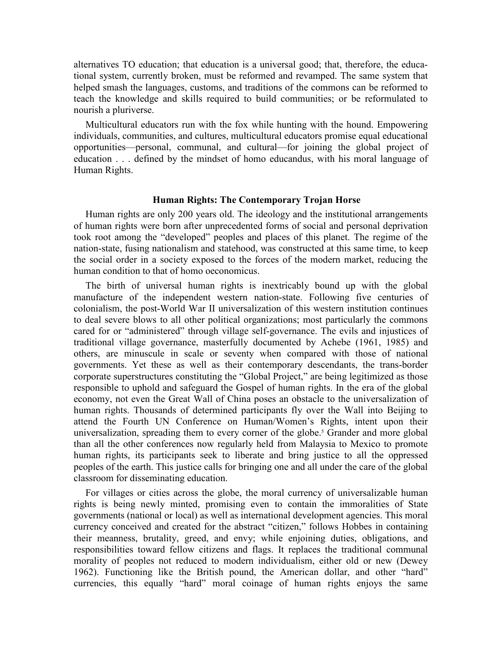alternatives TO education; that education is a universal good; that, therefore, the educational system, currently broken, must be reformed and revamped. The same system that helped smash the languages, customs, and traditions of the commons can be reformed to teach the knowledge and skills required to build communities; or be reformulated to nourish a pluriverse.

Multicultural educators run with the fox while hunting with the hound. Empowering individuals, communities, and cultures, multicultural educators promise equal educational opportunities—personal, communal, and cultural—for joining the global project of education . . . defined by the mindset of homo educandus, with his moral language of Human Rights.

#### Human Rights: The Contemporary Trojan Horse

Human rights are only 200 years old. The ideology and the institutional arrangements of human rights were born after unprecedented forms of social and personal deprivation took root among the "developed" peoples and places of this planet. The regime of the nation-state, fusing nationalism and statehood, was constructed at this same time, to keep the social order in a society exposed to the forces of the modern market, reducing the human condition to that of homo oeconomicus.

The birth of universal human rights is inextricably bound up with the global manufacture of the independent western nation-state. Following five centuries of colonialism, the post-World War II universalization of this western institution continues to deal severe blows to all other political organizations; most particularly the commons cared for or "administered" through village self-governance. The evils and injustices of traditional village governance, masterfully documented by Achebe (1961, 1985) and others, are minuscule in scale or seventy when compared with those of national governments. Yet these as well as their contemporary descendants, the trans-border corporate superstructures constituting the "Global Project," are being legitimized as those responsible to uphold and safeguard the Gospel of human rights. In the era of the global economy, not even the Great Wall of China poses an obstacle to the universalization of human rights. Thousands of determined participants fly over the Wall into Beijing to attend the Fourth UN Conference on Human/Women's Rights, intent upon their universalization, spreading them to every corner of the globe.<sup>5</sup> Grander and more global than all the other conferences now regularly held from Malaysia to Mexico to promote human rights, its participants seek to liberate and bring justice to all the oppressed peoples of the earth. This justice calls for bringing one and all under the care of the global classroom for disseminating education.

For villages or cities across the globe, the moral currency of universalizable human rights is being newly minted, promising even to contain the immoralities of State governments (national or local) as well as international development agencies. This moral currency conceived and created for the abstract "citizen," follows Hobbes in containing their meanness, brutality, greed, and envy; while enjoining duties, obligations, and responsibilities toward fellow citizens and flags. It replaces the traditional communal morality of peoples not reduced to modern individualism, either old or new (Dewey 1962). Functioning like the British pound, the American dollar, and other "hard" currencies, this equally "hard" moral coinage of human rights enjoys the same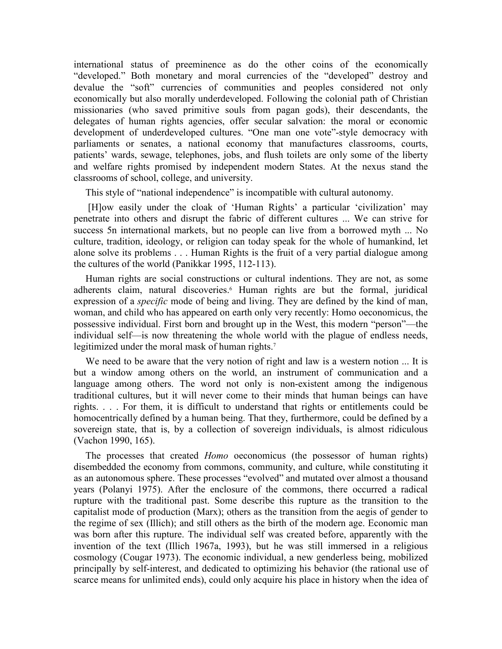international status of preeminence as do the other coins of the economically "developed." Both monetary and moral currencies of the "developed" destroy and devalue the "soft" currencies of communities and peoples considered not only economically but also morally underdeveloped. Following the colonial path of Christian missionaries (who saved primitive souls from pagan gods), their descendants, the delegates of human rights agencies, offer secular salvation: the moral or economic development of underdeveloped cultures. "One man one vote"-style democracy with parliaments or senates, a national economy that manufactures classrooms, courts, patients' wards, sewage, telephones, jobs, and flush toilets are only some of the liberty and welfare rights promised by independent modern States. At the nexus stand the classrooms of school, college, and university.

This style of "national independence" is incompatible with cultural autonomy.

 [H]ow easily under the cloak of 'Human Rights' a particular 'civilization' may penetrate into others and disrupt the fabric of different cultures ... We can strive for success 5n international markets, but no people can live from a borrowed myth ... No culture, tradition, ideology, or religion can today speak for the whole of humankind, let alone solve its problems . . . Human Rights is the fruit of a very partial dialogue among the cultures of the world (Panikkar 1995, 112-113).

Human rights are social constructions or cultural indentions. They are not, as some adherents claim, natural discoveries.<sup>6</sup> Human rights are but the formal, juridical expression of a *specific* mode of being and living. They are defined by the kind of man, woman, and child who has appeared on earth only very recently: Homo oeconomicus, the possessive individual. First born and brought up in the West, this modern "person"—the individual self—is now threatening the whole world with the plague of endless needs, legitimized under the moral mask of human rights.<sup>7</sup>

We need to be aware that the very notion of right and law is a western notion ... It is but a window among others on the world, an instrument of communication and a language among others. The word not only is non-existent among the indigenous traditional cultures, but it will never come to their minds that human beings can have rights. . . . For them, it is difficult to understand that rights or entitlements could be homocentrically defined by a human being. That they, furthermore, could be defined by a sovereign state, that is, by a collection of sovereign individuals, is almost ridiculous (Vachon 1990, 165).

The processes that created Homo oeconomicus (the possessor of human rights) disembedded the economy from commons, community, and culture, while constituting it as an autonomous sphere. These processes "evolved" and mutated over almost a thousand years (Polanyi 1975). After the enclosure of the commons, there occurred a radical rupture with the traditional past. Some describe this rupture as the transition to the capitalist mode of production (Marx); others as the transition from the aegis of gender to the regime of sex (Illich); and still others as the birth of the modern age. Economic man was born after this rupture. The individual self was created before, apparently with the invention of the text (Illich 1967a, 1993), but he was still immersed in a religious cosmology (Cougar 1973). The economic individual, a new genderless being, mobilized principally by self-interest, and dedicated to optimizing his behavior (the rational use of scarce means for unlimited ends), could only acquire his place in history when the idea of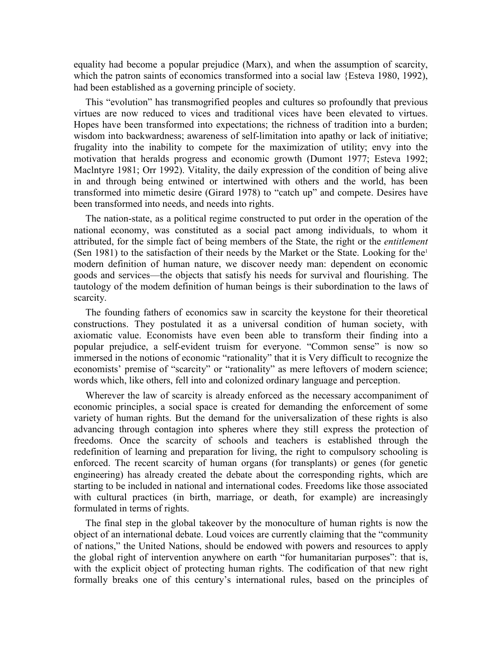equality had become a popular prejudice (Marx), and when the assumption of scarcity, which the patron saints of economics transformed into a social law {Esteva 1980, 1992), had been established as a governing principle of society.

This "evolution" has transmogrified peoples and cultures so profoundly that previous virtues are now reduced to vices and traditional vices have been elevated to virtues. Hopes have been transformed into expectations; the richness of tradition into a burden; wisdom into backwardness; awareness of self-limitation into apathy or lack of initiative; frugality into the inability to compete for the maximization of utility; envy into the motivation that heralds progress and economic growth (Dumont 1977; Esteva 1992; Maclntyre 1981; Orr 1992). Vitality, the daily expression of the condition of being alive in and through being entwined or intertwined with others and the world, has been transformed into mimetic desire (Girard 1978) to "catch up" and compete. Desires have been transformed into needs, and needs into rights.

The nation-state, as a political regime constructed to put order in the operation of the national economy, was constituted as a social pact among individuals, to whom it attributed, for the simple fact of being members of the State, the right or the entitlement (Sen 1981) to the satisfaction of their needs by the Market or the State. Looking for the<sup>1</sup> modern definition of human nature, we discover needy man: dependent on economic goods and services—the objects that satisfy his needs for survival and flourishing. The tautology of the modem definition of human beings is their subordination to the laws of scarcity.

The founding fathers of economics saw in scarcity the keystone for their theoretical constructions. They postulated it as a universal condition of human society, with axiomatic value. Economists have even been able to transform their finding into a popular prejudice, a self-evident truism for everyone. "Common sense" is now so immersed in the notions of economic "rationality" that it is Very difficult to recognize the economists' premise of "scarcity" or "rationality" as mere leftovers of modern science; words which, like others, fell into and colonized ordinary language and perception.

Wherever the law of scarcity is already enforced as the necessary accompaniment of economic principles, a social space is created for demanding the enforcement of some variety of human rights. But the demand for the universalization of these rights is also advancing through contagion into spheres where they still express the protection of freedoms. Once the scarcity of schools and teachers is established through the redefinition of learning and preparation for living, the right to compulsory schooling is enforced. The recent scarcity of human organs (for transplants) or genes (for genetic engineering) has already created the debate about the corresponding rights, which are starting to be included in national and international codes. Freedoms like those associated with cultural practices (in birth, marriage, or death, for example) are increasingly formulated in terms of rights.

The final step in the global takeover by the monoculture of human rights is now the object of an international debate. Loud voices are currently claiming that the "community of nations," the United Nations, should be endowed with powers and resources to apply the global right of intervention anywhere on earth "for humanitarian purposes": that is, with the explicit object of protecting human rights. The codification of that new right formally breaks one of this century's international rules, based on the principles of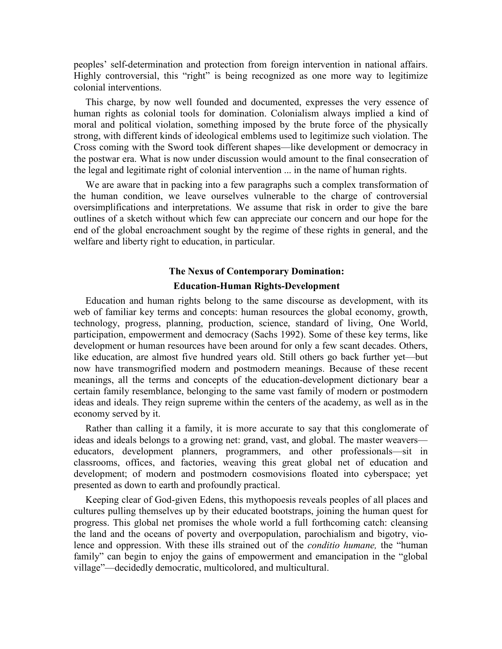peoples' self-determination and protection from foreign intervention in national affairs. Highly controversial, this "right" is being recognized as one more way to legitimize colonial interventions.

This charge, by now well founded and documented, expresses the very essence of human rights as colonial tools for domination. Colonialism always implied a kind of moral and political violation, something imposed by the brute force of the physically strong, with different kinds of ideological emblems used to legitimize such violation. The Cross coming with the Sword took different shapes—like development or democracy in the postwar era. What is now under discussion would amount to the final consecration of the legal and legitimate right of colonial intervention ... in the name of human rights.

We are aware that in packing into a few paragraphs such a complex transformation of the human condition, we leave ourselves vulnerable to the charge of controversial oversimplifications and interpretations. We assume that risk in order to give the bare outlines of a sketch without which few can appreciate our concern and our hope for the end of the global encroachment sought by the regime of these rights in general, and the welfare and liberty right to education, in particular.

#### The Nexus of Contemporary Domination:

#### Education-Human Rights-Development

Education and human rights belong to the same discourse as development, with its web of familiar key terms and concepts: human resources the global economy, growth, technology, progress, planning, production, science, standard of living, One World, participation, empowerment and democracy (Sachs 1992). Some of these key terms, like development or human resources have been around for only a few scant decades. Others, like education, are almost five hundred years old. Still others go back further yet—but now have transmogrified modern and postmodern meanings. Because of these recent meanings, all the terms and concepts of the education-development dictionary bear a certain family resemblance, belonging to the same vast family of modern or postmodern ideas and ideals. They reign supreme within the centers of the academy, as well as in the economy served by it.

Rather than calling it a family, it is more accurate to say that this conglomerate of ideas and ideals belongs to a growing net: grand, vast, and global. The master weavers educators, development planners, programmers, and other professionals—sit in classrooms, offices, and factories, weaving this great global net of education and development; of modern and postmodern cosmovisions floated into cyberspace; yet presented as down to earth and profoundly practical.

Keeping clear of God-given Edens, this mythopoesis reveals peoples of all places and cultures pulling themselves up by their educated bootstraps, joining the human quest for progress. This global net promises the whole world a full forthcoming catch: cleansing the land and the oceans of poverty and overpopulation, parochialism and bigotry, violence and oppression. With these ills strained out of the *conditio humane*, the "human family" can begin to enjoy the gains of empowerment and emancipation in the "global" village"—decidedly democratic, multicolored, and multicultural.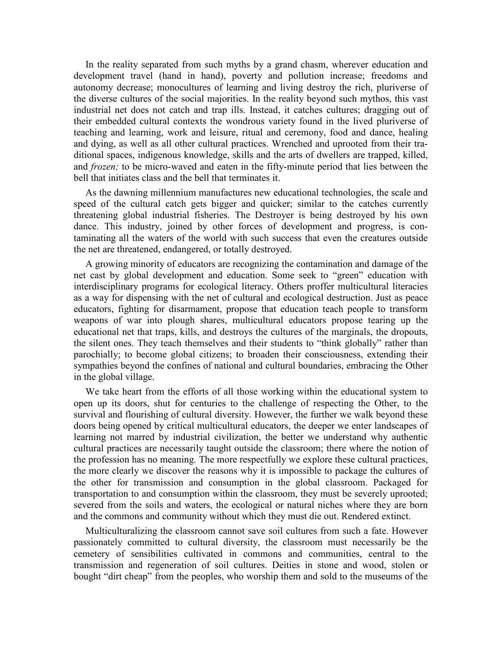In the reality separated from such myths by a grand chasm, wherever education and development travel (hand in hand), poverty and pollution increase; freedoms and autonomy decrease; monocultures of learning and living destroy the rich, pluriverse of the diverse cultures of the social majorities. In the reality beyond such mythos, this vast industrial net does not catch and trap ills. Instead, it catches cultures; dragging out of their embedded cultural contexts the wondrous variety found in the lived pluriverse of teaching and learning, work and leisure, ritual and ceremony, food and dance, healing and dying, as well as all other cultural practices. Wrenched and uprooted from their traditional spaces, indigenous knowledge, skills and the arts of dwellers are trapped, killed, and *frozen*; to be micro-waved and eaten in the fifty-minute period that lies between the bell that initiates class and the bell that terminates it.

As the dawning millennium manufactures new educational technologies, the scale and speed of the cultural catch gets bigger and quicker; similar to the catches currently threatening global industrial fisheries. The Destroyer is being destroyed by his own dance. This industry, joined by other forces of development and progress, is contaminating all the waters of the world with such success that even the creatures outside the net are threatened, endangered, or totally destroyed.

A growing minority of educators are recognizing the contamination and damage of the net cast by global development and education. Some seek to "green" education with interdisciplinary programs for ecological literacy. Others proffer multicultural literacies as a way for dispensing with the net of cultural and ecological destruction. Just as peace educators, fighting for disarmament, propose that education teach people to transform weapons of war into plough shares, multicultural educators propose tearing up the educational net that traps, kills, and destroys the cultures of the marginals, the dropouts, the silent ones. They teach themselves and their students to "think globally" rather than parochially; to become global citizens; to broaden their consciousness, extending their sympathies beyond the confines of national and cultural boundaries, embracing the Other in the global village.

We take heart from the efforts of all those working within the educational system to open up its doors, shut for centuries to the challenge of respecting the Other, to the survival and flourishing of cultural diversity. However, the further we walk beyond these doors being opened by critical multicultural educators, the deeper we enter landscapes of learning not marred by industrial civilization, the better we understand why authentic cultural practices are necessarily taught outside the classroom; there where the notion of the profession has no meaning. The more respectfully we explore these cultural practices, the more clearly we discover the reasons why it is impossible to package the cultures of the other for transmission and consumption in the global classroom. Packaged for transportation to and consumption within the classroom, they must be severely uprooted; severed from the soils and waters, the ecological or natural niches where they are born and the commons and community without which they must die out. Rendered extinct.

Multiculturalizing the classroom cannot save soil cultures from such a fate. However passionately committed to cultural diversity, the classroom must necessarily be the cemetery of sensibilities cultivated in commons and communities, central to the transmission and regeneration of soil cultures. Deities in stone and wood, stolen or bought "dirt cheap" from the peoples, who worship them and sold to the museums of the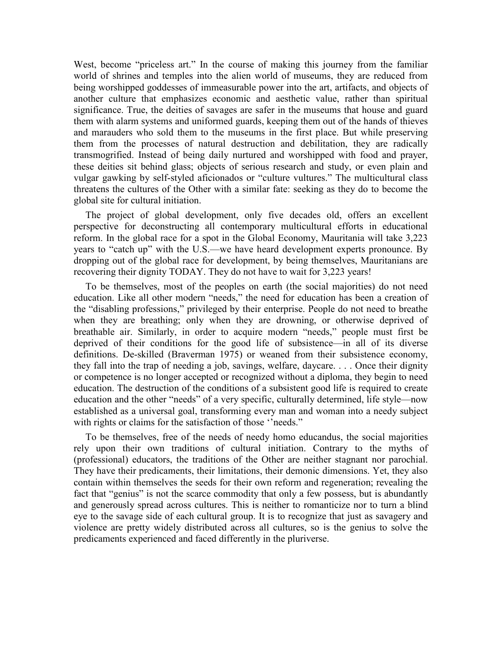West, become "priceless art." In the course of making this journey from the familiar world of shrines and temples into the alien world of museums, they are reduced from being worshipped goddesses of immeasurable power into the art, artifacts, and objects of another culture that emphasizes economic and aesthetic value, rather than spiritual significance. True, the deities of savages are safer in the museums that house and guard them with alarm systems and uniformed guards, keeping them out of the hands of thieves and marauders who sold them to the museums in the first place. But while preserving them from the processes of natural destruction and debilitation, they are radically transmogrified. Instead of being daily nurtured and worshipped with food and prayer, these deities sit behind glass; objects of serious research and study, or even plain and vulgar gawking by self-styled aficionados or "culture vultures." The multicultural class threatens the cultures of the Other with a similar fate: seeking as they do to become the global site for cultural initiation.

The project of global development, only five decades old, offers an excellent perspective for deconstructing all contemporary multicultural efforts in educational reform. In the global race for a spot in the Global Economy, Mauritania will take 3,223 years to "catch up" with the U.S.—we have heard development experts pronounce. By dropping out of the global race for development, by being themselves, Mauritanians are recovering their dignity TODAY. They do not have to wait for 3,223 years!

To be themselves, most of the peoples on earth (the social majorities) do not need education. Like all other modern "needs," the need for education has been a creation of the "disabling professions," privileged by their enterprise. People do not need to breathe when they are breathing; only when they are drowning, or otherwise deprived of breathable air. Similarly, in order to acquire modern "needs," people must first be deprived of their conditions for the good life of subsistence—in all of its diverse definitions. De-skilled (Braverman 1975) or weaned from their subsistence economy, they fall into the trap of needing a job, savings, welfare, daycare. . . . Once their dignity or competence is no longer accepted or recognized without a diploma, they begin to need education. The destruction of the conditions of a subsistent good life is required to create education and the other "needs" of a very specific, culturally determined, life style—now established as a universal goal, transforming every man and woman into a needy subject with rights or claims for the satisfaction of those "needs."

To be themselves, free of the needs of needy homo educandus, the social majorities rely upon their own traditions of cultural initiation. Contrary to the myths of (professional) educators, the traditions of the Other are neither stagnant nor parochial. They have their predicaments, their limitations, their demonic dimensions. Yet, they also contain within themselves the seeds for their own reform and regeneration; revealing the fact that "genius" is not the scarce commodity that only a few possess, but is abundantly and generously spread across cultures. This is neither to romanticize nor to turn a blind eye to the savage side of each cultural group. It is to recognize that just as savagery and violence are pretty widely distributed across all cultures, so is the genius to solve the predicaments experienced and faced differently in the pluriverse.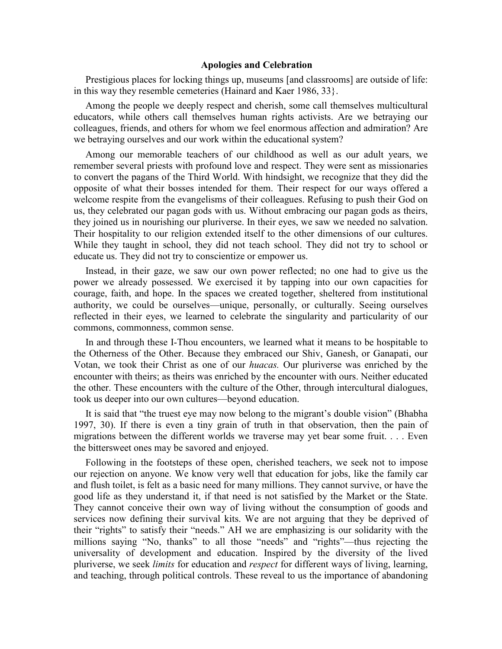#### Apologies and Celebration

Prestigious places for locking things up, museums [and classrooms] are outside of life: in this way they resemble cemeteries (Hainard and Kaer 1986, 33}.

Among the people we deeply respect and cherish, some call themselves multicultural educators, while others call themselves human rights activists. Are we betraying our colleagues, friends, and others for whom we feel enormous affection and admiration? Are we betraying ourselves and our work within the educational system?

Among our memorable teachers of our childhood as well as our adult years, we remember several priests with profound love and respect. They were sent as missionaries to convert the pagans of the Third World. With hindsight, we recognize that they did the opposite of what their bosses intended for them. Their respect for our ways offered a welcome respite from the evangelisms of their colleagues. Refusing to push their God on us, they celebrated our pagan gods with us. Without embracing our pagan gods as theirs, they joined us in nourishing our pluriverse. In their eyes, we saw we needed no salvation. Their hospitality to our religion extended itself to the other dimensions of our cultures. While they taught in school, they did not teach school. They did not try to school or educate us. They did not try to conscientize or empower us.

Instead, in their gaze, we saw our own power reflected; no one had to give us the power we already possessed. We exercised it by tapping into our own capacities for courage, faith, and hope. In the spaces we created together, sheltered from institutional authority, we could be ourselves—unique, personally, or culturally. Seeing ourselves reflected in their eyes, we learned to celebrate the singularity and particularity of our commons, commonness, common sense.

In and through these I-Thou encounters, we learned what it means to be hospitable to the Otherness of the Other. Because they embraced our Shiv, Ganesh, or Ganapati, our Votan, we took their Christ as one of our huacas. Our pluriverse was enriched by the encounter with theirs; as theirs was enriched by the encounter with ours. Neither educated the other. These encounters with the culture of the Other, through intercultural dialogues, took us deeper into our own cultures—beyond education.

It is said that "the truest eye may now belong to the migrant's double vision" (Bhabha 1997, 30). If there is even a tiny grain of truth in that observation, then the pain of migrations between the different worlds we traverse may yet bear some fruit. . . . Even the bittersweet ones may be savored and enjoyed.

Following in the footsteps of these open, cherished teachers, we seek not to impose our rejection on anyone. We know very well that education for jobs, like the family car and flush toilet, is felt as a basic need for many millions. They cannot survive, or have the good life as they understand it, if that need is not satisfied by the Market or the State. They cannot conceive their own way of living without the consumption of goods and services now defining their survival kits. We are not arguing that they be deprived of their "rights" to satisfy their "needs." AH we are emphasizing is our solidarity with the millions saying "No, thanks" to all those "needs" and "rights"—thus rejecting the universality of development and education. Inspired by the diversity of the lived pluriverse, we seek *limits* for education and *respect* for different ways of living, learning, and teaching, through political controls. These reveal to us the importance of abandoning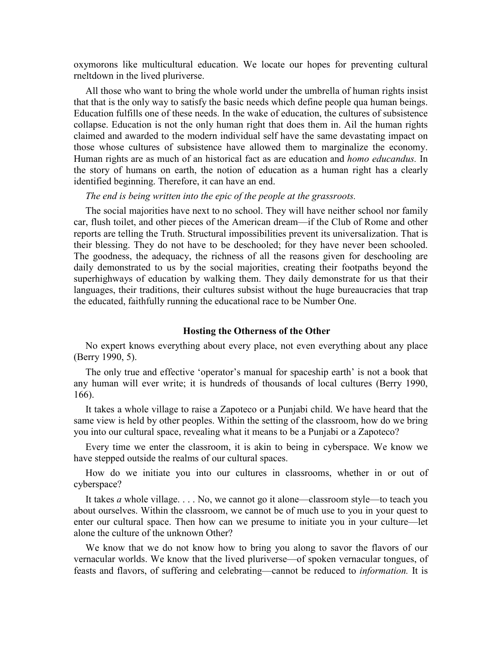oxymorons like multicultural education. We locate our hopes for preventing cultural rneltdown in the lived pluriverse.

All those who want to bring the whole world under the umbrella of human rights insist that that is the only way to satisfy the basic needs which define people qua human beings. Education fulfills one of these needs. In the wake of education, the cultures of subsistence collapse. Education is not the only human right that does them in. Ail the human rights claimed and awarded to the modern individual self have the same devastating impact on those whose cultures of subsistence have allowed them to marginalize the economy. Human rights are as much of an historical fact as are education and *homo educandus*. In the story of humans on earth, the notion of education as a human right has a clearly identified beginning. Therefore, it can have an end.

#### The end is being written into the epic of the people at the grassroots.

The social majorities have next to no school. They will have neither school nor family car, flush toilet, and other pieces of the American dream—if the Club of Rome and other reports are telling the Truth. Structural impossibilities prevent its universalization. That is their blessing. They do not have to be deschooled; for they have never been schooled. The goodness, the adequacy, the richness of all the reasons given for deschooling are daily demonstrated to us by the social majorities, creating their footpaths beyond the superhighways of education by walking them. They daily demonstrate for us that their languages, their traditions, their cultures subsist without the huge bureaucracies that trap the educated, faithfully running the educational race to be Number One.

#### Hosting the Otherness of the Other

No expert knows everything about every place, not even everything about any place (Berry 1990, 5).

The only true and effective 'operator's manual for spaceship earth' is not a book that any human will ever write; it is hundreds of thousands of local cultures (Berry 1990, 166).

It takes a whole village to raise a Zapoteco or a Punjabi child. We have heard that the same view is held by other peoples. Within the setting of the classroom, how do we bring you into our cultural space, revealing what it means to be a Punjabi or a Zapoteco?

Every time we enter the classroom, it is akin to being in cyberspace. We know we have stepped outside the realms of our cultural spaces.

How do we initiate you into our cultures in classrooms, whether in or out of cyberspace?

It takes *a* whole village.  $\dots$  No, we cannot go it alone—classroom style—to teach you about ourselves. Within the classroom, we cannot be of much use to you in your quest to enter our cultural space. Then how can we presume to initiate you in your culture—let alone the culture of the unknown Other?

We know that we do not know how to bring you along to savor the flavors of our vernacular worlds. We know that the lived pluriverse—of spoken vernacular tongues, of feasts and flavors, of suffering and celebrating—cannot be reduced to information. It is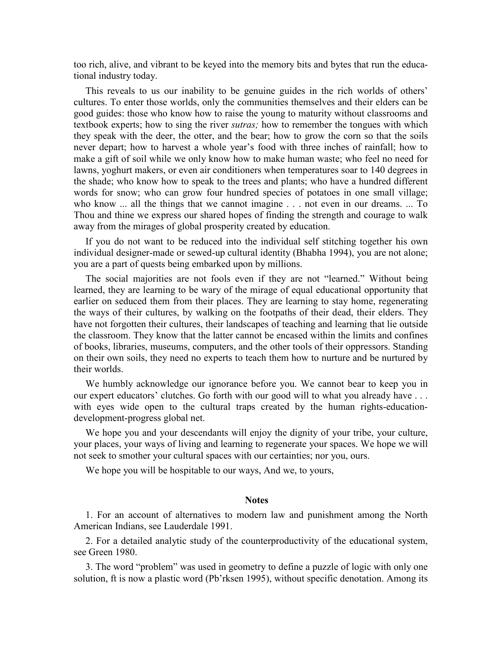too rich, alive, and vibrant to be keyed into the memory bits and bytes that run the educational industry today.

This reveals to us our inability to be genuine guides in the rich worlds of others' cultures. To enter those worlds, only the communities themselves and their elders can be good guides: those who know how to raise the young to maturity without classrooms and textbook experts; how to sing the river *sutras*; how to remember the tongues with which they speak with the deer, the otter, and the bear; how to grow the corn so that the soils never depart; how to harvest a whole year's food with three inches of rainfall; how to make a gift of soil while we only know how to make human waste; who feel no need for lawns, yoghurt makers, or even air conditioners when temperatures soar to 140 degrees in the shade; who know how to speak to the trees and plants; who have a hundred different words for snow; who can grow four hundred species of potatoes in one small village; who know ... all the things that we cannot imagine . . . not even in our dreams. ... To Thou and thine we express our shared hopes of finding the strength and courage to walk away from the mirages of global prosperity created by education.

If you do not want to be reduced into the individual self stitching together his own individual designer-made or sewed-up cultural identity (Bhabha 1994), you are not alone; you are a part of quests being embarked upon by millions.

The social majorities are not fools even if they are not "learned." Without being learned, they are learning to be wary of the mirage of equal educational opportunity that earlier on seduced them from their places. They are learning to stay home, regenerating the ways of their cultures, by walking on the footpaths of their dead, their elders. They have not forgotten their cultures, their landscapes of teaching and learning that lie outside the classroom. They know that the latter cannot be encased within the limits and confines of books, libraries, museums, computers, and the other tools of their oppressors. Standing on their own soils, they need no experts to teach them how to nurture and be nurtured by their worlds.

We humbly acknowledge our ignorance before you. We cannot bear to keep you in our expert educators' clutches. Go forth with our good will to what you already have . . . with eyes wide open to the cultural traps created by the human rights-educationdevelopment-progress global net.

We hope you and your descendants will enjoy the dignity of your tribe, your culture, your places, your ways of living and learning to regenerate your spaces. We hope we will not seek to smother your cultural spaces with our certainties; nor you, ours.

We hope you will be hospitable to our ways, And we, to yours,

## **Notes**

1. For an account of alternatives to modern law and punishment among the North American Indians, see Lauderdale 1991.

2. For a detailed analytic study of the counterproductivity of the educational system, see Green 1980.

3. The word "problem" was used in geometry to define a puzzle of logic with only one solution, ft is now a plastic word (Pb'rksen 1995), without specific denotation. Among its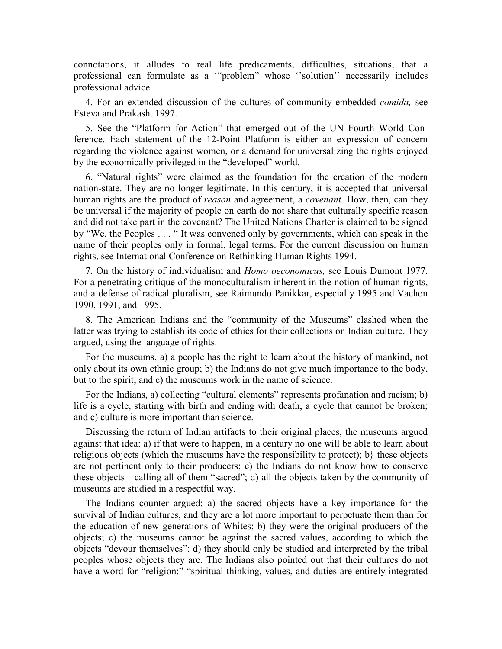connotations, it alludes to real life predicaments, difficulties, situations, that a professional can formulate as a '"problem" whose ''solution'' necessarily includes professional advice.

4. For an extended discussion of the cultures of community embedded comida, see Esteva and Prakash. 1997.

5. See the "Platform for Action" that emerged out of the UN Fourth World Conference. Each statement of the 12-Point Platform is either an expression of concern regarding the violence against women, or a demand for universalizing the rights enjoyed by the economically privileged in the "developed" world.

6. "Natural rights" were claimed as the foundation for the creation of the modern nation-state. They are no longer legitimate. In this century, it is accepted that universal human rights are the product of *reason* and agreement, a *covenant*. How, then, can they be universal if the majority of people on earth do not share that culturally specific reason and did not take part in the covenant? The United Nations Charter is claimed to be signed by "We, the Peoples . . . " It was convened only by governments, which can speak in the name of their peoples only in formal, legal terms. For the current discussion on human rights, see International Conference on Rethinking Human Rights 1994.

7. On the history of individualism and Homo oeconomicus, see Louis Dumont 1977. For a penetrating critique of the monoculturalism inherent in the notion of human rights, and a defense of radical pluralism, see Raimundo Panikkar, especially 1995 and Vachon 1990, 1991, and 1995.

8. The American Indians and the "community of the Museums" clashed when the latter was trying to establish its code of ethics for their collections on Indian culture. They argued, using the language of rights.

For the museums, a) a people has the right to learn about the history of mankind, not only about its own ethnic group; b) the Indians do not give much importance to the body, but to the spirit; and c) the museums work in the name of science.

For the Indians, a) collecting "cultural elements" represents profanation and racism; b) life is a cycle, starting with birth and ending with death, a cycle that cannot be broken; and c) culture is more important than science.

Discussing the return of Indian artifacts to their original places, the museums argued against that idea: a) if that were to happen, in a century no one will be able to learn about religious objects (which the museums have the responsibility to protect); b} these objects are not pertinent only to their producers; c) the Indians do not know how to conserve these objects—calling all of them "sacred"; d) all the objects taken by the community of museums are studied in a respectful way.

The Indians counter argued: a) the sacred objects have a key importance for the survival of Indian cultures, and they are a lot more important to perpetuate them than for the education of new generations of Whites; b) they were the original producers of the objects; c) the museums cannot be against the sacred values, according to which the objects "devour themselves": d) they should only be studied and interpreted by the tribal peoples whose objects they are. The Indians also pointed out that their cultures do not have a word for "religion:" "spiritual thinking, values, and duties are entirely integrated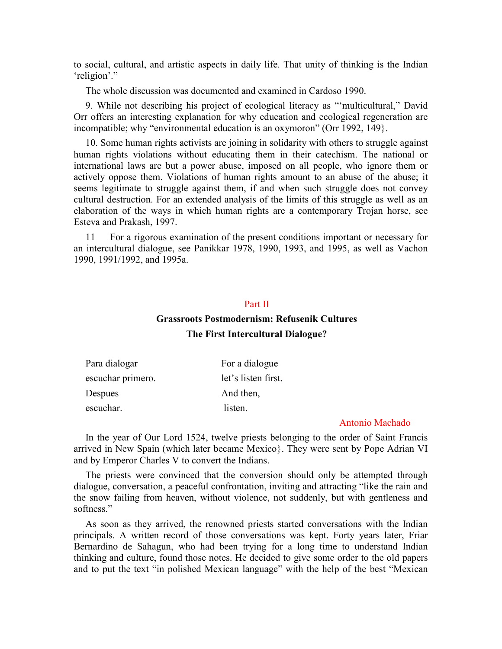to social, cultural, and artistic aspects in daily life. That unity of thinking is the Indian 'religion'."

The whole discussion was documented and examined in Cardoso 1990.

9. While not describing his project of ecological literacy as "'multicultural," David Orr offers an interesting explanation for why education and ecological regeneration are incompatible; why "environmental education is an oxymoron" (Orr 1992, 149}.

10. Some human rights activists are joining in solidarity with others to struggle against human rights violations without educating them in their catechism. The national or international laws are but a power abuse, imposed on all people, who ignore them or actively oppose them. Violations of human rights amount to an abuse of the abuse; it seems legitimate to struggle against them, if and when such struggle does not convey cultural destruction. For an extended analysis of the limits of this struggle as well as an elaboration of the ways in which human rights are a contemporary Trojan horse, see Esteva and Prakash, 1997.

11 For a rigorous examination of the present conditions important or necessary for an intercultural dialogue, see Panikkar 1978, 1990, 1993, and 1995, as well as Vachon 1990, 1991/1992, and 1995a.

#### Part II

# Grassroots Postmodernism: Refusenik Cultures The First Intercultural Dialogue?

| Para dialogar     | For a dialogue      |
|-------------------|---------------------|
| escuchar primero. | let's listen first. |
| Despues           | And then,           |
| escuchar.         | listen.             |

#### Antonio Machado

In the year of Our Lord 1524, twelve priests belonging to the order of Saint Francis arrived in New Spain (which later became Mexico}. They were sent by Pope Adrian VI and by Emperor Charles V to convert the Indians.

The priests were convinced that the conversion should only be attempted through dialogue, conversation, a peaceful confrontation, inviting and attracting "like the rain and the snow failing from heaven, without violence, not suddenly, but with gentleness and softness<sup>"</sup>

As soon as they arrived, the renowned priests started conversations with the Indian principals. A written record of those conversations was kept. Forty years later, Friar Bernardino de Sahagun, who had been trying for a long time to understand Indian thinking and culture, found those notes. He decided to give some order to the old papers and to put the text "in polished Mexican language" with the help of the best "Mexican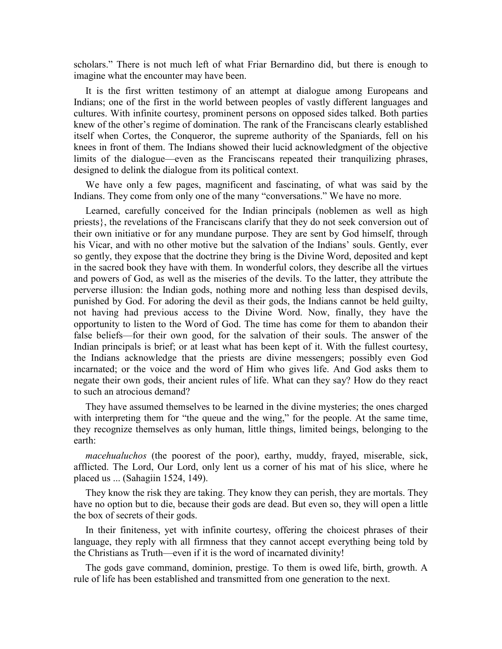scholars." There is not much left of what Friar Bernardino did, but there is enough to imagine what the encounter may have been.

It is the first written testimony of an attempt at dialogue among Europeans and Indians; one of the first in the world between peoples of vastly different languages and cultures. With infinite courtesy, prominent persons on opposed sides talked. Both parties knew of the other's regime of domination. The rank of the Franciscans clearly established itself when Cortes, the Conqueror, the supreme authority of the Spaniards, fell on his knees in front of them. The Indians showed their lucid acknowledgment of the objective limits of the dialogue—even as the Franciscans repeated their tranquilizing phrases, designed to delink the dialogue from its political context.

We have only a few pages, magnificent and fascinating, of what was said by the Indians. They come from only one of the many "conversations." We have no more.

Learned, carefully conceived for the Indian principals (noblemen as well as high priests}, the revelations of the Franciscans clarify that they do not seek conversion out of their own initiative or for any mundane purpose. They are sent by God himself, through his Vicar, and with no other motive but the salvation of the Indians' souls. Gently, ever so gently, they expose that the doctrine they bring is the Divine Word, deposited and kept in the sacred book they have with them. In wonderful colors, they describe all the virtues and powers of God, as well as the miseries of the devils. To the latter, they attribute the perverse illusion: the Indian gods, nothing more and nothing less than despised devils, punished by God. For adoring the devil as their gods, the Indians cannot be held guilty, not having had previous access to the Divine Word. Now, finally, they have the opportunity to listen to the Word of God. The time has come for them to abandon their false beliefs—for their own good, for the salvation of their souls. The answer of the Indian principals is brief; or at least what has been kept of it. With the fullest courtesy, the Indians acknowledge that the priests are divine messengers; possibly even God incarnated; or the voice and the word of Him who gives life. And God asks them to negate their own gods, their ancient rules of life. What can they say? How do they react to such an atrocious demand?

They have assumed themselves to be learned in the divine mysteries; the ones charged with interpreting them for "the queue and the wing," for the people. At the same time, they recognize themselves as only human, little things, limited beings, belonging to the earth:

macehualuchos (the poorest of the poor), earthy, muddy, frayed, miserable, sick, afflicted. The Lord, Our Lord, only lent us a corner of his mat of his slice, where he placed us ... (Sahagiin 1524, 149).

They know the risk they are taking. They know they can perish, they are mortals. They have no option but to die, because their gods are dead. But even so, they will open a little the box of secrets of their gods.

In their finiteness, yet with infinite courtesy, offering the choicest phrases of their language, they reply with all firmness that they cannot accept everything being told by the Christians as Truth—even if it is the word of incarnated divinity!

The gods gave command, dominion, prestige. To them is owed life, birth, growth. A rule of life has been established and transmitted from one generation to the next.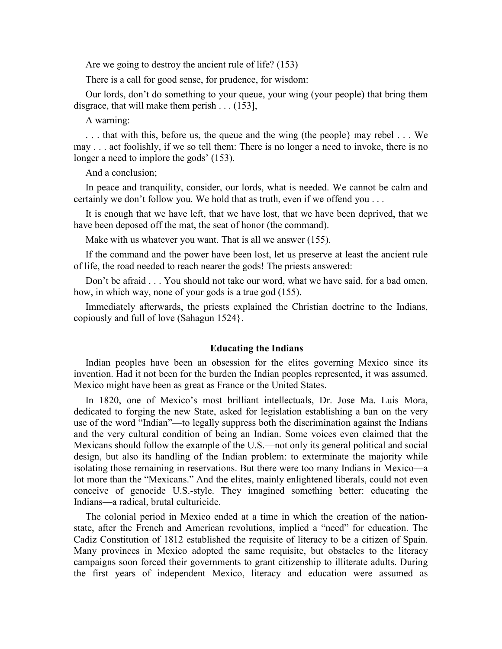Are we going to destroy the ancient rule of life? (153)

There is a call for good sense, for prudence, for wisdom:

Our lords, don't do something to your queue, your wing (your people) that bring them disgrace, that will make them perish . . . (153],

A warning:

. . . that with this, before us, the queue and the wing (the people} may rebel . . . We may . . . act foolishly, if we so tell them: There is no longer a need to invoke, there is no longer a need to implore the gods' (153).

And a conclusion;

In peace and tranquility, consider, our lords, what is needed. We cannot be calm and certainly we don't follow you. We hold that as truth, even if we offend you . . .

It is enough that we have left, that we have lost, that we have been deprived, that we have been deposed off the mat, the seat of honor (the command).

Make with us whatever you want. That is all we answer (155).

If the command and the power have been lost, let us preserve at least the ancient rule of life, the road needed to reach nearer the gods! The priests answered:

Don't be afraid . . . You should not take our word, what we have said, for a bad omen, how, in which way, none of your gods is a true god (155).

Immediately afterwards, the priests explained the Christian doctrine to the Indians, copiously and full of love (Sahagun 1524}.

#### Educating the Indians

Indian peoples have been an obsession for the elites governing Mexico since its invention. Had it not been for the burden the Indian peoples represented, it was assumed, Mexico might have been as great as France or the United States.

In 1820, one of Mexico's most brilliant intellectuals, Dr. Jose Ma. Luis Mora, dedicated to forging the new State, asked for legislation establishing a ban on the very use of the word "Indian"—to legally suppress both the discrimination against the Indians and the very cultural condition of being an Indian. Some voices even claimed that the Mexicans should follow the example of the U.S.—not only its general political and social design, but also its handling of the Indian problem: to exterminate the majority while isolating those remaining in reservations. But there were too many Indians in Mexico—a lot more than the "Mexicans." And the elites, mainly enlightened liberals, could not even conceive of genocide U.S.-style. They imagined something better: educating the Indians—a radical, brutal culturicide.

The colonial period in Mexico ended at a time in which the creation of the nationstate, after the French and American revolutions, implied a "need" for education. The Cadiz Constitution of 1812 established the requisite of literacy to be a citizen of Spain. Many provinces in Mexico adopted the same requisite, but obstacles to the literacy campaigns soon forced their governments to grant citizenship to illiterate adults. During the first years of independent Mexico, literacy and education were assumed as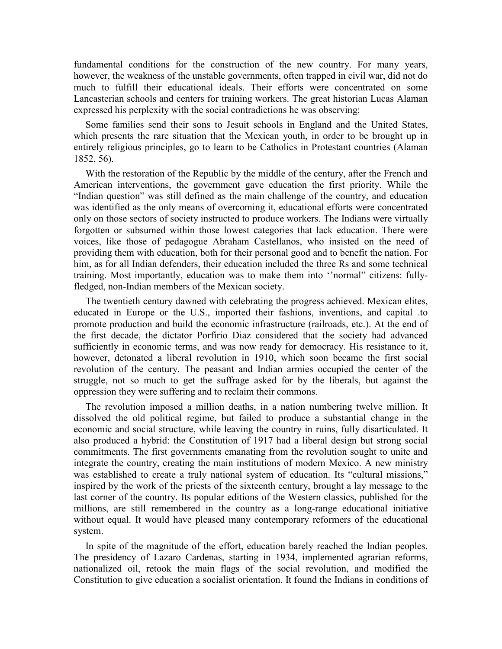fundamental conditions for the construction of the new country. For many years, however, the weakness of the unstable governments, often trapped in civil war, did not do much to fulfill their educational ideals. Their efforts were concentrated on some Lancasterian schools and centers for training workers. The great historian Lucas Alaman expressed his perplexity with the social contradictions he was observing:

Some families send their sons to Jesuit schools in England and the United States, which presents the rare situation that the Mexican youth, in order to be brought up in entirely religious principles, go to learn to be Catholics in Protestant countries (Alaman 1852, 56).

With the restoration of the Republic by the middle of the century, after the French and American interventions, the government gave education the first priority. While the "Indian question" was still defined as the main challenge of the country, and education was identified as the only means of overcoming it, educational efforts were concentrated only on those sectors of society instructed to produce workers. The Indians were virtually forgotten or subsumed within those lowest categories that lack education. There were voices, like those of pedagogue Abraham Castellanos, who insisted on the need of providing them with education, both for their personal good and to benefit the nation. For him, as for all Indian defenders, their education included the three Rs and some technical training. Most importantly, education was to make them into ''normal" citizens: fullyfledged, non-Indian members of the Mexican society.

The twentieth century dawned with celebrating the progress achieved. Mexican elites, educated in Europe or the U.S., imported their fashions, inventions, and capital .to promote production and build the economic infrastructure (railroads, etc.). At the end of the first decade, the dictator Porfirio Diaz considered that the society had advanced sufficiently in economic terms, and was now ready for democracy. His resistance to it, however, detonated a liberal revolution in 1910, which soon became the first social revolution of the century. The peasant and Indian armies occupied the center of the struggle, not so much to get the suffrage asked for by the liberals, but against the oppression they were suffering and to reclaim their commons.

The revolution imposed a million deaths, in a nation numbering twelve million. It dissolved the old political regime, but failed to produce a substantial change in the economic and social structure, while leaving the country in ruins, fully disarticulated. It also produced a hybrid: the Constitution of 1917 had a liberal design but strong social commitments. The first governments emanating from the revolution sought to unite and integrate the country, creating the main institutions of modern Mexico. A new ministry was established to create a truly national system of education. Its "cultural missions," inspired by the work of the priests of the sixteenth century, brought a lay message to the last corner of the country. Its popular editions of the Western classics, published for the millions, are still remembered in the country as a long-range educational initiative without equal. It would have pleased many contemporary reformers of the educational system.

In spite of the magnitude of the effort, education barely reached the Indian peoples. The presidency of Lazaro Cardenas, starting in 1934, implemented agrarian reforms, nationalized oil, retook the main flags of the social revolution, and modified the Constitution to give education a socialist orientation. It found the Indians in conditions of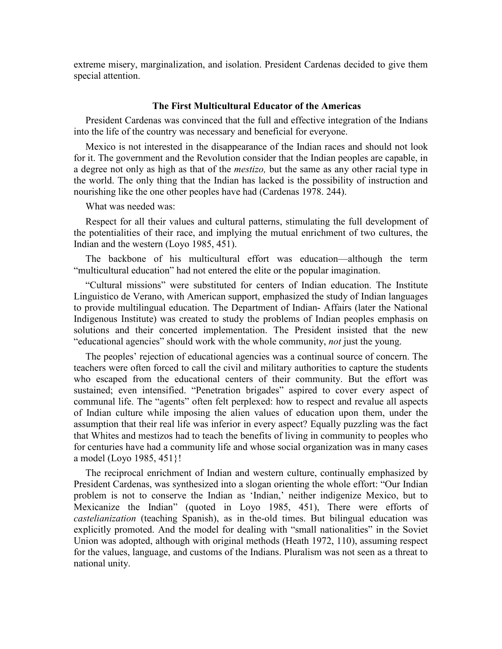extreme misery, marginalization, and isolation. President Cardenas decided to give them special attention.

#### The First Multicultural Educator of the Americas

President Cardenas was convinced that the full and effective integration of the Indians into the life of the country was necessary and beneficial for everyone.

Mexico is not interested in the disappearance of the Indian races and should not look for it. The government and the Revolution consider that the Indian peoples are capable, in a degree not only as high as that of the *mestizo*, but the same as any other racial type in the world. The only thing that the Indian has lacked is the possibility of instruction and nourishing like the one other peoples have had (Cardenas 1978. 244).

What was needed was:

Respect for all their values and cultural patterns, stimulating the full development of the potentialities of their race, and implying the mutual enrichment of two cultures, the Indian and the western (Loyo 1985, 451).

The backbone of his multicultural effort was education—although the term "multicultural education" had not entered the elite or the popular imagination.

"Cultural missions" were substituted for centers of Indian education. The Institute Linguistico de Verano, with American support, emphasized the study of Indian languages to provide multilingual education. The Department of Indian- Affairs (later the National Indigenous Institute) was created to study the problems of Indian peoples emphasis on solutions and their concerted implementation. The President insisted that the new "educational agencies" should work with the whole community, not just the young.

The peoples' rejection of educational agencies was a continual source of concern. The teachers were often forced to call the civil and military authorities to capture the students who escaped from the educational centers of their community. But the effort was sustained; even intensified. "Penetration brigades" aspired to cover every aspect of communal life. The "agents" often felt perplexed: how to respect and revalue all aspects of Indian culture while imposing the alien values of education upon them, under the assumption that their real life was inferior in every aspect? Equally puzzling was the fact that Whites and mestizos had to teach the benefits of living in community to peoples who for centuries have had a community life and whose social organization was in many cases a model (Loyo 1985, 451}!

The reciprocal enrichment of Indian and western culture, continually emphasized by President Cardenas, was synthesized into a slogan orienting the whole effort: "Our Indian problem is not to conserve the Indian as 'Indian,' neither indigenize Mexico, but to Mexicanize the Indian" (quoted in Loyo 1985, 451), There were efforts of castelianization (teaching Spanish), as in the-old times. But bilingual education was explicitly promoted. And the model for dealing with "small nationalities" in the Soviet Union was adopted, although with original methods (Heath 1972, 110), assuming respect for the values, language, and customs of the Indians. Pluralism was not seen as a threat to national unity.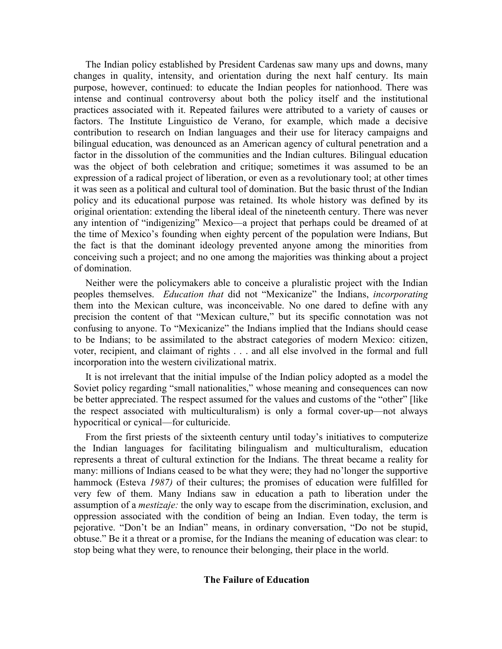The Indian policy established by President Cardenas saw many ups and downs, many changes in quality, intensity, and orientation during the next half century. Its main purpose, however, continued: to educate the Indian peoples for nationhood. There was intense and continual controversy about both the policy itself and the institutional practices associated with it. Repeated failures were attributed to a variety of causes or factors. The Institute Linguistico de Verano, for example, which made a decisive contribution to research on Indian languages and their use for literacy campaigns and bilingual education, was denounced as an American agency of cultural penetration and a factor in the dissolution of the communities and the Indian cultures. Bilingual education was the object of both celebration and critique; sometimes it was assumed to be an expression of a radical project of liberation, or even as a revolutionary tool; at other times it was seen as a political and cultural tool of domination. But the basic thrust of the Indian policy and its educational purpose was retained. Its whole history was defined by its original orientation: extending the liberal ideal of the nineteenth century. There was never any intention of "indigenizing" Mexico—a project that perhaps could be dreamed of at the time of Mexico's founding when eighty percent of the population were Indians, But the fact is that the dominant ideology prevented anyone among the minorities from conceiving such a project; and no one among the majorities was thinking about a project of domination.

Neither were the policymakers able to conceive a pluralistic project with the Indian peoples themselves. Education that did not "Mexicanize" the Indians, incorporating them into the Mexican culture, was inconceivable. No one dared to define with any precision the content of that "Mexican culture," but its specific connotation was not confusing to anyone. To "Mexicanize" the Indians implied that the Indians should cease to be Indians; to be assimilated to the abstract categories of modern Mexico: citizen, voter, recipient, and claimant of rights . . . and all else involved in the formal and full incorporation into the western civilizational matrix.

It is not irrelevant that the initial impulse of the Indian policy adopted as a model the Soviet policy regarding "small nationalities," whose meaning and consequences can now be better appreciated. The respect assumed for the values and customs of the "other" [like the respect associated with multiculturalism) is only a formal cover-up—not always hypocritical or cynical—for culturicide.

From the first priests of the sixteenth century until today's initiatives to computerize the Indian languages for facilitating bilingualism and multiculturalism, education represents a threat of cultural extinction for the Indians. The threat became a reality for many: millions of Indians ceased to be what they were; they had no'longer the supportive hammock (Esteva 1987) of their cultures; the promises of education were fulfilled for very few of them. Many Indians saw in education a path to liberation under the assumption of a *mestizaje*: the only way to escape from the discrimination, exclusion, and oppression associated with the condition of being an Indian. Even today, the term is pejorative. "Don't be an Indian" means, in ordinary conversation, "Do not be stupid, obtuse." Be it a threat or a promise, for the Indians the meaning of education was clear: to stop being what they were, to renounce their belonging, their place in the world.

#### The Failure of Education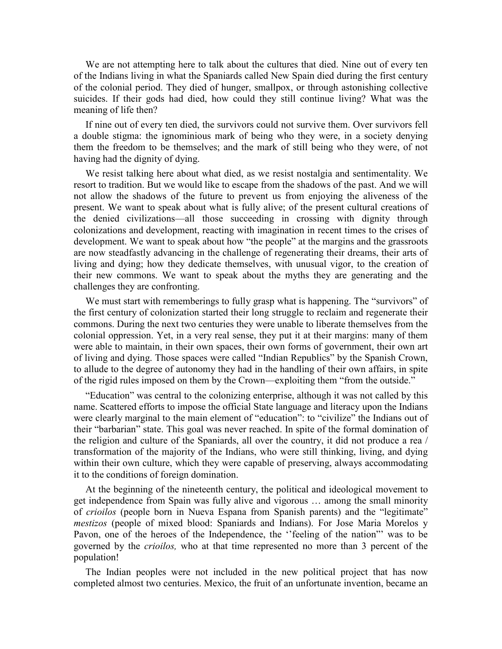We are not attempting here to talk about the cultures that died. Nine out of every ten of the Indians living in what the Spaniards called New Spain died during the first century of the colonial period. They died of hunger, smallpox, or through astonishing collective suicides. If their gods had died, how could they still continue living? What was the meaning of life then?

If nine out of every ten died, the survivors could not survive them. Over survivors fell a double stigma: the ignominious mark of being who they were, in a society denying them the freedom to be themselves; and the mark of still being who they were, of not having had the dignity of dying.

We resist talking here about what died, as we resist nostalgia and sentimentality. We resort to tradition. But we would like to escape from the shadows of the past. And we will not allow the shadows of the future to prevent us from enjoying the aliveness of the present. We want to speak about what is fully alive; of the present cultural creations of the denied civilizations—all those succeeding in crossing with dignity through colonizations and development, reacting with imagination in recent times to the crises of development. We want to speak about how "the people" at the margins and the grassroots are now steadfastly advancing in the challenge of regenerating their dreams, their arts of living and dying; how they dedicate themselves, with unusual vigor, to the creation of their new commons. We want to speak about the myths they are generating and the challenges they are confronting.

We must start with rememberings to fully grasp what is happening. The "survivors" of the first century of colonization started their long struggle to reclaim and regenerate their commons. During the next two centuries they were unable to liberate themselves from the colonial oppression. Yet, in a very real sense, they put it at their margins: many of them were able to maintain, in their own spaces, their own forms of government, their own art of living and dying. Those spaces were called "Indian Republics" by the Spanish Crown, to allude to the degree of autonomy they had in the handling of their own affairs, in spite of the rigid rules imposed on them by the Crown—exploiting them "from the outside."

"Education" was central to the colonizing enterprise, although it was not called by this name. Scattered efforts to impose the official State language and literacy upon the Indians were clearly marginal to the main element of "education": to "civilize" the Indians out of their "barbarian" state. This goal was never reached. In spite of the formal domination of the religion and culture of the Spaniards, all over the country, it did not produce a rea / transformation of the majority of the Indians, who were still thinking, living, and dying within their own culture, which they were capable of preserving, always accommodating it to the conditions of foreign domination.

At the beginning of the nineteenth century, the political and ideological movement to get independence from Spain was fully alive and vigorous … among the small minority of crioilos (people born in Nueva Espana from Spanish parents) and the "legitimate" mestizos (people of mixed blood: Spaniards and Indians). For Jose Maria Morelos y Pavon, one of the heroes of the Independence, the ''feeling of the nation"' was to be governed by the crioilos, who at that time represented no more than 3 percent of the population!

The Indian peoples were not included in the new political project that has now completed almost two centuries. Mexico, the fruit of an unfortunate invention, became an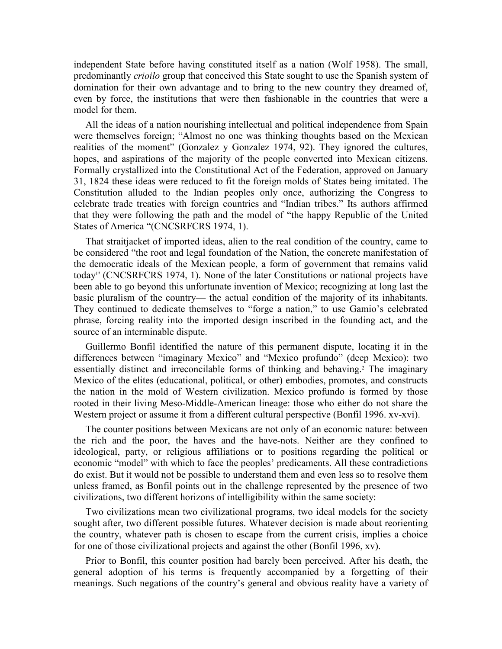independent State before having constituted itself as a nation (Wolf 1958). The small, predominantly crioilo group that conceived this State sought to use the Spanish system of domination for their own advantage and to bring to the new country they dreamed of, even by force, the institutions that were then fashionable in the countries that were a model for them.

All the ideas of a nation nourishing intellectual and political independence from Spain were themselves foreign; "Almost no one was thinking thoughts based on the Mexican realities of the moment" (Gonzalez y Gonzalez 1974, 92). They ignored the cultures, hopes, and aspirations of the majority of the people converted into Mexican citizens. Formally crystallized into the Constitutional Act of the Federation, approved on January 31, 1824 these ideas were reduced to fit the foreign molds of States being imitated. The Constitution alluded to the Indian peoples only once, authorizing the Congress to celebrate trade treaties with foreign countries and "Indian tribes." Its authors affirmed that they were following the path and the model of "the happy Republic of the United States of America "(CNCSRFCRS 1974, 1).

That straitjacket of imported ideas, alien to the real condition of the country, came to be considered "the root and legal foundation of the Nation, the concrete manifestation of the democratic ideals of the Mexican people, a form of government that remains valid today<sup>1</sup> ' (CNCSRFCRS 1974, 1). None of the later Constitutions or national projects have been able to go beyond this unfortunate invention of Mexico; recognizing at long last the basic pluralism of the country— the actual condition of the majority of its inhabitants. They continued to dedicate themselves to "forge a nation," to use Gamio's celebrated phrase, forcing reality into the imported design inscribed in the founding act, and the source of an interminable dispute.

Guillermo Bonfil identified the nature of this permanent dispute, locating it in the differences between "imaginary Mexico" and "Mexico profundo" (deep Mexico): two essentially distinct and irreconcilable forms of thinking and behaving.<sup>2</sup> The imaginary Mexico of the elites (educational, political, or other) embodies, promotes, and constructs the nation in the mold of Western civilization. Mexico profundo is formed by those rooted in their living Meso-Middle-American lineage: those who either do not share the Western project or assume it from a different cultural perspective (Bonfil 1996. xv-xvi).

The counter positions between Mexicans are not only of an economic nature: between the rich and the poor, the haves and the have-nots. Neither are they confined to ideological, party, or religious affiliations or to positions regarding the political or economic "model" with which to face the peoples' predicaments. All these contradictions do exist. But it would not be possible to understand them and even less so to resolve them unless framed, as Bonfil points out in the challenge represented by the presence of two civilizations, two different horizons of intelligibility within the same society:

Two civilizations mean two civilizational programs, two ideal models for the society sought after, two different possible futures. Whatever decision is made about reorienting the country, whatever path is chosen to escape from the current crisis, implies a choice for one of those civilizational projects and against the other (Bonfil 1996, xv).

Prior to Bonfil, this counter position had barely been perceived. After his death, the general adoption of his terms is frequently accompanied by a forgetting of their meanings. Such negations of the country's general and obvious reality have a variety of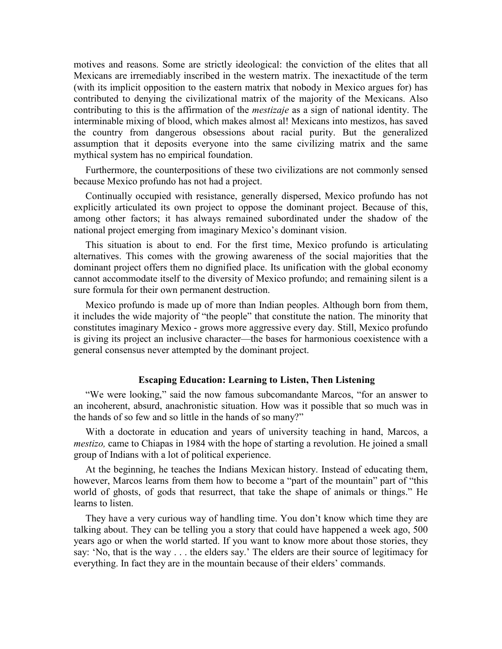motives and reasons. Some are strictly ideological: the conviction of the elites that all Mexicans are irremediably inscribed in the western matrix. The inexactitude of the term (with its implicit opposition to the eastern matrix that nobody in Mexico argues for) has contributed to denying the civilizational matrix of the majority of the Mexicans. Also contributing to this is the affirmation of the mestizaje as a sign of national identity. The interminable mixing of blood, which makes almost al! Mexicans into mestizos, has saved the country from dangerous obsessions about racial purity. But the generalized assumption that it deposits everyone into the same civilizing matrix and the same mythical system has no empirical foundation.

Furthermore, the counterpositions of these two civilizations are not commonly sensed because Mexico profundo has not had a project.

Continually occupied with resistance, generally dispersed, Mexico profundo has not explicitly articulated its own project to oppose the dominant project. Because of this, among other factors; it has always remained subordinated under the shadow of the national project emerging from imaginary Mexico's dominant vision.

This situation is about to end. For the first time, Mexico profundo is articulating alternatives. This comes with the growing awareness of the social majorities that the dominant project offers them no dignified place. Its unification with the global economy cannot accommodate itself to the diversity of Mexico profundo; and remaining silent is a sure formula for their own permanent destruction.

Mexico profundo is made up of more than Indian peoples. Although born from them, it includes the wide majority of "the people" that constitute the nation. The minority that constitutes imaginary Mexico - grows more aggressive every day. Still, Mexico profundo is giving its project an inclusive character—the bases for harmonious coexistence with a general consensus never attempted by the dominant project.

#### Escaping Education: Learning to Listen, Then Listening

"We were looking," said the now famous subcomandante Marcos, "for an answer to an incoherent, absurd, anachronistic situation. How was it possible that so much was in the hands of so few and so little in the hands of so many?"

With a doctorate in education and years of university teaching in hand, Marcos, a mestizo, came to Chiapas in 1984 with the hope of starting a revolution. He joined a small group of Indians with a lot of political experience.

At the beginning, he teaches the Indians Mexican history. Instead of educating them, however, Marcos learns from them how to become a "part of the mountain" part of "this world of ghosts, of gods that resurrect, that take the shape of animals or things." He learns to listen.

They have a very curious way of handling time. You don't know which time they are talking about. They can be telling you a story that could have happened a week ago, 500 years ago or when the world started. If you want to know more about those stories, they say: 'No, that is the way . . . the elders say.' The elders are their source of legitimacy for everything. In fact they are in the mountain because of their elders' commands.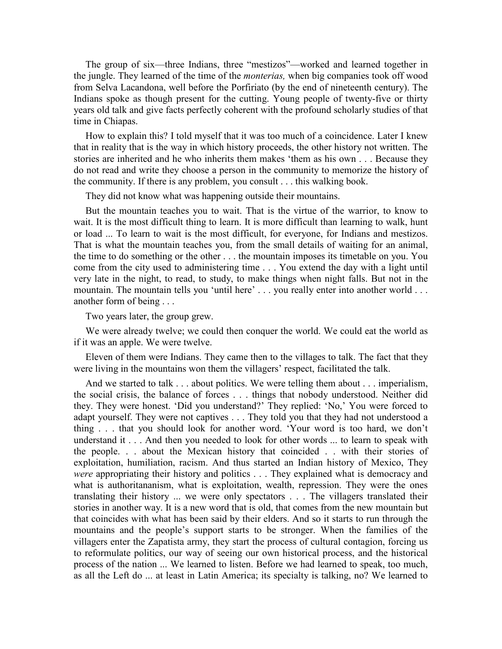The group of six—three Indians, three "mestizos"—worked and learned together in the jungle. They learned of the time of the monterias, when big companies took off wood from Selva Lacandona, well before the Porfiriato (by the end of nineteenth century). The Indians spoke as though present for the cutting. Young people of twenty-five or thirty years old talk and give facts perfectly coherent with the profound scholarly studies of that time in Chiapas.

How to explain this? I told myself that it was too much of a coincidence. Later I knew that in reality that is the way in which history proceeds, the other history not written. The stories are inherited and he who inherits them makes 'them as his own . . . Because they do not read and write they choose a person in the community to memorize the history of the community. If there is any problem, you consult . . . this walking book.

They did not know what was happening outside their mountains.

But the mountain teaches you to wait. That is the virtue of the warrior, to know to wait. It is the most difficult thing to learn. It is more difficult than learning to walk, hunt or load ... To learn to wait is the most difficult, for everyone, for Indians and mestizos. That is what the mountain teaches you, from the small details of waiting for an animal, the time to do something or the other . . . the mountain imposes its timetable on you. You come from the city used to administering time . . . You extend the day with a light until very late in the night, to read, to study, to make things when night falls. But not in the mountain. The mountain tells you 'until here' . . . you really enter into another world . . . another form of being . . .

Two years later, the group grew.

We were already twelve; we could then conquer the world. We could eat the world as if it was an apple. We were twelve.

Eleven of them were Indians. They came then to the villages to talk. The fact that they were living in the mountains won them the villagers' respect, facilitated the talk.

And we started to talk . . . about politics. We were telling them about . . . imperialism, the social crisis, the balance of forces . . . things that nobody understood. Neither did they. They were honest. 'Did you understand?' They replied: 'No,' You were forced to adapt yourself. They were not captives . . . They told you that they had not understood a thing . . . that you should look for another word. 'Your word is too hard, we don't understand it . . . And then you needed to look for other words ... to learn to speak with the people. . . about the Mexican history that coincided . . with their stories of exploitation, humiliation, racism. And thus started an Indian history of Mexico, They were appropriating their history and politics . . . They explained what is democracy and what is authoritananism, what is exploitation, wealth, repression. They were the ones translating their history ... we were only spectators . . . The villagers translated their stories in another way. It is a new word that is old, that comes from the new mountain but that coincides with what has been said by their elders. And so it starts to run through the mountains and the people's support starts to be stronger. When the families of the villagers enter the Zapatista army, they start the process of cultural contagion, forcing us to reformulate politics, our way of seeing our own historical process, and the historical process of the nation ... We learned to listen. Before we had learned to speak, too much, as all the Left do ... at least in Latin America; its specialty is talking, no? We learned to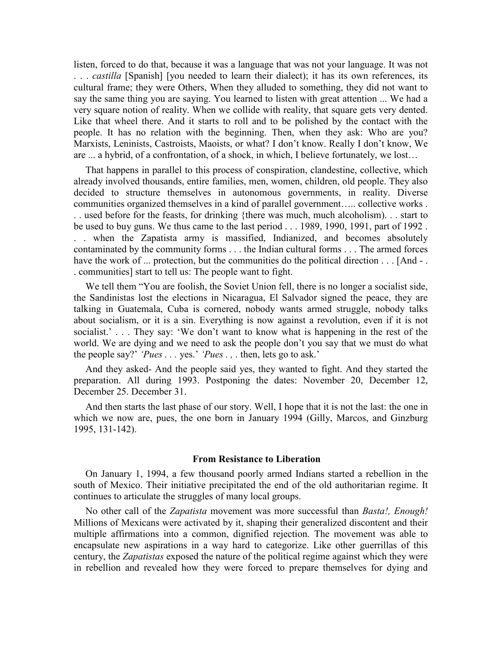listen, forced to do that, because it was a language that was not your language. It was not ... *castilla* [Spanish] [you needed to learn their dialect); it has its own references, its cultural frame; they were Others, When they alluded to something, they did not want to say the same thing you are saying. You learned to listen with great attention ... We had a very square notion of reality. When we collide with reality, that square gets very dented. Like that wheel there. And it starts to roll and to be polished by the contact with the people. It has no relation with the beginning. Then, when they ask: Who are you? Marxists, Leninists, Castroists, Maoists, or what? I don't know. Really I don't know, We are ... a hybrid, of a confrontation, of a shock, in which, I believe fortunately, we lost…

That happens in parallel to this process of conspiration, clandestine, collective, which already involved thousands, entire families, men, women, children, old people. They also decided to structure themselves in autonomous governments, in reality. Diverse communities organized themselves in a kind of parallel government….. collective works . . . used before for the feasts, for drinking {there was much, much alcoholism). . . start to be used to buy guns. We thus came to the last period . . . 1989, 1990, 1991, part of 1992 . . . when the Zapatista army is massified, Indianized, and becomes absolutely contaminated by the community forms . . . the Indian cultural forms . . . The armed forces have the work of ... protection, but the communities do the political direction . . . [And - . . communities] start to tell us: The people want to fight.

We tell them "You are foolish, the Soviet Union fell, there is no longer a socialist side, the Sandinistas lost the elections in Nicaragua, El Salvador signed the peace, they are talking in Guatemala, Cuba is cornered, nobody wants armed struggle, nobody talks about socialism, or it is a sin. Everything is now against a revolution, even if it is not socialist.' . . . They say: 'We don't want to know what is happening in the rest of the world. We are dying and we need to ask the people don't you say that we must do what the people say?' 'Pues . . . yes.' 'Pues . , . then, lets go to ask.'

And they asked- And the people said yes, they wanted to fight. And they started the preparation. All during 1993. Postponing the dates: November 20, December 12, December 25. December 31.

And then starts the last phase of our story. Well, I hope that it is not the last: the one in which we now are, pues, the one born in January 1994 (Gilly, Marcos, and Ginzburg 1995, 131-142).

### From Resistance to Liberation

On January 1, 1994, a few thousand poorly armed Indians started a rebellion in the south of Mexico. Their initiative precipitated the end of the old authoritarian regime. It continues to articulate the struggles of many local groups.

No other call of the *Zapatista* movement was more successful than *Basta!, Enough!* Millions of Mexicans were activated by it, shaping their generalized discontent and their multiple affirmations into a common, dignified rejection. The movement was able to encapsulate new aspirations in a way hard to categorize. Like other guerrillas of this century, the *Zapatistas* exposed the nature of the political regime against which they were in rebellion and revealed how they were forced to prepare themselves for dying and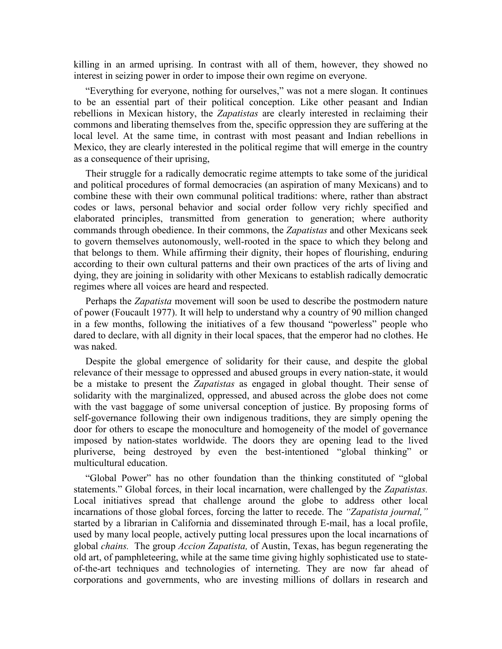killing in an armed uprising. In contrast with all of them, however, they showed no interest in seizing power in order to impose their own regime on everyone.

"Everything for everyone, nothing for ourselves," was not a mere slogan. It continues to be an essential part of their political conception. Like other peasant and Indian rebellions in Mexican history, the Zapatistas are clearly interested in reclaiming their commons and liberating themselves from the, specific oppression they are suffering at the local level. At the same time, in contrast with most peasant and Indian rebellions in Mexico, they are clearly interested in the political regime that will emerge in the country as a consequence of their uprising,

Their struggle for a radically democratic regime attempts to take some of the juridical and political procedures of formal democracies (an aspiration of many Mexicans) and to combine these with their own communal political traditions: where, rather than abstract codes or laws, personal behavior and social order follow very richly specified and elaborated principles, transmitted from generation to generation; where authority commands through obedience. In their commons, the Zapatistas and other Mexicans seek to govern themselves autonomously, well-rooted in the space to which they belong and that belongs to them. While affirming their dignity, their hopes of flourishing, enduring according to their own cultural patterns and their own practices of the arts of living and dying, they are joining in solidarity with other Mexicans to establish radically democratic regimes where all voices are heard and respected.

Perhaps the *Zapatista* movement will soon be used to describe the postmodern nature of power (Foucault 1977). It will help to understand why a country of 90 million changed in a few months, following the initiatives of a few thousand "powerless" people who dared to declare, with all dignity in their local spaces, that the emperor had no clothes. He was naked.

Despite the global emergence of solidarity for their cause, and despite the global relevance of their message to oppressed and abused groups in every nation-state, it would be a mistake to present the *Zapatistas* as engaged in global thought. Their sense of solidarity with the marginalized, oppressed, and abused across the globe does not come with the vast baggage of some universal conception of justice. By proposing forms of self-governance following their own indigenous traditions, they are simply opening the door for others to escape the monoculture and homogeneity of the model of governance imposed by nation-states worldwide. The doors they are opening lead to the lived pluriverse, being destroyed by even the best-intentioned "global thinking" or multicultural education.

"Global Power" has no other foundation than the thinking constituted of "global statements." Global forces, in their local incarnation, were challenged by the Zapatistas. Local initiatives spread that challenge around the globe to address other local incarnations of those global forces, forcing the latter to recede. The "Zapatista journal," started by a librarian in California and disseminated through E-mail, has a local profile, used by many local people, actively putting local pressures upon the local incarnations of global chains. The group Accion Zapatista, of Austin, Texas, has begun regenerating the old art, of pamphleteering, while at the same time giving highly sophisticated use to stateof-the-art techniques and technologies of interneting. They are now far ahead of corporations and governments, who are investing millions of dollars in research and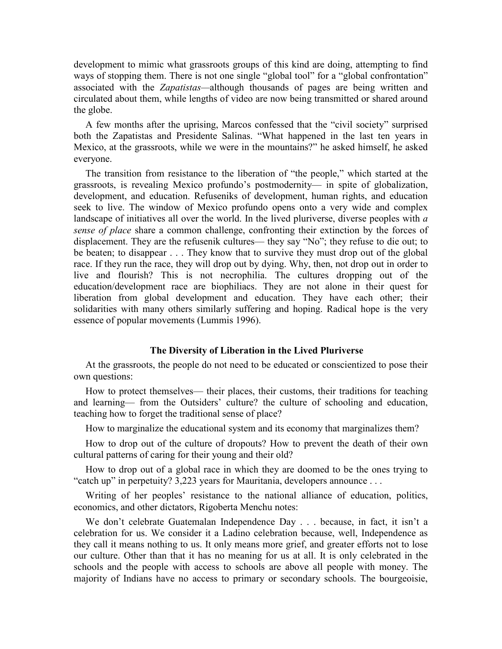development to mimic what grassroots groups of this kind are doing, attempting to find ways of stopping them. There is not one single "global tool" for a "global confrontation" associated with the Zapatistas—although thousands of pages are being written and circulated about them, while lengths of video are now being transmitted or shared around the globe.

A few months after the uprising, Marcos confessed that the "civil society" surprised both the Zapatistas and Presidente Salinas. "What happened in the last ten years in Mexico, at the grassroots, while we were in the mountains?" he asked himself, he asked everyone.

The transition from resistance to the liberation of "the people," which started at the grassroots, is revealing Mexico profundo's postmodernity— in spite of globalization, development, and education. Refuseniks of development, human rights, and education seek to live. The window of Mexico profundo opens onto a very wide and complex landscape of initiatives all over the world. In the lived pluriverse, diverse peoples with  $a$ sense of place share a common challenge, confronting their extinction by the forces of displacement. They are the refusenik cultures— they say "No"; they refuse to die out; to be beaten; to disappear . . . They know that to survive they must drop out of the global race. If they run the race, they will drop out by dying. Why, then, not drop out in order to live and flourish? This is not necrophilia. The cultures dropping out of the education/development race are biophiliacs. They are not alone in their quest for liberation from global development and education. They have each other; their solidarities with many others similarly suffering and hoping. Radical hope is the very essence of popular movements (Lummis 1996).

### The Diversity of Liberation in the Lived Pluriverse

At the grassroots, the people do not need to be educated or conscientized to pose their own questions:

How to protect themselves— their places, their customs, their traditions for teaching and learning— from the Outsiders' culture? the culture of schooling and education, teaching how to forget the traditional sense of place?

How to marginalize the educational system and its economy that marginalizes them?

How to drop out of the culture of dropouts? How to prevent the death of their own cultural patterns of caring for their young and their old?

How to drop out of a global race in which they are doomed to be the ones trying to "catch up" in perpetuity? 3,223 years for Mauritania, developers announce ...

Writing of her peoples' resistance to the national alliance of education, politics, economics, and other dictators, Rigoberta Menchu notes:

We don't celebrate Guatemalan Independence Day . . . because, in fact, it isn't a celebration for us. We consider it a Ladino celebration because, well, Independence as they call it means nothing to us. It only means more grief, and greater efforts not to lose our culture. Other than that it has no meaning for us at all. It is only celebrated in the schools and the people with access to schools are above all people with money. The majority of Indians have no access to primary or secondary schools. The bourgeoisie,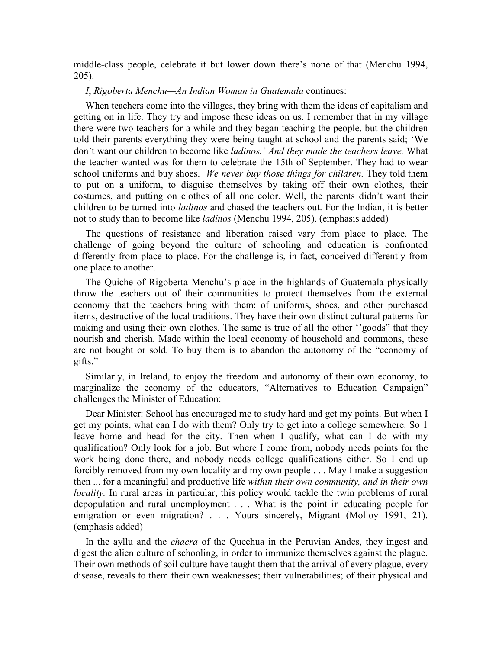middle-class people, celebrate it but lower down there's none of that (Menchu 1994, 205).

# I, Rigoberta Menchu—An Indian Woman in Guatemala continues:

When teachers come into the villages, they bring with them the ideas of capitalism and getting on in life. They try and impose these ideas on us. I remember that in my village there were two teachers for a while and they began teaching the people, but the children told their parents everything they were being taught at school and the parents said; 'We don't want our children to become like *ladinos.' And they made the teachers leave*. What the teacher wanted was for them to celebrate the 15th of September. They had to wear school uniforms and buy shoes. We never buy those things for children. They told them to put on a uniform, to disguise themselves by taking off their own clothes, their costumes, and putting on clothes of all one color. Well, the parents didn't want their children to be turned into ladinos and chased the teachers out. For the Indian, it is better not to study than to become like *ladinos* (Menchu 1994, 205). (emphasis added)

The questions of resistance and liberation raised vary from place to place. The challenge of going beyond the culture of schooling and education is confronted differently from place to place. For the challenge is, in fact, conceived differently from one place to another.

The Quiche of Rigoberta Menchu's place in the highlands of Guatemala physically throw the teachers out of their communities to protect themselves from the external economy that the teachers bring with them: of uniforms, shoes, and other purchased items, destructive of the local traditions. They have their own distinct cultural patterns for making and using their own clothes. The same is true of all the other ''goods" that they nourish and cherish. Made within the local economy of household and commons, these are not bought or sold. To buy them is to abandon the autonomy of the "economy of gifts."

Similarly, in Ireland, to enjoy the freedom and autonomy of their own economy, to marginalize the economy of the educators, "Alternatives to Education Campaign" challenges the Minister of Education:

Dear Minister: School has encouraged me to study hard and get my points. But when I get my points, what can I do with them? Only try to get into a college somewhere. So 1 leave home and head for the city. Then when I qualify, what can I do with my qualification? Only look for a job. But where I come from, nobody needs points for the work being done there, and nobody needs college qualifications either. So I end up forcibly removed from my own locality and my own people . . . May I make a suggestion then ... for a meaningful and productive life within their own community, and in their own locality. In rural areas in particular, this policy would tackle the twin problems of rural depopulation and rural unemployment . . . What is the point in educating people for emigration or even migration? . . . Yours sincerely, Migrant (Molloy 1991, 21). (emphasis added)

In the ayllu and the *chacra* of the Quechua in the Peruvian Andes, they ingest and digest the alien culture of schooling, in order to immunize themselves against the plague. Their own methods of soil culture have taught them that the arrival of every plague, every disease, reveals to them their own weaknesses; their vulnerabilities; of their physical and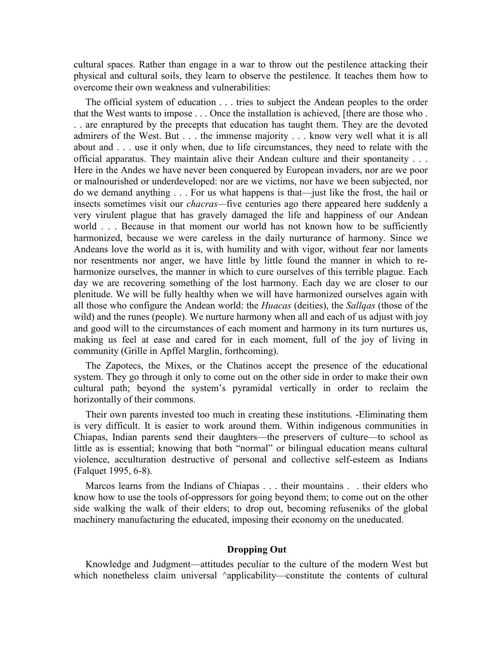cultural spaces. Rather than engage in a war to throw out the pestilence attacking their physical and cultural soils, they learn to observe the pestilence. It teaches them how to overcome their own weakness and vulnerabilities:

The official system of education . . . tries to subject the Andean peoples to the order that the West wants to impose . . . Once the installation is achieved, [there are those who . . . are enraptured by the precepts that education has taught them. They are the devoted admirers of the West. But . . . the immense majority . . . know very well what it is all about and . . . use it only when, due to life circumstances, they need to relate with the official apparatus. They maintain alive their Andean culture and their spontaneity . . . Here in the Andes we have never been conquered by European invaders, nor are we poor or malnourished or underdeveloped: nor are we victims, nor have we been subjected, nor do we demand anything . . . For us what happens is that—just like the frost, the hail or insects sometimes visit our chacras—five centuries ago there appeared here suddenly a very virulent plague that has gravely damaged the life and happiness of our Andean world . . . Because in that moment our world has not known how to be sufficiently harmonized, because we were careless in the daily nurturance of harmony. Since we Andeans love the world as it is, with humility and with vigor, without fear nor laments nor resentments nor anger, we have little by little found the manner in which to reharmonize ourselves, the manner in which to cure ourselves of this terrible plague. Each day we are recovering something of the lost harmony. Each day we are closer to our plenitude. We will be fully healthy when we will have harmonized ourselves again with all those who configure the Andean world: the *Huacas* (deities), the *Sallqas* (those of the wild) and the runes (people). We nurture harmony when all and each of us adjust with joy and good will to the circumstances of each moment and harmony in its turn nurtures us, making us feel at ease and cared for in each moment, full of the joy of living in community (Grille in Apffel Marglin, forthcoming).

The Zapotecs, the Mixes, or the Chatinos accept the presence of the educational system. They go through it only to come out on the other side in order to make their own cultural path; beyond the system's pyramidal vertically in order to reclaim the horizontally of their commons.

Their own parents invested too much in creating these institutions. -Eliminating them is very difficult. It is easier to work around them. Within indigenous communities in Chiapas, Indian parents send their daughters—the preservers of culture—to school as little as is essential; knowing that both "normal" or bilingual education means cultural violence, acculturation destructive of personal and collective self-esteem as Indians (Falquet 1995, 6-8).

Marcos learns from the Indians of Chiapas . . . their mountains . . their elders who know how to use the tools of-oppressors for going beyond them; to come out on the other side walking the walk of their elders; to drop out, becoming refuseniks of the global machinery manufacturing the educated, imposing their economy on the uneducated.

### Dropping Out

Knowledge and Judgment—attitudes peculiar to the culture of the modern West but which nonetheless claim universal ^applicability—constitute the contents of cultural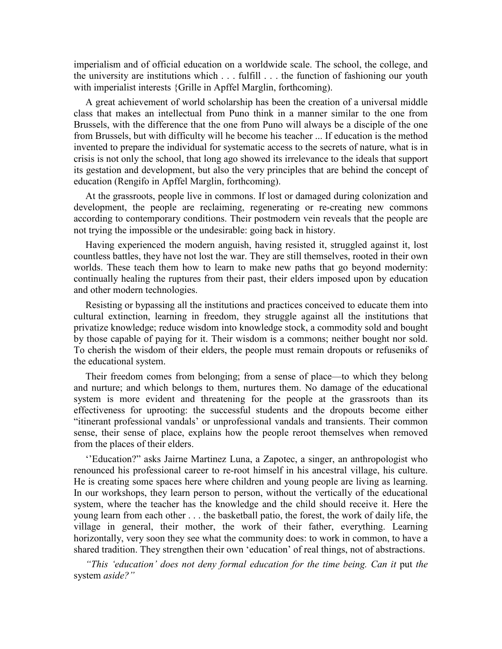imperialism and of official education on a worldwide scale. The school, the college, and the university are institutions which . . . fulfill . . . the function of fashioning our youth with imperialist interests {Grille in Apffel Marglin, forthcoming).

A great achievement of world scholarship has been the creation of a universal middle class that makes an intellectual from Puno think in a manner similar to the one from Brussels, with the difference that the one from Puno will always be a disciple of the one from Brussels, but with difficulty will he become his teacher ... If education is the method invented to prepare the individual for systematic access to the secrets of nature, what is in crisis is not only the school, that long ago showed its irrelevance to the ideals that support its gestation and development, but also the very principles that are behind the concept of education (Rengifo in Apffel Marglin, forthcoming).

At the grassroots, people live in commons. If lost or damaged during colonization and development, the people are reclaiming, regenerating or re-creating new commons according to contemporary conditions. Their postmodern vein reveals that the people are not trying the impossible or the undesirable: going back in history.

Having experienced the modern anguish, having resisted it, struggled against it, lost countless battles, they have not lost the war. They are still themselves, rooted in their own worlds. These teach them how to learn to make new paths that go beyond modernity: continually healing the ruptures from their past, their elders imposed upon by education and other modern technologies.

Resisting or bypassing all the institutions and practices conceived to educate them into cultural extinction, learning in freedom, they struggle against all the institutions that privatize knowledge; reduce wisdom into knowledge stock, a commodity sold and bought by those capable of paying for it. Their wisdom is a commons; neither bought nor sold. To cherish the wisdom of their elders, the people must remain dropouts or refuseniks of the educational system.

Their freedom comes from belonging; from a sense of place—to which they belong and nurture; and which belongs to them, nurtures them. No damage of the educational system is more evident and threatening for the people at the grassroots than its effectiveness for uprooting: the successful students and the dropouts become either "itinerant professional vandals' or unprofessional vandals and transients. Their common sense, their sense of place, explains how the people reroot themselves when removed from the places of their elders.

''Education?" asks Jairne Martinez Luna, a Zapotec, a singer, an anthropologist who renounced his professional career to re-root himself in his ancestral village, his culture. He is creating some spaces here where children and young people are living as learning. In our workshops, they learn person to person, without the vertically of the educational system, where the teacher has the knowledge and the child should receive it. Here the young learn from each other . . . the basketball patio, the forest, the work of daily life, the village in general, their mother, the work of their father, everything. Learning horizontally, very soon they see what the community does: to work in common, to have a shared tradition. They strengthen their own 'education' of real things, not of abstractions.

"This 'education' does not deny formal education for the time being. Can it put the system *aside?*"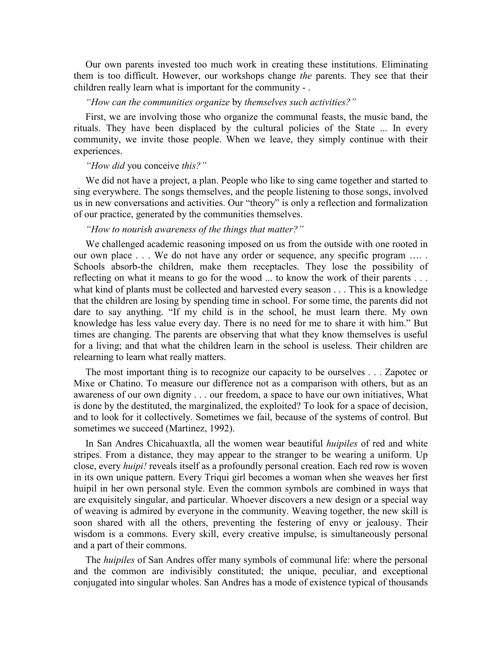Our own parents invested too much work in creating these institutions. Eliminating them is too difficult. However, our workshops change the parents. They see that their children really learn what is important for the community - .

### "How can the communities organize by themselves such activities?"

First, we are involving those who organize the communal feasts, the music band, the rituals. They have been displaced by the cultural policies of the State ... In every community, we invite those people. When we leave, they simply continue with their experiences.

# "How did you conceive this?"

We did not have a project, a plan. People who like to sing came together and started to sing everywhere. The songs themselves, and the people listening to those songs, involved us in new conversations and activities. Our "theory" is only a reflection and formalization of our practice, generated by the communities themselves.

# "How to nourish awareness of the things that matter?"

We challenged academic reasoning imposed on us from the outside with one rooted in our own place . . . We do not have any order or sequence, any specific program .... . Schools absorb-the children, make them receptacles. They lose the possibility of reflecting on what it means to go for the wood ... to know the work of their parents . . . what kind of plants must be collected and harvested every season . . . This is a knowledge that the children are losing by spending time in school. For some time, the parents did not dare to say anything. "If my child is in the school, he must learn there. My own knowledge has less value every day. There is no need for me to share it with him." But times are changing. The parents are observing that what they know themselves is useful for a living; and that what the children learn in the school is useless. Their children are relearning to learn what really matters.

The most important thing is to recognize our capacity to be ourselves . . . Zapotec or Mixe or Chatino. To measure our difference not as a comparison with others, but as an awareness of our own dignity . . . our freedom, a space to have our own initiatives, What is done by the destituted, the marginalized, the exploited? To look for a space of decision, and to look for it collectively. Sometimes we fail, because of the systems of control. But sometimes we succeed (Martinez, 1992).

In San Andres Chicahuaxtla, all the women wear beautiful huipiles of red and white stripes. From a distance, they may appear to the stranger to be wearing a uniform. Up close, every *huipi!* reveals itself as a profoundly personal creation. Each red row is woven in its own unique pattern. Every Triqui girl becomes a woman when she weaves her first huipil in her own personal style. Even the common symbols are combined in ways that are exquisitely singular, and particular. Whoever discovers a new design or a special way of weaving is admired by everyone in the community. Weaving together, the new skill is soon shared with all the others, preventing the festering of envy or jealousy. Their wisdom is a commons. Every skill, every creative impulse, is simultaneously personal and a part of their commons.

The *huipiles* of San Andres offer many symbols of communal life: where the personal and the common are indivisibly constituted; the unique, peculiar, and exceptional conjugated into singular wholes. San Andres has a mode of existence typical of thousands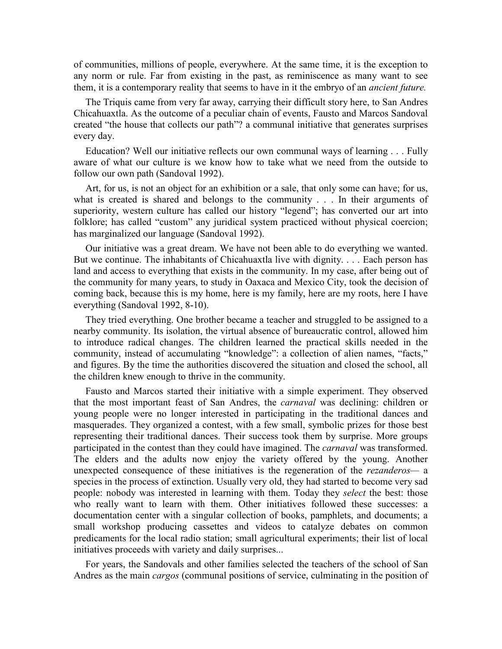of communities, millions of people, everywhere. At the same time, it is the exception to any norm or rule. Far from existing in the past, as reminiscence as many want to see them, it is a contemporary reality that seems to have in it the embryo of an *ancient future*.

The Triquis came from very far away, carrying their difficult story here, to San Andres Chicahuaxtla. As the outcome of a peculiar chain of events, Fausto and Marcos Sandoval created "the house that collects our path"? a communal initiative that generates surprises every day.

Education? Well our initiative reflects our own communal ways of learning . . . Fully aware of what our culture is we know how to take what we need from the outside to follow our own path (Sandoval 1992).

Art, for us, is not an object for an exhibition or a sale, that only some can have; for us, what is created is shared and belongs to the community . . . In their arguments of superiority, western culture has called our history "legend"; has converted our art into folklore; has called "custom" any juridical system practiced without physical coercion; has marginalized our language (Sandoval 1992).

Our initiative was a great dream. We have not been able to do everything we wanted. But we continue. The inhabitants of Chicahuaxtla live with dignity. . . . Each person has land and access to everything that exists in the community. In my case, after being out of the community for many years, to study in Oaxaca and Mexico City, took the decision of coming back, because this is my home, here is my family, here are my roots, here I have everything (Sandoval 1992, 8-10).

They tried everything. One brother became a teacher and struggled to be assigned to a nearby community. Its isolation, the virtual absence of bureaucratic control, allowed him to introduce radical changes. The children learned the practical skills needed in the community, instead of accumulating "knowledge": a collection of alien names, "facts," and figures. By the time the authorities discovered the situation and closed the school, all the children knew enough to thrive in the community.

Fausto and Marcos started their initiative with a simple experiment. They observed that the most important feast of San Andres, the carnaval was declining: children or young people were no longer interested in participating in the traditional dances and masquerades. They organized a contest, with a few small, symbolic prizes for those best representing their traditional dances. Their success took them by surprise. More groups participated in the contest than they could have imagined. The *carnaval* was transformed. The elders and the adults now enjoy the variety offered by the young. Another unexpected consequence of these initiatives is the regeneration of the rezanderos— a species in the process of extinction. Usually very old, they had started to become very sad people: nobody was interested in learning with them. Today they select the best: those who really want to learn with them. Other initiatives followed these successes: a documentation center with a singular collection of books, pamphlets, and documents; a small workshop producing cassettes and videos to catalyze debates on common predicaments for the local radio station; small agricultural experiments; their list of local initiatives proceeds with variety and daily surprises...

For years, the Sandovals and other families selected the teachers of the school of San Andres as the main cargos (communal positions of service, culminating in the position of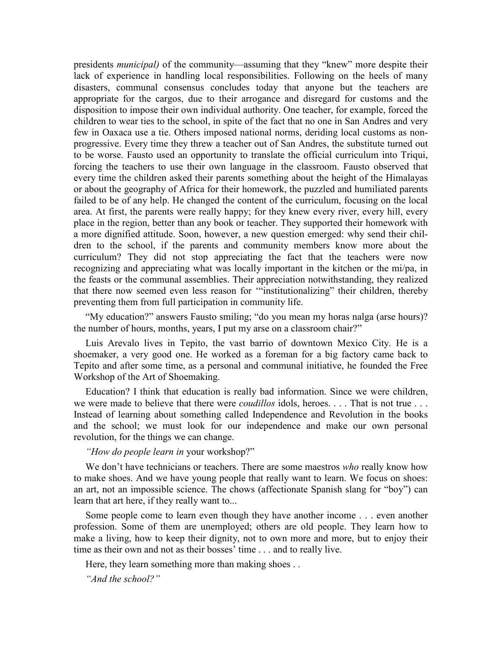presidents municipal) of the community—assuming that they "knew" more despite their lack of experience in handling local responsibilities. Following on the heels of many disasters, communal consensus concludes today that anyone but the teachers are appropriate for the cargos, due to their arrogance and disregard for customs and the disposition to impose their own individual authority. One teacher, for example, forced the children to wear ties to the school, in spite of the fact that no one in San Andres and very few in Oaxaca use a tie. Others imposed national norms, deriding local customs as nonprogressive. Every time they threw a teacher out of San Andres, the substitute turned out to be worse. Fausto used an opportunity to translate the official curriculum into Triqui, forcing the teachers to use their own language in the classroom. Fausto observed that every time the children asked their parents something about the height of the Himalayas or about the geography of Africa for their homework, the puzzled and humiliated parents failed to be of any help. He changed the content of the curriculum, focusing on the local area. At first, the parents were really happy; for they knew every river, every hill, every place in the region, better than any book or teacher. They supported their homework with a more dignified attitude. Soon, however, a new question emerged: why send their children to the school, if the parents and community members know more about the curriculum? They did not stop appreciating the fact that the teachers were now recognizing and appreciating what was locally important in the kitchen or the mi/pa, in the feasts or the communal assemblies. Their appreciation notwithstanding, they realized that there now seemed even less reason for '"institutionalizing" their children, thereby preventing them from full participation in community life.

"My education?" answers Fausto smiling; "do you mean my horas nalga (arse hours)? the number of hours, months, years, I put my arse on a classroom chair?"

Luis Arevalo lives in Tepito, the vast barrio of downtown Mexico City. He is a shoemaker, a very good one. He worked as a foreman for a big factory came back to Tepito and after some time, as a personal and communal initiative, he founded the Free Workshop of the Art of Shoemaking.

Education? I think that education is really bad information. Since we were children, we were made to believe that there were *coudillos* idols, heroes. . . . That is not true . . . Instead of learning about something called Independence and Revolution in the books and the school; we must look for our independence and make our own personal revolution, for the things we can change.

"How do people learn in your workshop?"

We don't have technicians or teachers. There are some maestros who really know how to make shoes. And we have young people that really want to learn. We focus on shoes: an art, not an impossible science. The chows (affectionate Spanish slang for "boy") can learn that art here, if they really want to...

Some people come to learn even though they have another income . . . even another profession. Some of them are unemployed; others are old people. They learn how to make a living, how to keep their dignity, not to own more and more, but to enjoy their time as their own and not as their bosses' time . . . and to really live.

Here, they learn something more than making shoes . .

"And the school?"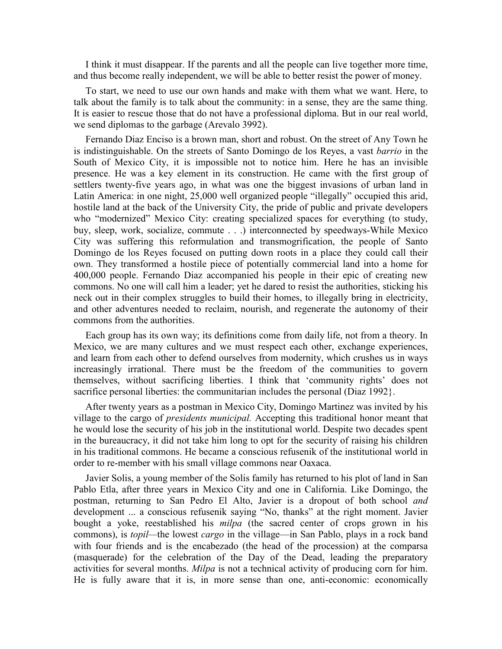I think it must disappear. If the parents and all the people can live together more time, and thus become really independent, we will be able to better resist the power of money.

To start, we need to use our own hands and make with them what we want. Here, to talk about the family is to talk about the community: in a sense, they are the same thing. It is easier to rescue those that do not have a professional diploma. But in our real world, we send diplomas to the garbage (Arevalo 3992).

Fernando Diaz Enciso is a brown man, short and robust. On the street of Any Town he is indistinguishable. On the streets of Santo Domingo de los Reyes, a vast barrio in the South of Mexico City, it is impossible not to notice him. Here he has an invisible presence. He was a key element in its construction. He came with the first group of settlers twenty-five years ago, in what was one the biggest invasions of urban land in Latin America: in one night, 25,000 well organized people "illegally" occupied this arid, hostile land at the back of the University City, the pride of public and private developers who "modernized" Mexico City: creating specialized spaces for everything (to study, buy, sleep, work, socialize, commute . . .) interconnected by speedways-While Mexico City was suffering this reformulation and transmogrification, the people of Santo Domingo de los Reyes focused on putting down roots in a place they could call their own. They transformed a hostile piece of potentially commercial land into a home for 400,000 people. Fernando Diaz accompanied his people in their epic of creating new commons. No one will call him a leader; yet he dared to resist the authorities, sticking his neck out in their complex struggles to build their homes, to illegally bring in electricity, and other adventures needed to reclaim, nourish, and regenerate the autonomy of their commons from the authorities.

Each group has its own way; its definitions come from daily life, not from a theory. In Mexico, we are many cultures and we must respect each other, exchange experiences, and learn from each other to defend ourselves from modernity, which crushes us in ways increasingly irrational. There must be the freedom of the communities to govern themselves, without sacrificing liberties. I think that 'community rights' does not sacrifice personal liberties: the communitarian includes the personal (Diaz 1992).

After twenty years as a postman in Mexico City, Domingo Martinez was invited by his village to the cargo of *presidents municipal*. Accepting this traditional honor meant that he would lose the security of his job in the institutional world. Despite two decades spent in the bureaucracy, it did not take him long to opt for the security of raising his children in his traditional commons. He became a conscious refusenik of the institutional world in order to re-member with his small village commons near Oaxaca.

Javier Solis, a young member of the Solis family has returned to his plot of land in San Pablo Etla, after three years in Mexico City and one in California. Like Domingo, the postman, returning to San Pedro El Alto, Javier is a dropout of both school and development ... a conscious refusenik saying "No, thanks" at the right moment. Javier bought a yoke, reestablished his *milpa* (the sacred center of crops grown in his commons), is *topil—the lowest cargo in the village—in San Pablo*, plays in a rock band with four friends and is the encabezado (the head of the procession) at the comparsa (masquerade) for the celebration of the Day of the Dead, leading the preparatory activities for several months. *Milpa* is not a technical activity of producing corn for him. He is fully aware that it is, in more sense than one, anti-economic: economically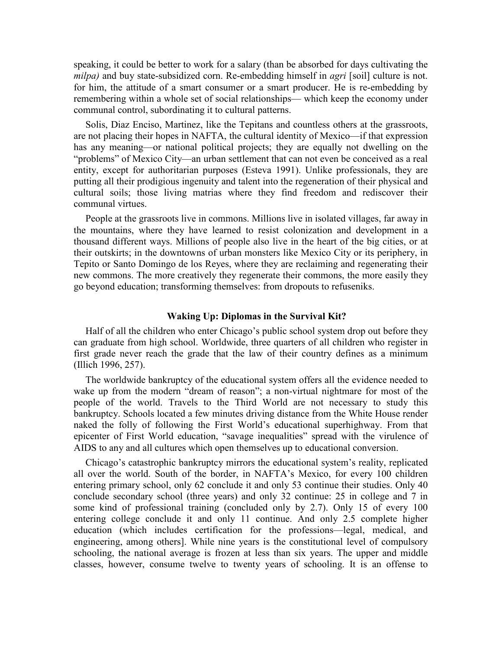speaking, it could be better to work for a salary (than be absorbed for days cultivating the milpa) and buy state-subsidized corn. Re-embedding himself in *agri* [soil] culture is not. for him, the attitude of a smart consumer or a smart producer. He is re-embedding by remembering within a whole set of social relationships— which keep the economy under communal control, subordinating it to cultural patterns.

Solis, Diaz Enciso, Martinez, like the Tepitans and countless others at the grassroots, are not placing their hopes in NAFTA, the cultural identity of Mexico—if that expression has any meaning—or national political projects; they are equally not dwelling on the "problems" of Mexico City—an urban settlement that can not even be conceived as a real entity, except for authoritarian purposes (Esteva 1991). Unlike professionals, they are putting all their prodigious ingenuity and talent into the regeneration of their physical and cultural soils; those living matrias where they find freedom and rediscover their communal virtues.

People at the grassroots live in commons. Millions live in isolated villages, far away in the mountains, where they have learned to resist colonization and development in a thousand different ways. Millions of people also live in the heart of the big cities, or at their outskirts; in the downtowns of urban monsters like Mexico City or its periphery, in Tepito or Santo Domingo de los Reyes, where they are reclaiming and regenerating their new commons. The more creatively they regenerate their commons, the more easily they go beyond education; transforming themselves: from dropouts to refuseniks.

### Waking Up: Diplomas in the Survival Kit?

Half of all the children who enter Chicago's public school system drop out before they can graduate from high school. Worldwide, three quarters of all children who register in first grade never reach the grade that the law of their country defines as a minimum (Illich 1996, 257).

The worldwide bankruptcy of the educational system offers all the evidence needed to wake up from the modern "dream of reason"; a non-virtual nightmare for most of the people of the world. Travels to the Third World are not necessary to study this bankruptcy. Schools located a few minutes driving distance from the White House render naked the folly of following the First World's educational superhighway. From that epicenter of First World education, "savage inequalities" spread with the virulence of AIDS to any and all cultures which open themselves up to educational conversion.

Chicago's catastrophic bankruptcy mirrors the educational system's reality, replicated all over the world. South of the border, in NAFTA's Mexico, for every 100 children entering primary school, only 62 conclude it and only 53 continue their studies. Only 40 conclude secondary school (three years) and only 32 continue: 25 in college and 7 in some kind of professional training (concluded only by 2.7). Only 15 of every 100 entering college conclude it and only 11 continue. And only 2.5 complete higher education (which includes certification for the professions—legal, medical, and engineering, among others]. While nine years is the constitutional level of compulsory schooling, the national average is frozen at less than six years. The upper and middle classes, however, consume twelve to twenty years of schooling. It is an offense to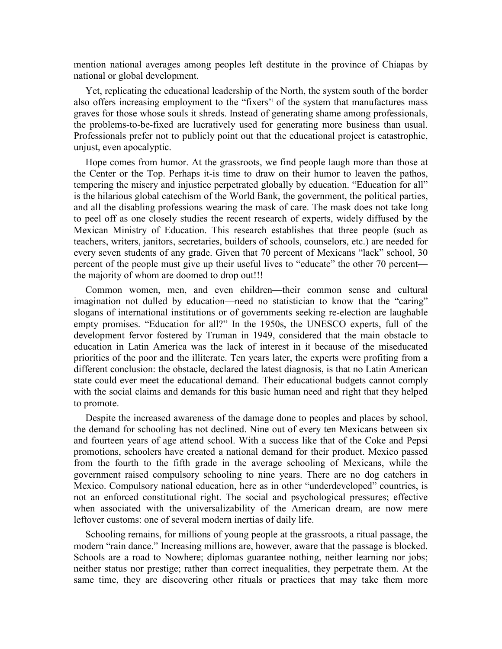mention national averages among peoples left destitute in the province of Chiapas by national or global development.

Yet, replicating the educational leadership of the North, the system south of the border also offers increasing employment to the "fixers'1 of the system that manufactures mass graves for those whose souls it shreds. Instead of generating shame among professionals, the problems-to-be-fixed are lucratively used for generating more business than usual. Professionals prefer not to publicly point out that the educational project is catastrophic, unjust, even apocalyptic.

Hope comes from humor. At the grassroots, we find people laugh more than those at the Center or the Top. Perhaps it-is time to draw on their humor to leaven the pathos, tempering the misery and injustice perpetrated globally by education. "Education for all" is the hilarious global catechism of the World Bank, the government, the political parties, and all the disabling professions wearing the mask of care. The mask does not take long to peel off as one closely studies the recent research of experts, widely diffused by the Mexican Ministry of Education. This research establishes that three people (such as teachers, writers, janitors, secretaries, builders of schools, counselors, etc.) are needed for every seven students of any grade. Given that 70 percent of Mexicans "lack" school, 30 percent of the people must give up their useful lives to "educate" the other 70 percent the majority of whom are doomed to drop out!!!

Common women, men, and even children—their common sense and cultural imagination not dulled by education—need no statistician to know that the "caring" slogans of international institutions or of governments seeking re-election are laughable empty promises. "Education for all?" In the 1950s, the UNESCO experts, full of the development fervor fostered by Truman in 1949, considered that the main obstacle to education in Latin America was the lack of interest in it because of the miseducated priorities of the poor and the illiterate. Ten years later, the experts were profiting from a different conclusion: the obstacle, declared the latest diagnosis, is that no Latin American state could ever meet the educational demand. Their educational budgets cannot comply with the social claims and demands for this basic human need and right that they helped to promote.

Despite the increased awareness of the damage done to peoples and places by school, the demand for schooling has not declined. Nine out of every ten Mexicans between six and fourteen years of age attend school. With a success like that of the Coke and Pepsi promotions, schoolers have created a national demand for their product. Mexico passed from the fourth to the fifth grade in the average schooling of Mexicans, while the government raised compulsory schooling to nine years. There are no dog catchers in Mexico. Compulsory national education, here as in other "underdeveloped" countries, is not an enforced constitutional right. The social and psychological pressures; effective when associated with the universalizability of the American dream, are now mere leftover customs: one of several modern inertias of daily life.

Schooling remains, for millions of young people at the grassroots, a ritual passage, the modern "rain dance." Increasing millions are, however, aware that the passage is blocked. Schools are a road to Nowhere; diplomas guarantee nothing, neither learning nor jobs; neither status nor prestige; rather than correct inequalities, they perpetrate them. At the same time, they are discovering other rituals or practices that may take them more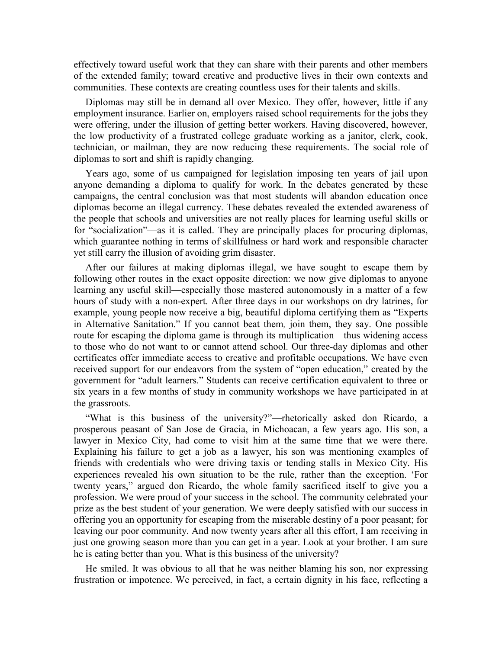effectively toward useful work that they can share with their parents and other members of the extended family; toward creative and productive lives in their own contexts and communities. These contexts are creating countless uses for their talents and skills.

Diplomas may still be in demand all over Mexico. They offer, however, little if any employment insurance. Earlier on, employers raised school requirements for the jobs they were offering, under the illusion of getting better workers. Having discovered, however, the low productivity of a frustrated college graduate working as a janitor, clerk, cook, technician, or mailman, they are now reducing these requirements. The social role of diplomas to sort and shift is rapidly changing.

Years ago, some of us campaigned for legislation imposing ten years of jail upon anyone demanding a diploma to qualify for work. In the debates generated by these campaigns, the central conclusion was that most students will abandon education once diplomas become an illegal currency. These debates revealed the extended awareness of the people that schools and universities are not really places for learning useful skills or for "socialization"—as it is called. They are principally places for procuring diplomas, which guarantee nothing in terms of skillfulness or hard work and responsible character yet still carry the illusion of avoiding grim disaster.

After our failures at making diplomas illegal, we have sought to escape them by following other routes in the exact opposite direction: we now give diplomas to anyone learning any useful skill—especially those mastered autonomously in a matter of a few hours of study with a non-expert. After three days in our workshops on dry latrines, for example, young people now receive a big, beautiful diploma certifying them as "Experts in Alternative Sanitation." If you cannot beat them, join them, they say. One possible route for escaping the diploma game is through its multiplication—thus widening access to those who do not want to or cannot attend school. Our three-day diplomas and other certificates offer immediate access to creative and profitable occupations. We have even received support for our endeavors from the system of "open education," created by the government for "adult learners." Students can receive certification equivalent to three or six years in a few months of study in community workshops we have participated in at the grassroots.

"What is this business of the university?"—rhetorically asked don Ricardo, a prosperous peasant of San Jose de Gracia, in Michoacan, a few years ago. His son, a lawyer in Mexico City, had come to visit him at the same time that we were there. Explaining his failure to get a job as a lawyer, his son was mentioning examples of friends with credentials who were driving taxis or tending stalls in Mexico City. His experiences revealed his own situation to be the rule, rather than the exception. 'For twenty years," argued don Ricardo, the whole family sacrificed itself to give you a profession. We were proud of your success in the school. The community celebrated your prize as the best student of your generation. We were deeply satisfied with our success in offering you an opportunity for escaping from the miserable destiny of a poor peasant; for leaving our poor community. And now twenty years after all this effort, I am receiving in just one growing season more than you can get in a year. Look at your brother. I am sure he is eating better than you. What is this business of the university?

He smiled. It was obvious to all that he was neither blaming his son, nor expressing frustration or impotence. We perceived, in fact, a certain dignity in his face, reflecting a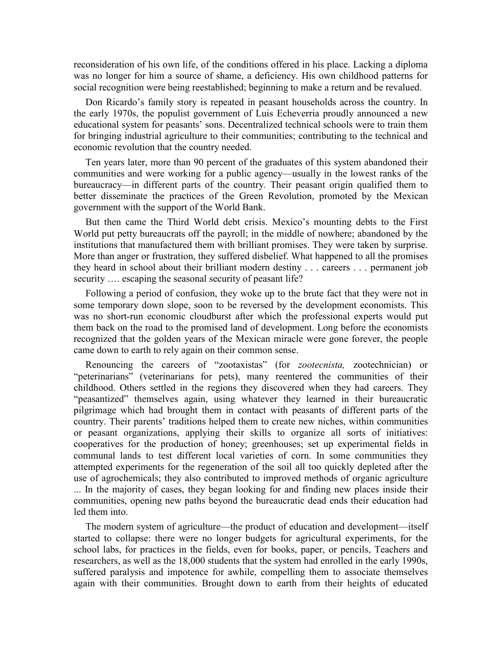reconsideration of his own life, of the conditions offered in his place. Lacking a diploma was no longer for him a source of shame, a deficiency. His own childhood patterns for social recognition were being reestablished; beginning to make a return and be revalued.

Don Ricardo's family story is repeated in peasant households across the country. In the early 1970s, the populist government of Luis Echeverria proudly announced a new educational system for peasants' sons. Decentralized technical schools were to train them for bringing industrial agriculture to their communities; contributing to the technical and economic revolution that the country needed.

Ten years later, more than 90 percent of the graduates of this system abandoned their communities and were working for a public agency—usually in the lowest ranks of the bureaucracy—in different parts of the country. Their peasant origin qualified them to better disseminate the practices of the Green Revolution, promoted by the Mexican government with the support of the World Bank.

But then came the Third World debt crisis. Mexico's mounting debts to the First World put petty bureaucrats off the payroll; in the middle of nowhere; abandoned by the institutions that manufactured them with brilliant promises. They were taken by surprise. More than anger or frustration, they suffered disbelief. What happened to all the promises they heard in school about their brilliant modern destiny . . . careers . . . permanent job security .... escaping the seasonal security of peasant life?

Following a period of confusion, they woke up to the brute fact that they were not in some temporary down slope, soon to be reversed by the development economists. This was no short-run economic cloudburst after which the professional experts would put them back on the road to the promised land of development. Long before the economists recognized that the golden years of the Mexican miracle were gone forever, the people came down to earth to rely again on their common sense.

Renouncing the careers of "zootaxistas" (for zootecnista, zootechnician) or "peterinarians" (veterinarians for pets), many reentered the communities of their childhood. Others settled in the regions they discovered when they had careers. They "peasantized" themselves again, using whatever they learned in their bureaucratic pilgrimage which had brought them in contact with peasants of different parts of the country. Their parents' traditions helped them to create new niches, within communities or peasant organizations, applying their skills to organize all sorts of initiatives: cooperatives for the production of honey; greenhouses; set up experimental fields in communal lands to test different local varieties of corn. In some communities they attempted experiments for the regeneration of the soil all too quickly depleted after the use of agrochemicals; they also contributed to improved methods of organic agriculture ... In the majority of cases, they began looking for and finding new places inside their communities, opening new paths beyond the bureaucratic dead ends their education had led them into.

The modern system of agriculture—the product of education and development—itself started to collapse: there were no longer budgets for agricultural experiments, for the school labs, for practices in the fields, even for books, paper, or pencils, Teachers and researchers, as well as the 18,000 students that the system had enrolled in the early 1990s, suffered paralysis and impotence for awhile, compelling them to associate themselves again with their communities. Brought down to earth from their heights of educated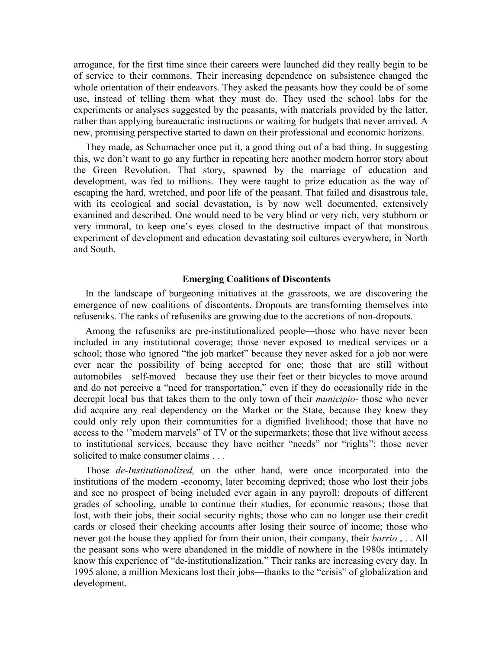arrogance, for the first time since their careers were launched did they really begin to be of service to their commons. Their increasing dependence on subsistence changed the whole orientation of their endeavors. They asked the peasants how they could be of some use, instead of telling them what they must do. They used the school labs for the experiments or analyses suggested by the peasants, with materials provided by the latter, rather than applying bureaucratic instructions or waiting for budgets that never arrived. A new, promising perspective started to dawn on their professional and economic horizons.

They made, as Schumacher once put it, a good thing out of a bad thing. In suggesting this, we don't want to go any further in repeating here another modern horror story about the Green Revolution. That story, spawned by the marriage of education and development, was fed to millions. They were taught to prize education as the way of escaping the hard, wretched, and poor life of the peasant. That failed and disastrous tale, with its ecological and social devastation, is by now well documented, extensively examined and described. One would need to be very blind or very rich, very stubborn or very immoral, to keep one's eyes closed to the destructive impact of that monstrous experiment of development and education devastating soil cultures everywhere, in North and South.

# Emerging Coalitions of Discontents

In the landscape of burgeoning initiatives at the grassroots, we are discovering the emergence of new coalitions of discontents. Dropouts are transforming themselves into refuseniks. The ranks of refuseniks are growing due to the accretions of non-dropouts.

Among the refuseniks are pre-institutionalized people—those who have never been included in any institutional coverage; those never exposed to medical services or a school; those who ignored "the job market" because they never asked for a job nor were ever near the possibility of being accepted for one; those that are still without automobiles—self-moved—because they use their feet or their bicycles to move around and do not perceive a "need for transportation," even if they do occasionally ride in the decrepit local bus that takes them to the only town of their municipio- those who never did acquire any real dependency on the Market or the State, because they knew they could only rely upon their communities for a dignified livelihood; those that have no access to the ''modern marvels" of TV or the supermarkets; those that live without access to institutional services, because they have neither "needs" nor "rights"; those never solicited to make consumer claims . . .

Those de-Institutionalized, on the other hand, were once incorporated into the institutions of the modern -economy, later becoming deprived; those who lost their jobs and see no prospect of being included ever again in any payroll; dropouts of different grades of schooling, unable to continue their studies, for economic reasons; those that lost, with their jobs, their social security rights; those who can no longer use their credit cards or closed their checking accounts after losing their source of income; those who never got the house they applied for from their union, their company, their *barrio* , . . All the peasant sons who were abandoned in the middle of nowhere in the 1980s intimately know this experience of "de-institutionalization." Their ranks are increasing every day. In 1995 alone, a million Mexicans lost their jobs—thanks to the "crisis" of globalization and development.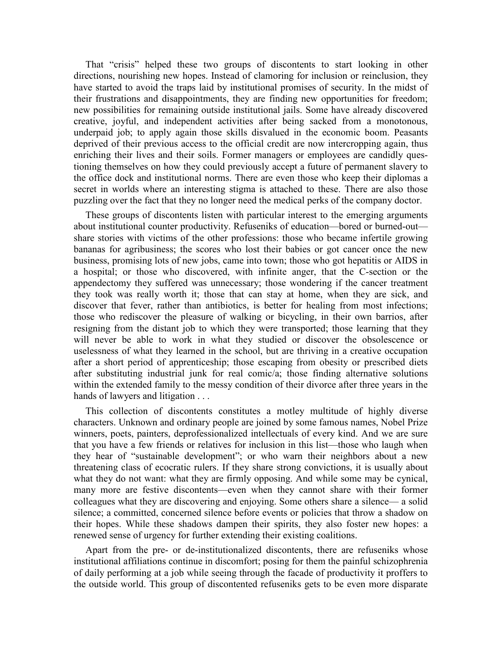That "crisis" helped these two groups of discontents to start looking in other directions, nourishing new hopes. Instead of clamoring for inclusion or reinclusion, they have started to avoid the traps laid by institutional promises of security. In the midst of their frustrations and disappointments, they are finding new opportunities for freedom; new possibilities for remaining outside institutional jails. Some have already discovered creative, joyful, and independent activities after being sacked from a monotonous, underpaid job; to apply again those skills disvalued in the economic boom. Peasants deprived of their previous access to the official credit are now intercropping again, thus enriching their lives and their soils. Former managers or employees are candidly questioning themselves on how they could previously accept a future of permanent slavery to the office dock and institutional norms. There are even those who keep their diplomas a secret in worlds where an interesting stigma is attached to these. There are also those puzzling over the fact that they no longer need the medical perks of the company doctor.

These groups of discontents listen with particular interest to the emerging arguments about institutional counter productivity. Refuseniks of education—bored or burned-out share stories with victims of the other professions: those who became infertile growing bananas for agribusiness; the scores who lost their babies or got cancer once the new business, promising lots of new jobs, came into town; those who got hepatitis or AIDS in a hospital; or those who discovered, with infinite anger, that the C-section or the appendectomy they suffered was unnecessary; those wondering if the cancer treatment they took was really worth it; those that can stay at home, when they are sick, and discover that fever, rather than antibiotics, is better for healing from most infections; those who rediscover the pleasure of walking or bicycling, in their own barrios, after resigning from the distant job to which they were transported; those learning that they will never be able to work in what they studied or discover the obsolescence or uselessness of what they learned in the school, but are thriving in a creative occupation after a short period of apprenticeship; those escaping from obesity or prescribed diets after substituting industrial junk for real comic/a; those finding alternative solutions within the extended family to the messy condition of their divorce after three years in the hands of lawyers and litigation . . .

This collection of discontents constitutes a motley multitude of highly diverse characters. Unknown and ordinary people are joined by some famous names, Nobel Prize winners, poets, painters, deprofessionalized intellectuals of every kind. And we are sure that you have a few friends or relatives for inclusion in this list—those who laugh when they hear of "sustainable development"; or who warn their neighbors about a new threatening class of ecocratic rulers. If they share strong convictions, it is usually about what they do not want: what they are firmly opposing. And while some may be cynical, many more are festive discontents—even when they cannot share with their former colleagues what they are discovering and enjoying. Some others share a silence— a solid silence; a committed, concerned silence before events or policies that throw a shadow on their hopes. While these shadows dampen their spirits, they also foster new hopes: a renewed sense of urgency for further extending their existing coalitions.

Apart from the pre- or de-institutionalized discontents, there are refuseniks whose institutional affiliations continue in discomfort; posing for them the painful schizophrenia of daily performing at a job while seeing through the facade of productivity it proffers to the outside world. This group of discontented refuseniks gets to be even more disparate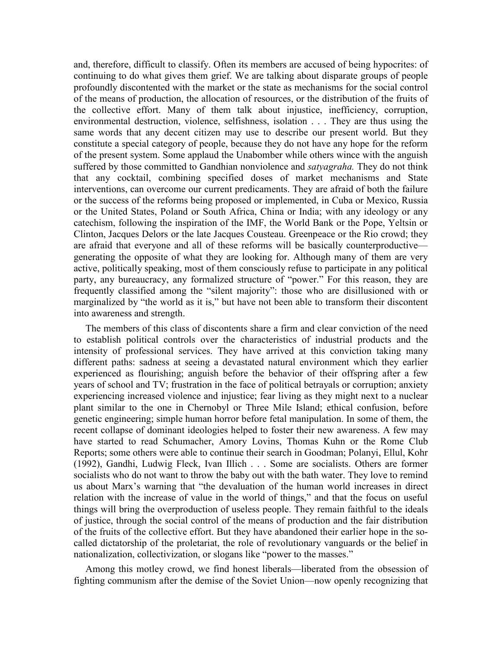and, therefore, difficult to classify. Often its members are accused of being hypocrites: of continuing to do what gives them grief. We are talking about disparate groups of people profoundly discontented with the market or the state as mechanisms for the social control of the means of production, the allocation of resources, or the distribution of the fruits of the collective effort. Many of them talk about injustice, inefficiency, corruption, environmental destruction, violence, selfishness, isolation . . . They are thus using the same words that any decent citizen may use to describe our present world. But they constitute a special category of people, because they do not have any hope for the reform of the present system. Some applaud the Unabomber while others wince with the anguish suffered by those committed to Gandhian nonviolence and *satyagraha*. They do not think that any cocktail, combining specified doses of market mechanisms and State interventions, can overcome our current predicaments. They are afraid of both the failure or the success of the reforms being proposed or implemented, in Cuba or Mexico, Russia or the United States, Poland or South Africa, China or India; with any ideology or any catechism, following the inspiration of the IMF, the World Bank or the Pope, Yeltsin or Clinton, Jacques Delors or the late Jacques Cousteau. Greenpeace or the Rio crowd; they are afraid that everyone and all of these reforms will be basically counterproductive generating the opposite of what they are looking for. Although many of them are very active, politically speaking, most of them consciously refuse to participate in any political party, any bureaucracy, any formalized structure of "power." For this reason, they are frequently classified among the "silent majority": those who are disillusioned with or marginalized by "the world as it is," but have not been able to transform their discontent into awareness and strength.

The members of this class of discontents share a firm and clear conviction of the need to establish political controls over the characteristics of industrial products and the intensity of professional services. They have arrived at this conviction taking many different paths: sadness at seeing a devastated natural environment which they earlier experienced as flourishing; anguish before the behavior of their offspring after a few years of school and TV; frustration in the face of political betrayals or corruption; anxiety experiencing increased violence and injustice; fear living as they might next to a nuclear plant similar to the one in Chernobyl or Three Mile Island; ethical confusion, before genetic engineering; simple human horror before fetal manipulation. In some of them, the recent collapse of dominant ideologies helped to foster their new awareness. A few may have started to read Schumacher, Amory Lovins, Thomas Kuhn or the Rome Club Reports; some others were able to continue their search in Goodman; Polanyi, Ellul, Kohr (1992), Gandhi, Ludwig Fleck, Ivan Illich . . . Some are socialists. Others are former socialists who do not want to throw the baby out with the bath water. They love to remind us about Marx's warning that "the devaluation of the human world increases in direct relation with the increase of value in the world of things," and that the focus on useful things will bring the overproduction of useless people. They remain faithful to the ideals of justice, through the social control of the means of production and the fair distribution of the fruits of the collective effort. But they have abandoned their earlier hope in the socalled dictatorship of the proletariat, the role of revolutionary vanguards or the belief in nationalization, collectivization, or slogans like "power to the masses."

Among this motley crowd, we find honest liberals—liberated from the obsession of fighting communism after the demise of the Soviet Union—now openly recognizing that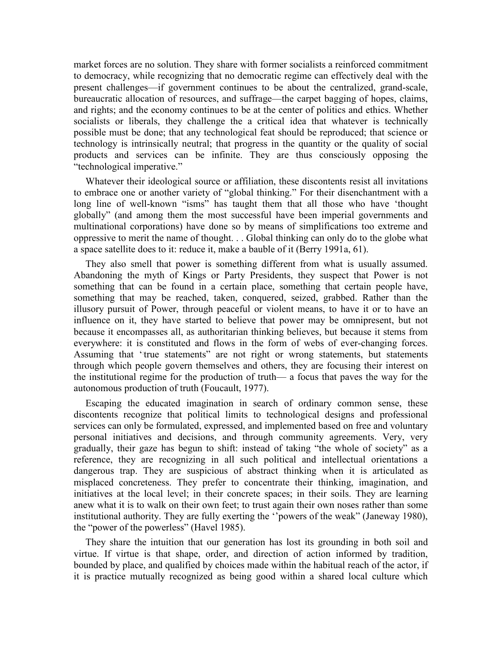market forces are no solution. They share with former socialists a reinforced commitment to democracy, while recognizing that no democratic regime can effectively deal with the present challenges—if government continues to be about the centralized, grand-scale, bureaucratic allocation of resources, and suffrage—the carpet bagging of hopes, claims, and rights; and the economy continues to be at the center of politics and ethics. Whether socialists or liberals, they challenge the a critical idea that whatever is technically possible must be done; that any technological feat should be reproduced; that science or technology is intrinsically neutral; that progress in the quantity or the quality of social products and services can be infinite. They are thus consciously opposing the "technological imperative."

Whatever their ideological source or affiliation, these discontents resist all invitations to embrace one or another variety of "global thinking." For their disenchantment with a long line of well-known "isms" has taught them that all those who have 'thought globally" (and among them the most successful have been imperial governments and multinational corporations) have done so by means of simplifications too extreme and oppressive to merit the name of thought. . . Global thinking can only do to the globe what a space satellite does to it: reduce it, make a bauble of it (Berry 1991a, 61).

They also smell that power is something different from what is usually assumed. Abandoning the myth of Kings or Party Presidents, they suspect that Power is not something that can be found in a certain place, something that certain people have, something that may be reached, taken, conquered, seized, grabbed. Rather than the illusory pursuit of Power, through peaceful or violent means, to have it or to have an influence on it, they have started to believe that power may be omnipresent, but not because it encompasses all, as authoritarian thinking believes, but because it stems from everywhere: it is constituted and flows in the form of webs of ever-changing forces. Assuming that 'true statements' are not right or wrong statements, but statements through which people govern themselves and others, they are focusing their interest on the institutional regime for the production of truth— a focus that paves the way for the autonomous production of truth (Foucault, 1977).

Escaping the educated imagination in search of ordinary common sense, these discontents recognize that political limits to technological designs and professional services can only be formulated, expressed, and implemented based on free and voluntary personal initiatives and decisions, and through community agreements. Very, very gradually, their gaze has begun to shift: instead of taking "the whole of society" as a reference, they are recognizing in all such political and intellectual orientations a dangerous trap. They are suspicious of abstract thinking when it is articulated as misplaced concreteness. They prefer to concentrate their thinking, imagination, and initiatives at the local level; in their concrete spaces; in their soils. They are learning anew what it is to walk on their own feet; to trust again their own noses rather than some institutional authority. They are fully exerting the ''powers of the weak" (Janeway 1980), the "power of the powerless" (Havel 1985).

They share the intuition that our generation has lost its grounding in both soil and virtue. If virtue is that shape, order, and direction of action informed by tradition, bounded by place, and qualified by choices made within the habitual reach of the actor, if it is practice mutually recognized as being good within a shared local culture which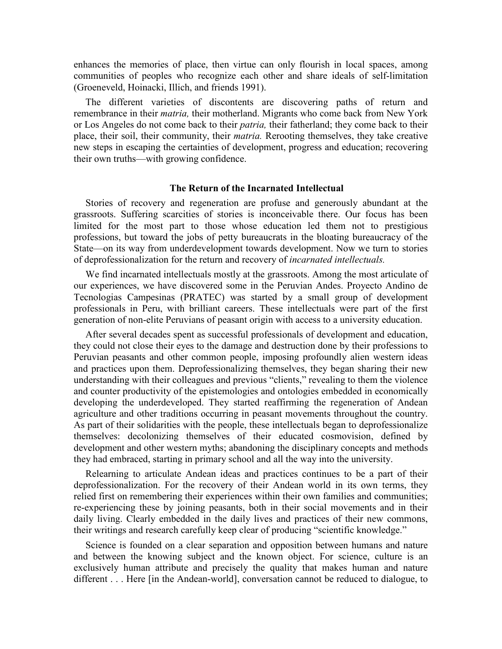enhances the memories of place, then virtue can only flourish in local spaces, among communities of peoples who recognize each other and share ideals of self-limitation (Groeneveld, Hoinacki, Illich, and friends 1991).

The different varieties of discontents are discovering paths of return and remembrance in their *matria*, their motherland. Migrants who come back from New York or Los Angeles do not come back to their *patria*, their fatherland; they come back to their place, their soil, their community, their *matria*. Rerooting themselves, they take creative new steps in escaping the certainties of development, progress and education; recovering their own truths—with growing confidence.

## The Return of the Incarnated Intellectual

Stories of recovery and regeneration are profuse and generously abundant at the grassroots. Suffering scarcities of stories is inconceivable there. Our focus has been limited for the most part to those whose education led them not to prestigious professions, but toward the jobs of petty bureaucrats in the bloating bureaucracy of the State—on its way from underdevelopment towards development. Now we turn to stories of deprofessionalization for the return and recovery of incarnated intellectuals.

We find incarnated intellectuals mostly at the grassroots. Among the most articulate of our experiences, we have discovered some in the Peruvian Andes. Proyecto Andino de Tecnologias Campesinas (PRATEC) was started by a small group of development professionals in Peru, with brilliant careers. These intellectuals were part of the first generation of non-elite Peruvians of peasant origin with access to a university education.

After several decades spent as successful professionals of development and education, they could not close their eyes to the damage and destruction done by their professions to Peruvian peasants and other common people, imposing profoundly alien western ideas and practices upon them. Deprofessionalizing themselves, they began sharing their new understanding with their colleagues and previous "clients," revealing to them the violence and counter productivity of the epistemologies and ontologies embedded in economically developing the underdeveloped. They started reaffirming the regeneration of Andean agriculture and other traditions occurring in peasant movements throughout the country. As part of their solidarities with the people, these intellectuals began to deprofessionalize themselves: decolonizing themselves of their educated cosmovision, defined by development and other western myths; abandoning the disciplinary concepts and methods they had embraced, starting in primary school and all the way into the university.

Relearning to articulate Andean ideas and practices continues to be a part of their deprofessionalization. For the recovery of their Andean world in its own terms, they relied first on remembering their experiences within their own families and communities; re-experiencing these by joining peasants, both in their social movements and in their daily living. Clearly embedded in the daily lives and practices of their new commons, their writings and research carefully keep clear of producing "scientific knowledge."

Science is founded on a clear separation and opposition between humans and nature and between the knowing subject and the known object. For science, culture is an exclusively human attribute and precisely the quality that makes human and nature different . . . Here [in the Andean-world], conversation cannot be reduced to dialogue, to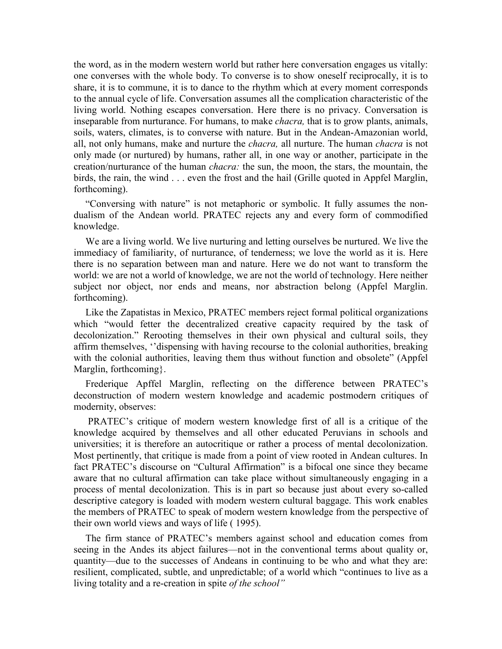the word, as in the modern western world but rather here conversation engages us vitally: one converses with the whole body. To converse is to show oneself reciprocally, it is to share, it is to commune, it is to dance to the rhythm which at every moment corresponds to the annual cycle of life. Conversation assumes all the complication characteristic of the living world. Nothing escapes conversation. Here there is no privacy. Conversation is inseparable from nurturance. For humans, to make *chacra*, that is to grow plants, animals, soils, waters, climates, is to converse with nature. But in the Andean-Amazonian world, all, not only humans, make and nurture the *chacra*, all nurture. The human *chacra* is not only made (or nurtured) by humans, rather all, in one way or another, participate in the creation/nurturance of the human chacra: the sun, the moon, the stars, the mountain, the birds, the rain, the wind . . . even the frost and the hail (Grille quoted in Appfel Marglin, forthcoming).

"Conversing with nature" is not metaphoric or symbolic. It fully assumes the nondualism of the Andean world. PRATEC rejects any and every form of commodified knowledge.

We are a living world. We live nurturing and letting ourselves be nurtured. We live the immediacy of familiarity, of nurturance, of tenderness; we love the world as it is. Here there is no separation between man and nature. Here we do not want to transform the world: we are not a world of knowledge, we are not the world of technology. Here neither subject nor object, nor ends and means, nor abstraction belong (Appfel Marglin. forthcoming).

Like the Zapatistas in Mexico, PRATEC members reject formal political organizations which "would fetter the decentralized creative capacity required by the task of decolonization." Rerooting themselves in their own physical and cultural soils, they affirm themselves, ''dispensing with having recourse to the colonial authorities, breaking with the colonial authorities, leaving them thus without function and obsolete" (Appfel Marglin, forthcoming }.

Frederique Apffel Marglin, reflecting on the difference between PRATEC's deconstruction of modern western knowledge and academic postmodern critiques of modernity, observes:

 PRATEC's critique of modern western knowledge first of all is a critique of the knowledge acquired by themselves and all other educated Peruvians in schools and universities; it is therefore an autocritique or rather a process of mental decolonization. Most pertinently, that critique is made from a point of view rooted in Andean cultures. In fact PRATEC's discourse on "Cultural Affirmation" is a bifocal one since they became aware that no cultural affirmation can take place without simultaneously engaging in a process of mental decolonization. This is in part so because just about every so-called descriptive category is loaded with modern western cultural baggage. This work enables the members of PRATEC to speak of modern western knowledge from the perspective of their own world views and ways of life ( 1995).

The firm stance of PRATEC's members against school and education comes from seeing in the Andes its abject failures—not in the conventional terms about quality or, quantity—due to the successes of Andeans in continuing to be who and what they are: resilient, complicated, subtle, and unpredictable; of a world which "continues to live as a living totality and a re-creation in spite of the school"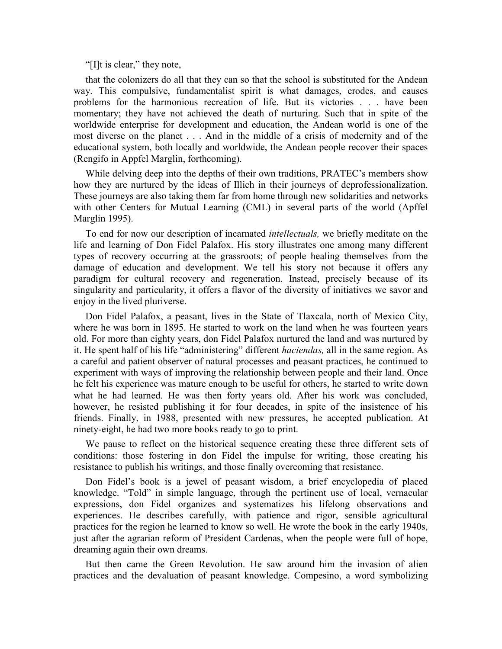"[I]t is clear," they note,

that the colonizers do all that they can so that the school is substituted for the Andean way. This compulsive, fundamentalist spirit is what damages, erodes, and causes problems for the harmonious recreation of life. But its victories . . . have been momentary; they have not achieved the death of nurturing. Such that in spite of the worldwide enterprise for development and education, the Andean world is one of the most diverse on the planet . . . And in the middle of a crisis of modernity and of the educational system, both locally and worldwide, the Andean people recover their spaces (Rengifo in Appfel Marglin, forthcoming).

While delving deep into the depths of their own traditions, PRATEC's members show how they are nurtured by the ideas of Illich in their journeys of deprofessionalization. These journeys are also taking them far from home through new solidarities and networks with other Centers for Mutual Learning (CML) in several parts of the world (Apffel Marglin 1995).

To end for now our description of incarnated intellectuals, we briefly meditate on the life and learning of Don Fidel Palafox. His story illustrates one among many different types of recovery occurring at the grassroots; of people healing themselves from the damage of education and development. We tell his story not because it offers any paradigm for cultural recovery and regeneration. Instead, precisely because of its singularity and particularity, it offers a flavor of the diversity of initiatives we savor and enjoy in the lived pluriverse.

Don Fidel Palafox, a peasant, lives in the State of Tlaxcala, north of Mexico City, where he was born in 1895. He started to work on the land when he was fourteen years old. For more than eighty years, don Fidel Palafox nurtured the land and was nurtured by it. He spent half of his life "administering" different *haciendas*, all in the same region. As a careful and patient observer of natural processes and peasant practices, he continued to experiment with ways of improving the relationship between people and their land. Once he felt his experience was mature enough to be useful for others, he started to write down what he had learned. He was then forty years old. After his work was concluded, however, he resisted publishing it for four decades, in spite of the insistence of his friends. Finally, in 1988, presented with new pressures, he accepted publication. At ninety-eight, he had two more books ready to go to print.

We pause to reflect on the historical sequence creating these three different sets of conditions: those fostering in don Fidel the impulse for writing, those creating his resistance to publish his writings, and those finally overcoming that resistance.

Don Fidel's book is a jewel of peasant wisdom, a brief encyclopedia of placed knowledge. "Told" in simple language, through the pertinent use of local, vernacular expressions, don Fidel organizes and systematizes his lifelong observations and experiences. He describes carefully, with patience and rigor, sensible agricultural practices for the region he learned to know so well. He wrote the book in the early 1940s, just after the agrarian reform of President Cardenas, when the people were full of hope, dreaming again their own dreams.

But then came the Green Revolution. He saw around him the invasion of alien practices and the devaluation of peasant knowledge. Compesino, a word symbolizing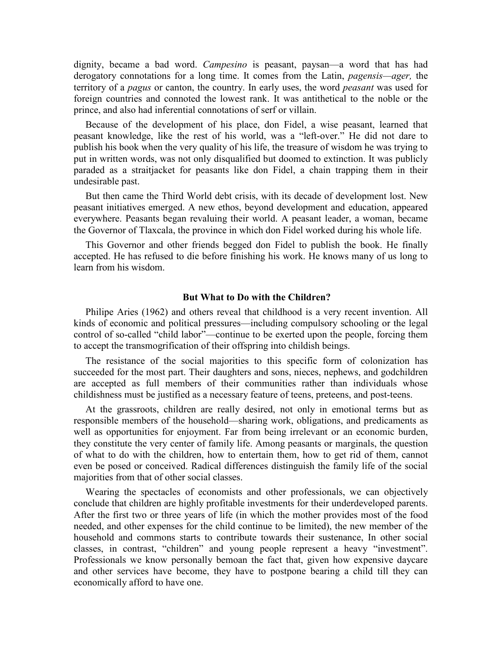dignity, became a bad word. *Campesino* is peasant, paysan—a word that has had derogatory connotations for a long time. It comes from the Latin, *pagensis—ager*, the territory of a *pagus* or canton, the country. In early uses, the word *peasant* was used for foreign countries and connoted the lowest rank. It was antithetical to the noble or the prince, and also had inferential connotations of serf or villain.

Because of the development of his place, don Fidel, a wise peasant, learned that peasant knowledge, like the rest of his world, was a "left-over." He did not dare to publish his book when the very quality of his life, the treasure of wisdom he was trying to put in written words, was not only disqualified but doomed to extinction. It was publicly paraded as a straitjacket for peasants like don Fidel, a chain trapping them in their undesirable past.

But then came the Third World debt crisis, with its decade of development lost. New peasant initiatives emerged. A new ethos, beyond development and education, appeared everywhere. Peasants began revaluing their world. A peasant leader, a woman, became the Governor of Tlaxcala, the province in which don Fidel worked during his whole life.

This Governor and other friends begged don Fidel to publish the book. He finally accepted. He has refused to die before finishing his work. He knows many of us long to learn from his wisdom.

# But What to Do with the Children?

Philipe Aries (1962) and others reveal that childhood is a very recent invention. All kinds of economic and political pressures—including compulsory schooling or the legal control of so-called "child labor"—continue to be exerted upon the people, forcing them to accept the transmogrification of their offspring into childish beings.

The resistance of the social majorities to this specific form of colonization has succeeded for the most part. Their daughters and sons, nieces, nephews, and godchildren are accepted as full members of their communities rather than individuals whose childishness must be justified as a necessary feature of teens, preteens, and post-teens.

At the grassroots, children are really desired, not only in emotional terms but as responsible members of the household—sharing work, obligations, and predicaments as well as opportunities for enjoyment. Far from being irrelevant or an economic burden, they constitute the very center of family life. Among peasants or marginals, the question of what to do with the children, how to entertain them, how to get rid of them, cannot even be posed or conceived. Radical differences distinguish the family life of the social majorities from that of other social classes.

Wearing the spectacles of economists and other professionals, we can objectively conclude that children are highly profitable investments for their underdeveloped parents. After the first two or three years of life (in which the mother provides most of the food needed, and other expenses for the child continue to be limited), the new member of the household and commons starts to contribute towards their sustenance, In other social classes, in contrast, "children" and young people represent a heavy "investment". Professionals we know personally bemoan the fact that, given how expensive daycare and other services have become, they have to postpone bearing a child till they can economically afford to have one.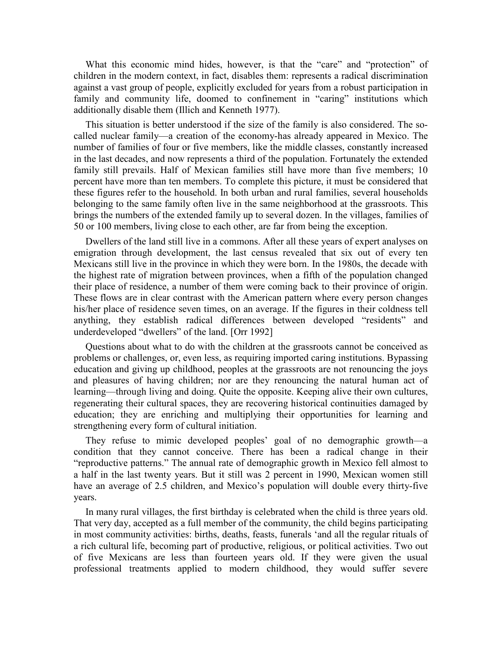What this economic mind hides, however, is that the "care" and "protection" of children in the modern context, in fact, disables them: represents a radical discrimination against a vast group of people, explicitly excluded for years from a robust participation in family and community life, doomed to confinement in "caring" institutions which additionally disable them (Illich and Kenneth 1977).

This situation is better understood if the size of the family is also considered. The socalled nuclear family—a creation of the economy-has already appeared in Mexico. The number of families of four or five members, like the middle classes, constantly increased in the last decades, and now represents a third of the population. Fortunately the extended family still prevails. Half of Mexican families still have more than five members; 10 percent have more than ten members. To complete this picture, it must be considered that these figures refer to the household. In both urban and rural families, several households belonging to the same family often live in the same neighborhood at the grassroots. This brings the numbers of the extended family up to several dozen. In the villages, families of 50 or 100 members, living close to each other, are far from being the exception.

Dwellers of the land still live in a commons. After all these years of expert analyses on emigration through development, the last census revealed that six out of every ten Mexicans still live in the province in which they were born. In the 1980s, the decade with the highest rate of migration between provinces, when a fifth of the population changed their place of residence, a number of them were coming back to their province of origin. These flows are in clear contrast with the American pattern where every person changes his/her place of residence seven times, on an average. If the figures in their coldness tell anything, they establish radical differences between developed "residents" and underdeveloped "dwellers" of the land. [Orr 1992]

Questions about what to do with the children at the grassroots cannot be conceived as problems or challenges, or, even less, as requiring imported caring institutions. Bypassing education and giving up childhood, peoples at the grassroots are not renouncing the joys and pleasures of having children; nor are they renouncing the natural human act of learning—through living and doing. Quite the opposite. Keeping alive their own cultures, regenerating their cultural spaces, they are recovering historical continuities damaged by education; they are enriching and multiplying their opportunities for learning and strengthening every form of cultural initiation.

They refuse to mimic developed peoples' goal of no demographic growth—a condition that they cannot conceive. There has been a radical change in their "reproductive patterns." The annual rate of demographic growth in Mexico fell almost to a half in the last twenty years. But it still was 2 percent in 1990, Mexican women still have an average of 2.5 children, and Mexico's population will double every thirty-five years.

In many rural villages, the first birthday is celebrated when the child is three years old. That very day, accepted as a full member of the community, the child begins participating in most community activities: births, deaths, feasts, funerals 'and all the regular rituals of a rich cultural life, becoming part of productive, religious, or political activities. Two out of five Mexicans are less than fourteen years old. If they were given the usual professional treatments applied to modern childhood, they would suffer severe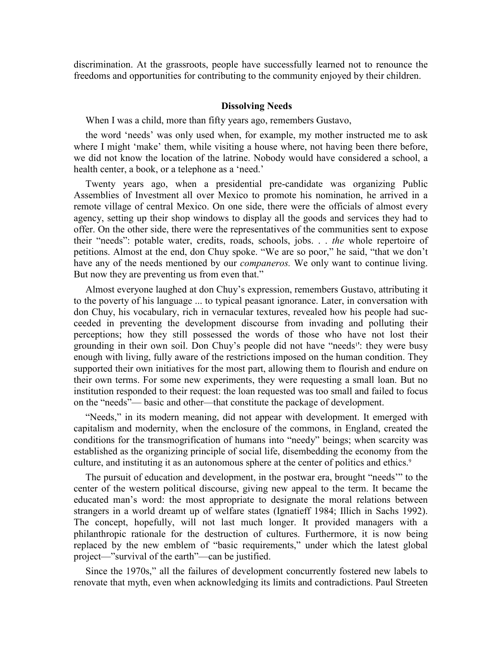discrimination. At the grassroots, people have successfully learned not to renounce the freedoms and opportunities for contributing to the community enjoyed by their children.

# Dissolving Needs

When I was a child, more than fifty years ago, remembers Gustavo,

the word 'needs' was only used when, for example, my mother instructed me to ask where I might 'make' them, while visiting a house where, not having been there before, we did not know the location of the latrine. Nobody would have considered a school, a health center, a book, or a telephone as a 'need.'

Twenty years ago, when a presidential pre-candidate was organizing Public Assemblies of Investment all over Mexico to promote his nomination, he arrived in a remote village of central Mexico. On one side, there were the officials of almost every agency, setting up their shop windows to display all the goods and services they had to offer. On the other side, there were the representatives of the communities sent to expose their "needs": potable water, credits, roads, schools, jobs. . . the whole repertoire of petitions. Almost at the end, don Chuy spoke. "We are so poor," he said, "that we don't have any of the needs mentioned by our *companeros*. We only want to continue living. But now they are preventing us from even that."

Almost everyone laughed at don Chuy's expression, remembers Gustavo, attributing it to the poverty of his language ... to typical peasant ignorance. Later, in conversation with don Chuy, his vocabulary, rich in vernacular textures, revealed how his people had succeeded in preventing the development discourse from invading and polluting their perceptions; how they still possessed the words of those who have not lost their grounding in their own soil. Don Chuy's people did not have "needs<sup>1</sup>": they were busy enough with living, fully aware of the restrictions imposed on the human condition. They supported their own initiatives for the most part, allowing them to flourish and endure on their own terms. For some new experiments, they were requesting a small loan. But no institution responded to their request: the loan requested was too small and failed to focus on the "needs"— basic and other—that constitute the package of development.

"Needs," in its modern meaning, did not appear with development. It emerged with capitalism and modernity, when the enclosure of the commons, in England, created the conditions for the transmogrification of humans into "needy" beings; when scarcity was established as the organizing principle of social life, disembedding the economy from the culture, and instituting it as an autonomous sphere at the center of politics and ethics.<sup>9</sup>

The pursuit of education and development, in the postwar era, brought "needs'" to the center of the western political discourse, giving new appeal to the term. It became the educated man's word: the most appropriate to designate the moral relations between strangers in a world dreamt up of welfare states (Ignatieff 1984; Illich in Sachs 1992). The concept, hopefully, will not last much longer. It provided managers with a philanthropic rationale for the destruction of cultures. Furthermore, it is now being replaced by the new emblem of "basic requirements," under which the latest global project—"survival of the earth"—can be justified.

Since the 1970s," all the failures of development concurrently fostered new labels to renovate that myth, even when acknowledging its limits and contradictions. Paul Streeten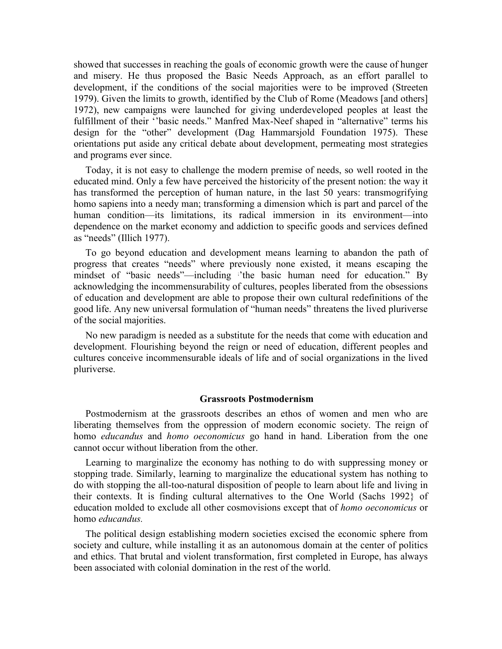showed that successes in reaching the goals of economic growth were the cause of hunger and misery. He thus proposed the Basic Needs Approach, as an effort parallel to development, if the conditions of the social majorities were to be improved (Streeten 1979). Given the limits to growth, identified by the Club of Rome (Meadows [and others] 1972), new campaigns were launched for giving underdeveloped peoples at least the fulfillment of their ''basic needs." Manfred Max-Neef shaped in "alternative" terms his design for the "other" development (Dag Hammarsjold Foundation 1975). These orientations put aside any critical debate about development, permeating most strategies and programs ever since.

Today, it is not easy to challenge the modern premise of needs, so well rooted in the educated mind. Only a few have perceived the historicity of the present notion: the way it has transformed the perception of human nature, in the last 50 years: transmogrifying homo sapiens into a needy man; transforming a dimension which is part and parcel of the human condition—its limitations, its radical immersion in its environment—into dependence on the market economy and addiction to specific goods and services defined as "needs" (Illich 1977).

To go beyond education and development means learning to abandon the path of progress that creates "needs" where previously none existed, it means escaping the mindset of "basic needs"—including ; 'the basic human need for education." By acknowledging the incommensurability of cultures, peoples liberated from the obsessions of education and development are able to propose their own cultural redefinitions of the good life. Any new universal formulation of "human needs" threatens the lived pluriverse of the social majorities.

No new paradigm is needed as a substitute for the needs that come with education and development. Flourishing beyond the reign or need of education, different peoples and cultures conceive incommensurable ideals of life and of social organizations in the lived pluriverse.

## Grassroots Postmodernism

Postmodernism at the grassroots describes an ethos of women and men who are liberating themselves from the oppression of modern economic society. The reign of homo *educandus* and *homo oeconomicus* go hand in hand. Liberation from the one cannot occur without liberation from the other.

Learning to marginalize the economy has nothing to do with suppressing money or stopping trade. Similarly, learning to marginalize the educational system has nothing to do with stopping the all-too-natural disposition of people to learn about life and living in their contexts. It is finding cultural alternatives to the One World (Sachs 1992} of education molded to exclude all other cosmovisions except that of homo oeconomicus or homo educandus.

The political design establishing modern societies excised the economic sphere from society and culture, while installing it as an autonomous domain at the center of politics and ethics. That brutal and violent transformation, first completed in Europe, has always been associated with colonial domination in the rest of the world.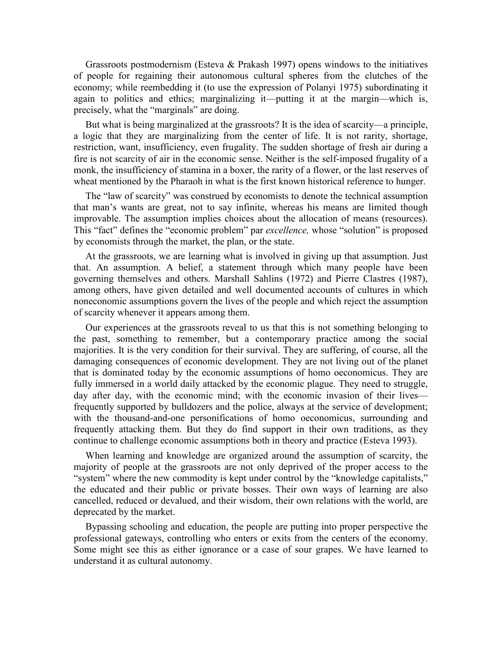Grassroots postmodernism (Esteva & Prakash 1997) opens windows to the initiatives of people for regaining their autonomous cultural spheres from the clutches of the economy; while reembedding it (to use the expression of Polanyi 1975) subordinating it again to politics and ethics; marginalizing it—putting it at the margin—which is, precisely, what the "marginals" are doing.

But what is being marginalized at the grassroots? It is the idea of scarcity—a principle, a logic that they are marginalizing from the center of life. It is not rarity, shortage, restriction, want, insufficiency, even frugality. The sudden shortage of fresh air during a fire is not scarcity of air in the economic sense. Neither is the self-imposed frugality of a monk, the insufficiency of stamina in a boxer, the rarity of a flower, or the last reserves of wheat mentioned by the Pharaoh in what is the first known historical reference to hunger.

The "law of scarcity" was construed by economists to denote the technical assumption that man's wants are great, not to say infinite, whereas his means are limited though improvable. The assumption implies choices about the allocation of means (resources). This "fact" defines the "economic problem" par excellence, whose "solution" is proposed by economists through the market, the plan, or the state.

At the grassroots, we are learning what is involved in giving up that assumption. Just that. An assumption. A belief, a statement through which many people have been governing themselves and others. Marshall Sahlins (1972) and Pierre Clastres (1987), among others, have given detailed and well documented accounts of cultures in which noneconomic assumptions govern the lives of the people and which reject the assumption of scarcity whenever it appears among them.

Our experiences at the grassroots reveal to us that this is not something belonging to the past, something to remember, but a contemporary practice among the social majorities. It is the very condition for their survival. They are suffering, of course, all the damaging consequences of economic development. They are not living out of the planet that is dominated today by the economic assumptions of homo oeconomicus. They are fully immersed in a world daily attacked by the economic plague. They need to struggle, day after day, with the economic mind; with the economic invasion of their lives frequently supported by bulldozers and the police, always at the service of development; with the thousand-and-one personifications of homo oeconomicus, surrounding and frequently attacking them. But they do find support in their own traditions, as they continue to challenge economic assumptions both in theory and practice (Esteva 1993).

When learning and knowledge are organized around the assumption of scarcity, the majority of people at the grassroots are not only deprived of the proper access to the "system" where the new commodity is kept under control by the "knowledge capitalists," the educated and their public or private bosses. Their own ways of learning are also cancelled, reduced or devalued, and their wisdom, their own relations with the world, are deprecated by the market.

Bypassing schooling and education, the people are putting into proper perspective the professional gateways, controlling who enters or exits from the centers of the economy. Some might see this as either ignorance or a case of sour grapes. We have learned to understand it as cultural autonomy.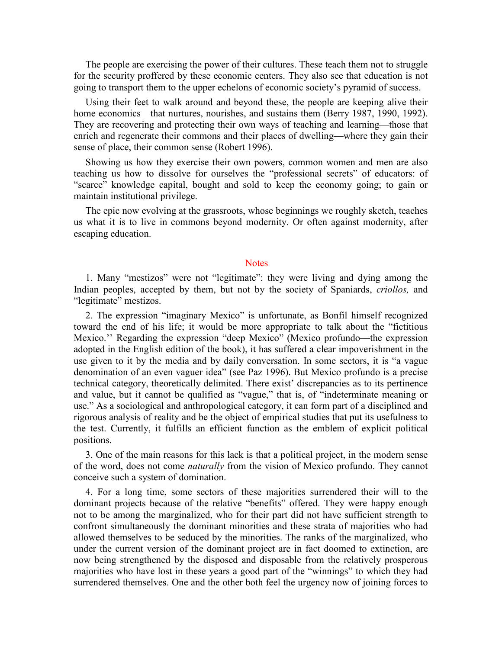The people are exercising the power of their cultures. These teach them not to struggle for the security proffered by these economic centers. They also see that education is not going to transport them to the upper echelons of economic society's pyramid of success.

Using their feet to walk around and beyond these, the people are keeping alive their home economics—that nurtures, nourishes, and sustains them (Berry 1987, 1990, 1992). They are recovering and protecting their own ways of teaching and learning—those that enrich and regenerate their commons and their places of dwelling—where they gain their sense of place, their common sense (Robert 1996).

Showing us how they exercise their own powers, common women and men are also teaching us how to dissolve for ourselves the "professional secrets" of educators: of "scarce" knowledge capital, bought and sold to keep the economy going; to gain or maintain institutional privilege.

The epic now evolving at the grassroots, whose beginnings we roughly sketch, teaches us what it is to live in commons beyond modernity. Or often against modernity, after escaping education.

## **Notes**

1. Many "mestizos" were not "legitimate": they were living and dying among the Indian peoples, accepted by them, but not by the society of Spaniards, *criollos*, and "legitimate" mestizos.

2. The expression "imaginary Mexico" is unfortunate, as Bonfil himself recognized toward the end of his life; it would be more appropriate to talk about the "fictitious Mexico.'' Regarding the expression "deep Mexico" (Mexico profundo—the expression adopted in the English edition of the book), it has suffered a clear impoverishment in the use given to it by the media and by daily conversation. In some sectors, it is "a vague denomination of an even vaguer idea" (see Paz 1996). But Mexico profundo is a precise technical category, theoretically delimited. There exist' discrepancies as to its pertinence and value, but it cannot be qualified as "vague," that is, of "indeterminate meaning or use." As a sociological and anthropological category, it can form part of a disciplined and rigorous analysis of reality and be the object of empirical studies that put its usefulness to the test. Currently, it fulfills an efficient function as the emblem of explicit political positions.

3. One of the main reasons for this lack is that a political project, in the modern sense of the word, does not come naturally from the vision of Mexico profundo. They cannot conceive such a system of domination.

4. For a long time, some sectors of these majorities surrendered their will to the dominant projects because of the relative "benefits" offered. They were happy enough not to be among the marginalized, who for their part did not have sufficient strength to confront simultaneously the dominant minorities and these strata of majorities who had allowed themselves to be seduced by the minorities. The ranks of the marginalized, who under the current version of the dominant project are in fact doomed to extinction, are now being strengthened by the disposed and disposable from the relatively prosperous majorities who have lost in these years a good part of the "winnings" to which they had surrendered themselves. One and the other both feel the urgency now of joining forces to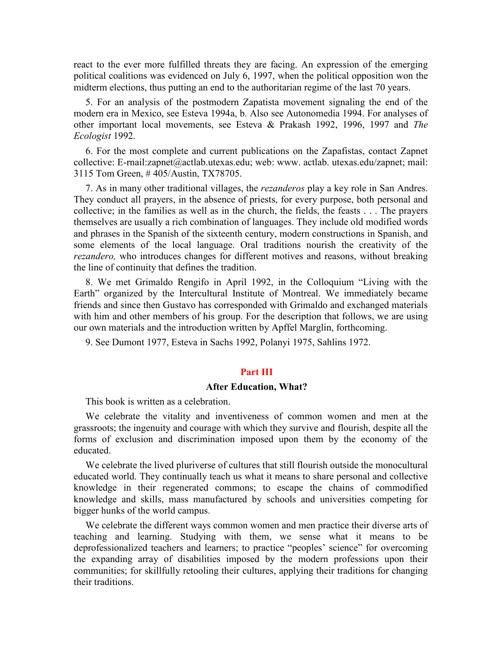react to the ever more fulfilled threats they are facing. An expression of the emerging political coalitions was evidenced on July 6, 1997, when the political opposition won the midterm elections, thus putting an end to the authoritarian regime of the last 70 years.

5. For an analysis of the postmodern Zapatista movement signaling the end of the modern era in Mexico, see Esteva 1994a, b. Also see Autonomedia 1994. For analyses of other important local movements, see Esteva & Prakash 1992, 1996, 1997 and The Ecologist 1992.

6. For the most complete and current publications on the Zapafistas, contact Zapnet collective: E-rnail:zapnet@actlab.utexas.edu; web: www. actlab. utexas.edu/zapnet; mail: 3115 Tom Green, # 405/Austin, TX78705.

7. As in many other traditional villages, the *rezanderos* play a key role in San Andres. They conduct all prayers, in the absence of priests, for every purpose, both personal and collective; in the families as well as in the church, the fields, the feasts . . . The prayers themselves are usually a rich combination of languages. They include old modified words and phrases in the Spanish of the sixteenth century, modern constructions in Spanish, and some elements of the local language. Oral traditions nourish the creativity of the rezandero, who introduces changes for different motives and reasons, without breaking the line of continuity that defines the tradition.

8. We met Grimaldo Rengifo in April 1992, in the Colloquium "Living with the Earth" organized by the Intercultural Institute of Montreal. We immediately became friends and since then Gustavo has corresponded with Grimaldo and exchanged materials with him and other members of his group. For the description that follows, we are using our own materials and the introduction written by Apffel Marglin, forthcoming.

9. See Dumont 1977, Esteva in Sachs 1992, Polanyi 1975, Sahlins 1972.

### Part III

### After Education, What?

This book is written as a celebration.

We celebrate the vitality and inventiveness of common women and men at the grassroots; the ingenuity and courage with which they survive and flourish, despite all the forms of exclusion and discrimination imposed upon them by the economy of the educated.

We celebrate the lived pluriverse of cultures that still flourish outside the monocultural educated world. They continually teach us what it means to share personal and collective knowledge in their regenerated commons; to escape the chains of commodified knowledge and skills, mass manufactured by schools and universities competing for bigger hunks of the world campus.

We celebrate the different ways common women and men practice their diverse arts of teaching and learning. Studying with them, we sense what it means to be deprofessionalized teachers and learners; to practice "peoples' science" for overcoming the expanding array of disabilities imposed by the modern professions upon their communities; for skillfully retooling their cultures, applying their traditions for changing their traditions.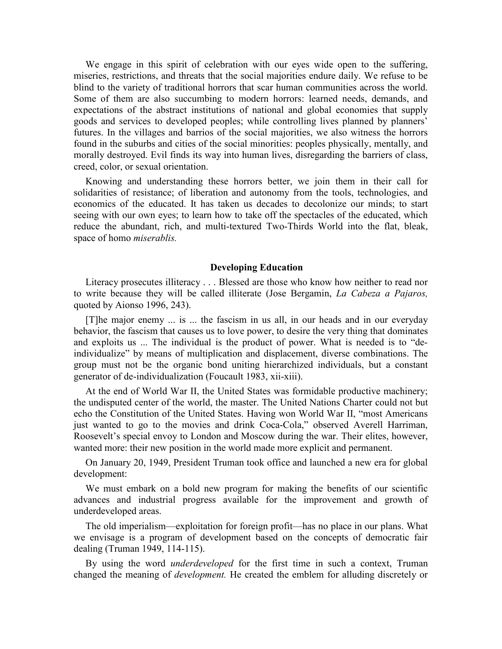We engage in this spirit of celebration with our eyes wide open to the suffering, miseries, restrictions, and threats that the social majorities endure daily. We refuse to be blind to the variety of traditional horrors that scar human communities across the world. Some of them are also succumbing to modern horrors: learned needs, demands, and expectations of the abstract institutions of national and global economies that supply goods and services to developed peoples; while controlling lives planned by planners' futures. In the villages and barrios of the social majorities, we also witness the horrors found in the suburbs and cities of the social minorities: peoples physically, mentally, and morally destroyed. Evil finds its way into human lives, disregarding the barriers of class, creed, color, or sexual orientation.

Knowing and understanding these horrors better, we join them in their call for solidarities of resistance; of liberation and autonomy from the tools, technologies, and economics of the educated. It has taken us decades to decolonize our minds; to start seeing with our own eyes; to learn how to take off the spectacles of the educated, which reduce the abundant, rich, and multi-textured Two-Thirds World into the flat, bleak, space of homo miserablis.

## Developing Education

Literacy prosecutes illiteracy . . . Blessed are those who know how neither to read nor to write because they will be called illiterate (Jose Bergamin, La Cabeza a Pajaros, quoted by Aionso 1996, 243).

[T]he major enemy ... is ... the fascism in us all, in our heads and in our everyday behavior, the fascism that causes us to love power, to desire the very thing that dominates and exploits us ... The individual is the product of power. What is needed is to "deindividualize" by means of multiplication and displacement, diverse combinations. The group must not be the organic bond uniting hierarchized individuals, but a constant generator of de-individualization (Foucault 1983, xii-xiii).

At the end of World War II, the United States was formidable productive machinery; the undisputed center of the world, the master. The United Nations Charter could not but echo the Constitution of the United States. Having won World War II, "most Americans just wanted to go to the movies and drink Coca-Cola," observed Averell Harriman, Roosevelt's special envoy to London and Moscow during the war. Their elites, however, wanted more: their new position in the world made more explicit and permanent.

On January 20, 1949, President Truman took office and launched a new era for global development:

We must embark on a bold new program for making the benefits of our scientific advances and industrial progress available for the improvement and growth of underdeveloped areas.

The old imperialism—exploitation for foreign profit—has no place in our plans. What we envisage is a program of development based on the concepts of democratic fair dealing (Truman 1949, 114-115).

By using the word *underdeveloped* for the first time in such a context, Truman changed the meaning of development. He created the emblem for alluding discretely or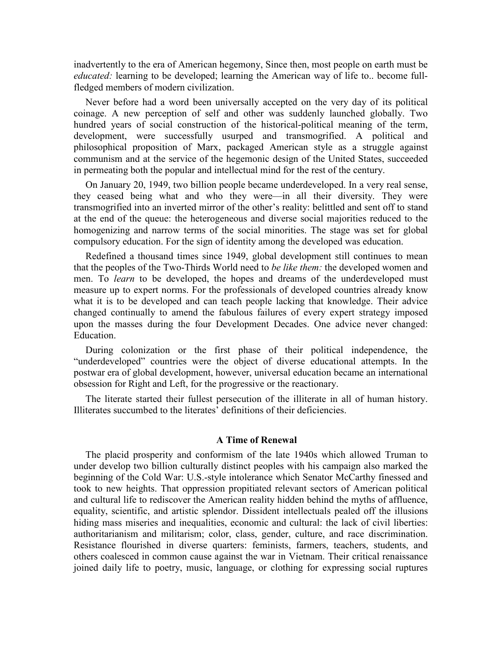inadvertently to the era of American hegemony, Since then, most people on earth must be educated: learning to be developed; learning the American way of life to.. become fullfledged members of modern civilization.

Never before had a word been universally accepted on the very day of its political coinage. A new perception of self and other was suddenly launched globally. Two hundred years of social construction of the historical-political meaning of the term, development, were successfully usurped and transmogrified. A political and philosophical proposition of Marx, packaged American style as a struggle against communism and at the service of the hegemonic design of the United States, succeeded in permeating both the popular and intellectual mind for the rest of the century.

On January 20, 1949, two billion people became underdeveloped. In a very real sense, they ceased being what and who they were—in all their diversity. They were transmogrified into an inverted mirror of the other's reality: belittled and sent off to stand at the end of the queue: the heterogeneous and diverse social majorities reduced to the homogenizing and narrow terms of the social minorities. The stage was set for global compulsory education. For the sign of identity among the developed was education.

Redefined a thousand times since 1949, global development still continues to mean that the peoples of the Two-Thirds World need to be like them: the developed women and men. To *learn* to be developed, the hopes and dreams of the underdeveloped must measure up to expert norms. For the professionals of developed countries already know what it is to be developed and can teach people lacking that knowledge. Their advice changed continually to amend the fabulous failures of every expert strategy imposed upon the masses during the four Development Decades. One advice never changed: Education.

During colonization or the first phase of their political independence, the "underdeveloped" countries were the object of diverse educational attempts. In the postwar era of global development, however, universal education became an international obsession for Right and Left, for the progressive or the reactionary.

The literate started their fullest persecution of the illiterate in all of human history. Illiterates succumbed to the literates' definitions of their deficiencies.

## A Time of Renewal

The placid prosperity and conformism of the late 1940s which allowed Truman to under develop two billion culturally distinct peoples with his campaign also marked the beginning of the Cold War: U.S.-style intolerance which Senator McCarthy finessed and took to new heights. That oppression propitiated relevant sectors of American political and cultural life to rediscover the American reality hidden behind the myths of affluence, equality, scientific, and artistic splendor. Dissident intellectuals pealed off the illusions hiding mass miseries and inequalities, economic and cultural: the lack of civil liberties: authoritarianism and militarism; color, class, gender, culture, and race discrimination. Resistance flourished in diverse quarters: feminists, farmers, teachers, students, and others coalesced in common cause against the war in Vietnam. Their critical renaissance joined daily life to poetry, music, language, or clothing for expressing social ruptures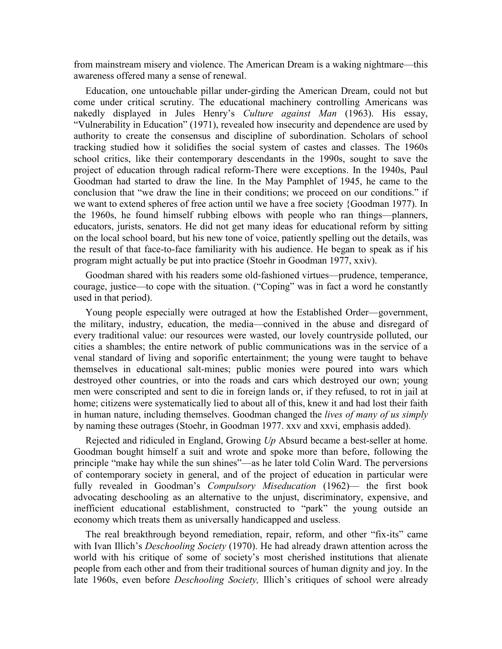from mainstream misery and violence. The American Dream is a waking nightmare—this awareness offered many a sense of renewal.

Education, one untouchable pillar under-girding the American Dream, could not but come under critical scrutiny. The educational machinery controlling Americans was nakedly displayed in Jules Henry's Culture against Man (1963). His essay, "Vulnerability in Education" (1971), revealed how insecurity and dependence are used by authority to create the consensus and discipline of subordination. Scholars of school tracking studied how it solidifies the social system of castes and classes. The 1960s school critics, like their contemporary descendants in the 1990s, sought to save the project of education through radical reform-There were exceptions. In the 1940s, Paul Goodman had started to draw the line. In the May Pamphlet of 1945, he came to the conclusion that "we draw the line in their conditions; we proceed on our conditions." if we want to extend spheres of free action until we have a free society {Goodman 1977). In the 1960s, he found himself rubbing elbows with people who ran things—planners, educators, jurists, senators. He did not get many ideas for educational reform by sitting on the local school board, but his new tone of voice, patiently spelling out the details, was the result of that face-to-face familiarity with his audience. He began to speak as if his program might actually be put into practice (Stoehr in Goodman 1977, xxiv).

Goodman shared with his readers some old-fashioned virtues—prudence, temperance, courage, justice—to cope with the situation. ("Coping" was in fact a word he constantly used in that period).

Young people especially were outraged at how the Established Order—government, the military, industry, education, the media—connived in the abuse and disregard of every traditional value: our resources were wasted, our lovely countryside polluted, our cities a shambles; the entire network of public communications was in the service of a venal standard of living and soporific entertainment; the young were taught to behave themselves in educational salt-mines; public monies were poured into wars which destroyed other countries, or into the roads and cars which destroyed our own; young men were conscripted and sent to die in foreign lands or, if they refused, to rot in jail at home; citizens were systematically lied to about all of this, knew it and had lost their faith in human nature, including themselves. Goodman changed the lives of many of us simply by naming these outrages (Stoehr, in Goodman 1977. xxv and xxvi, emphasis added).

Rejected and ridiculed in England, Growing Up Absurd became a best-seller at home. Goodman bought himself a suit and wrote and spoke more than before, following the principle "make hay while the sun shines"—as he later told Colin Ward. The perversions of contemporary society in general, and of the project of education in particular were fully revealed in Goodman's Compulsory Miseducation (1962)— the first book advocating deschooling as an alternative to the unjust, discriminatory, expensive, and inefficient educational establishment, constructed to "park" the young outside an economy which treats them as universally handicapped and useless.

The real breakthrough beyond remediation, repair, reform, and other "fix-its" came with Ivan Illich's *Deschooling Society* (1970). He had already drawn attention across the world with his critique of some of society's most cherished institutions that alienate people from each other and from their traditional sources of human dignity and joy. In the late 1960s, even before *Deschooling Society*, Illich's critiques of school were already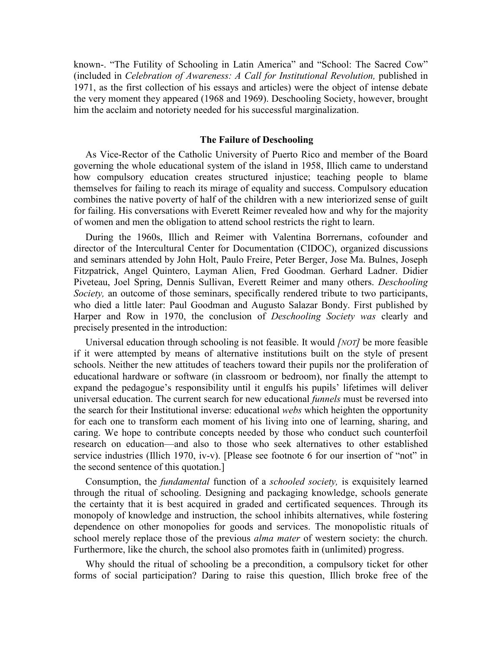known-. "The Futility of Schooling in Latin America" and "School: The Sacred Cow" (included in Celebration of Awareness: A Call for Institutional Revolution, published in 1971, as the first collection of his essays and articles) were the object of intense debate the very moment they appeared (1968 and 1969). Deschooling Society, however, brought him the acclaim and notoriety needed for his successful marginalization.

# The Failure of Deschooling

As Vice-Rector of the Catholic University of Puerto Rico and member of the Board governing the whole educational system of the island in 1958, Illich came to understand how compulsory education creates structured injustice; teaching people to blame themselves for failing to reach its mirage of equality and success. Compulsory education combines the native poverty of half of the children with a new interiorized sense of guilt for failing. His conversations with Everett Reimer revealed how and why for the majority of women and men the obligation to attend school restricts the right to learn.

During the 1960s, Illich and Reimer with Valentina Borrernans, cofounder and director of the Intercultural Center for Documentation (CIDOC), organized discussions and seminars attended by John Holt, Paulo Freire, Peter Berger, Jose Ma. Bulnes, Joseph Fitzpatrick, Angel Quintero, Layman Alien, Fred Goodman. Gerhard Ladner. Didier Piveteau, Joel Spring, Dennis Sullivan, Everett Reimer and many others. Deschooling Society, an outcome of those seminars, specifically rendered tribute to two participants, who died a little later: Paul Goodman and Augusto Salazar Bondy. First published by Harper and Row in 1970, the conclusion of *Deschooling Society was* clearly and precisely presented in the introduction:

Universal education through schooling is not feasible. It would [NOT] be more feasible if it were attempted by means of alternative institutions built on the style of present schools. Neither the new attitudes of teachers toward their pupils nor the proliferation of educational hardware or software (in classroom or bedroom), nor finally the attempt to expand the pedagogue's responsibility until it engulfs his pupils' lifetimes will deliver universal education. The current search for new educational funnels must be reversed into the search for their Institutional inverse: educational webs which heighten the opportunity for each one to transform each moment of his living into one of learning, sharing, and caring. We hope to contribute concepts needed by those who conduct such counterfoil research on education—and also to those who seek alternatives to other established service industries (Illich 1970, iv-v). [Please see footnote 6 for our insertion of "not" in the second sentence of this quotation.]

Consumption, the *fundamental* function of a *schooled society*, is exquisitely learned through the ritual of schooling. Designing and packaging knowledge, schools generate the certainty that it is best acquired in graded and certificated sequences. Through its monopoly of knowledge and instruction, the school inhibits alternatives, while fostering dependence on other monopolies for goods and services. The monopolistic rituals of school merely replace those of the previous *alma mater* of western society: the church. Furthermore, like the church, the school also promotes faith in (unlimited) progress.

Why should the ritual of schooling be a precondition, a compulsory ticket for other forms of social participation? Daring to raise this question, Illich broke free of the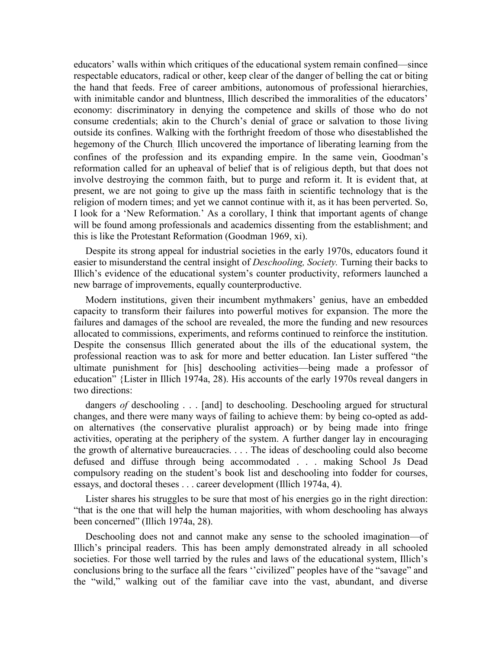educators' walls within which critiques of the educational system remain confined—since respectable educators, radical or other, keep clear of the danger of belling the cat or biting the hand that feeds. Free of career ambitions, autonomous of professional hierarchies, with inimitable candor and bluntness, Illich described the immoralities of the educators' economy: discriminatory in denying the competence and skills of those who do not consume credentials; akin to the Church's denial of grace or salvation to those living outside its confines. Walking with the forthright freedom of those who disestablished the hegemony of the Church; Illich uncovered the importance of liberating learning from the confines of the profession and its expanding empire. In the same vein, Goodman's reformation called for an upheaval of belief that is of religious depth, but that does not involve destroying the common faith, but to purge and reform it. It is evident that, at present, we are not going to give up the mass faith in scientific technology that is the religion of modern times; and yet we cannot continue with it, as it has been perverted. So, I look for a 'New Reformation.' As a corollary, I think that important agents of change will be found among professionals and academics dissenting from the establishment; and this is like the Protestant Reformation (Goodman 1969, xi).

Despite its strong appeal for industrial societies in the early 1970s, educators found it easier to misunderstand the central insight of *Deschooling, Society*. Turning their backs to Illich's evidence of the educational system's counter productivity, reformers launched a new barrage of improvements, equally counterproductive.

Modern institutions, given their incumbent mythmakers' genius, have an embedded capacity to transform their failures into powerful motives for expansion. The more the failures and damages of the school are revealed, the more the funding and new resources allocated to commissions, experiments, and reforms continued to reinforce the institution. Despite the consensus Illich generated about the ills of the educational system, the professional reaction was to ask for more and better education. Ian Lister suffered "the ultimate punishment for [his] deschooling activities—being made a professor of education" {Lister in Illich 1974a, 28). His accounts of the early 1970s reveal dangers in two directions:

dangers of deschooling . . . [and] to deschooling. Deschooling argued for structural changes, and there were many ways of failing to achieve them: by being co-opted as addon alternatives (the conservative pluralist approach) or by being made into fringe activities, operating at the periphery of the system. A further danger lay in encouraging the growth of alternative bureaucracies. . . . The ideas of deschooling could also become defused and diffuse through being accommodated . . . making School Js Dead compulsory reading on the student's book list and deschooling into fodder for courses, essays, and doctoral theses . . . career development (Illich 1974a, 4).

Lister shares his struggles to be sure that most of his energies go in the right direction: "that is the one that will help the human majorities, with whom deschooling has always been concerned" (Illich 1974a, 28).

Deschooling does not and cannot make any sense to the schooled imagination—of Illich's principal readers. This has been amply demonstrated already in all schooled societies. For those well tarried by the rules and laws of the educational system, Illich's conclusions bring to the surface all the fears ''civilized" peoples have of the "savage" and the "wild," walking out of the familiar cave into the vast, abundant, and diverse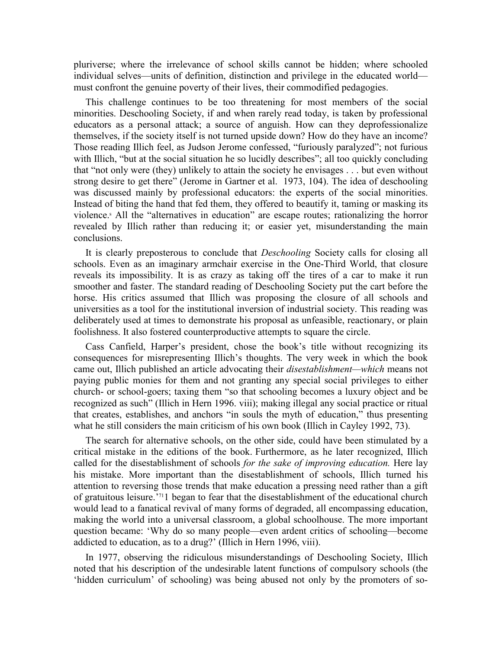pluriverse; where the irrelevance of school skills cannot be hidden; where schooled individual selves—units of definition, distinction and privilege in the educated world must confront the genuine poverty of their lives, their commodified pedagogies.

This challenge continues to be too threatening for most members of the social minorities. Deschooling Society, if and when rarely read today, is taken by professional educators as a personal attack; a source of anguish. How can they deprofessionalize themselves, if the society itself is not turned upside down? How do they have an income? Those reading Illich feel, as Judson Jerome confessed, "furiously paralyzed"; not furious with Illich, "but at the social situation he so lucidly describes"; all too quickly concluding that "not only were (they) unlikely to attain the society he envisages . . . but even without strong desire to get there" (Jerome in Gartner et al. 1973, 104). The idea of deschooling was discussed mainly by professional educators: the experts of the social minorities. Instead of biting the hand that fed them, they offered to beautify it, taming or masking its violence.<sup>*s*</sup> All the "alternatives in education" are escape routes; rationalizing the horror revealed by Illich rather than reducing it; or easier yet, misunderstanding the main conclusions.

It is clearly preposterous to conclude that Deschooling Society calls for closing all schools. Even as an imaginary armchair exercise in the One-Third World, that closure reveals its impossibility. It is as crazy as taking off the tires of a car to make it run smoother and faster. The standard reading of Deschooling Society put the cart before the horse. His critics assumed that Illich was proposing the closure of all schools and universities as a tool for the institutional inversion of industrial society. This reading was deliberately used at times to demonstrate his proposal as unfeasible, reactionary, or plain foolishness. It also fostered counterproductive attempts to square the circle.

Cass Canfield, Harper's president, chose the book's title without recognizing its consequences for misrepresenting Illich's thoughts. The very week in which the book came out, Illich published an article advocating their *disestablishment—which* means not paying public monies for them and not granting any special social privileges to either church- or school-goers; taxing them "so that schooling becomes a luxury object and be recognized as such" (Illich in Hern 1996. viii); making illegal any social practice or ritual that creates, establishes, and anchors "in souls the myth of education," thus presenting what he still considers the main criticism of his own book (Illich in Cayley 1992, 73).

The search for alternative schools, on the other side, could have been stimulated by a critical mistake in the editions of the book. Furthermore, as he later recognized, Illich called for the disestablishment of schools for the sake of improving education. Here lay his mistake. More important than the disestablishment of schools, Illich turned his attention to reversing those trends that make education a pressing need rather than a gift of gratuitous leisure.'711 began to fear that the disestablishment of the educational church would lead to a fanatical revival of many forms of degraded, all encompassing education, making the world into a universal classroom, a global schoolhouse. The more important question became: 'Why do so many people—even ardent critics of schooling—become addicted to education, as to a drug?' (Illich in Hern 1996, viii).

In 1977, observing the ridiculous misunderstandings of Deschooling Society, Illich noted that his description of the undesirable latent functions of compulsory schools (the 'hidden curriculum' of schooling) was being abused not only by the promoters of so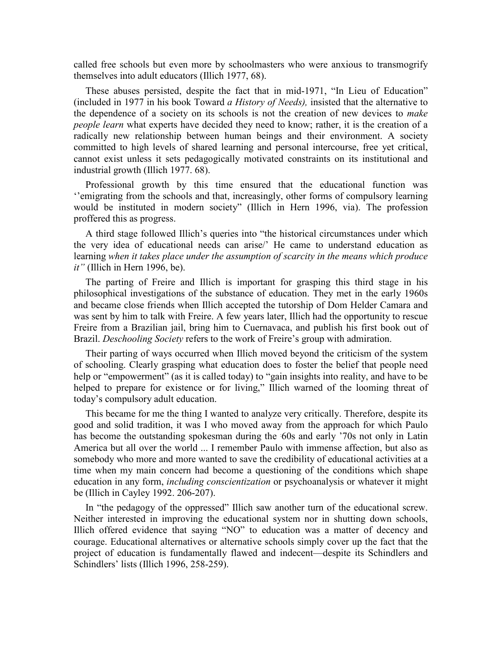called free schools but even more by schoolmasters who were anxious to transmogrify themselves into adult educators (Illich 1977, 68).

These abuses persisted, despite the fact that in mid-1971, "In Lieu of Education" (included in 1977 in his book Toward a History of Needs), insisted that the alternative to the dependence of a society on its schools is not the creation of new devices to make people learn what experts have decided they need to know; rather, it is the creation of a radically new relationship between human beings and their environment. A society committed to high levels of shared learning and personal intercourse, free yet critical, cannot exist unless it sets pedagogically motivated constraints on its institutional and industrial growth (Illich 1977. 68).

Professional growth by this time ensured that the educational function was ''emigrating from the schools and that, increasingly, other forms of compulsory learning would be instituted in modern society" (Illich in Hern 1996, via). The profession proffered this as progress.

A third stage followed Illich's queries into "the historical circumstances under which the very idea of educational needs can arise/' He came to understand education as learning when it takes place under the assumption of scarcity in the means which produce  $it$ " (Illich in Hern 1996, be).

The parting of Freire and Illich is important for grasping this third stage in his philosophical investigations of the substance of education. They met in the early 1960s and became close friends when Illich accepted the tutorship of Dom Helder Camara and was sent by him to talk with Freire. A few years later, Illich had the opportunity to rescue Freire from a Brazilian jail, bring him to Cuernavaca, and publish his first book out of Brazil. *Deschooling Society* refers to the work of Freire's group with admiration.

Their parting of ways occurred when Illich moved beyond the criticism of the system of schooling. Clearly grasping what education does to foster the belief that people need help or "empowerment" (as it is called today) to "gain insights into reality, and have to be helped to prepare for existence or for living," Illich warned of the looming threat of today's compulsory adult education.

This became for me the thing I wanted to analyze very critically. Therefore, despite its good and solid tradition, it was I who moved away from the approach for which Paulo has become the outstanding spokesman during the :60s and early '70s not only in Latin America but all over the world ... I remember Paulo with immense affection, but also as somebody who more and more wanted to save the credibility of educational activities at a time when my main concern had become a questioning of the conditions which shape education in any form, *including conscientization* or psychoanalysis or whatever it might be (Illich in Cayley 1992. 206-207).

In "the pedagogy of the oppressed" Illich saw another turn of the educational screw. Neither interested in improving the educational system nor in shutting down schools, Illich offered evidence that saying "NO" to education was a matter of decency and courage. Educational alternatives or alternative schools simply cover up the fact that the project of education is fundamentally flawed and indecent—despite its Schindlers and Schindlers' lists (Illich 1996, 258-259).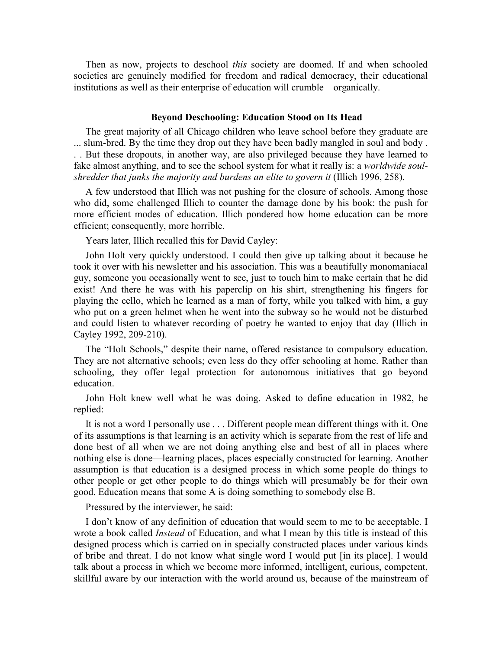Then as now, projects to deschool *this* society are doomed. If and when schooled societies are genuinely modified for freedom and radical democracy, their educational institutions as well as their enterprise of education will crumble—organically.

#### Beyond Deschooling: Education Stood on Its Head

The great majority of all Chicago children who leave school before they graduate are ... slum-bred. By the time they drop out they have been badly mangled in soul and body . . . But these dropouts, in another way, are also privileged because they have learned to fake almost anything, and to see the school system for what it really is: a *worldwide soul*shredder that junks the majority and burdens an elite to govern it (Illich 1996, 258).

A few understood that Illich was not pushing for the closure of schools. Among those who did, some challenged Illich to counter the damage done by his book: the push for more efficient modes of education. Illich pondered how home education can be more efficient; consequently, more horrible.

Years later, Illich recalled this for David Cayley:

John Holt very quickly understood. I could then give up talking about it because he took it over with his newsletter and his association. This was a beautifully monomaniacal guy, someone you occasionally went to see, just to touch him to make certain that he did exist! And there he was with his paperclip on his shirt, strengthening his fingers for playing the cello, which he learned as a man of forty, while you talked with him, a guy who put on a green helmet when he went into the subway so he would not be disturbed and could listen to whatever recording of poetry he wanted to enjoy that day (Illich in Cayley 1992, 209-210).

The "Holt Schools," despite their name, offered resistance to compulsory education. They are not alternative schools; even less do they offer schooling at home. Rather than schooling, they offer legal protection for autonomous initiatives that go beyond education.

John Holt knew well what he was doing. Asked to define education in 1982, he replied:

It is not a word I personally use . . . Different people mean different things with it. One of its assumptions is that learning is an activity which is separate from the rest of life and done best of all when we are not doing anything else and best of all in places where nothing else is done—learning places, places especially constructed for learning. Another assumption is that education is a designed process in which some people do things to other people or get other people to do things which will presumably be for their own good. Education means that some A is doing something to somebody else B.

Pressured by the interviewer, he said:

I don't know of any definition of education that would seem to me to be acceptable. I wrote a book called *Instead* of Education, and what I mean by this title is instead of this designed process which is carried on in specially constructed places under various kinds of bribe and threat. I do not know what single word I would put [in its place]. I would talk about a process in which we become more informed, intelligent, curious, competent, skillful aware by our interaction with the world around us, because of the mainstream of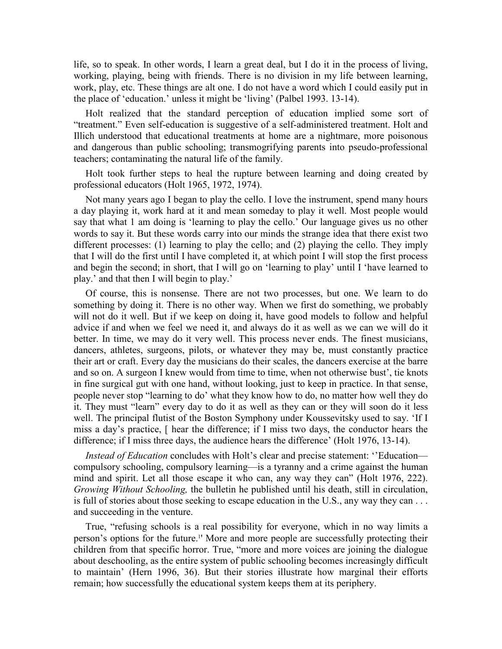life, so to speak. In other words, I learn a great deal, but I do it in the process of living, working, playing, being with friends. There is no division in my life between learning, work, play, etc. These things are alt one. I do not have a word which I could easily put in the place of 'education.' unless it might be 'living' (Palbel 1993. 13-14).

Holt realized that the standard perception of education implied some sort of "treatment." Even self-education is suggestive of a self-administered treatment. Holt and Illich understood that educational treatments at home are a nightmare, more poisonous and dangerous than public schooling; transmogrifying parents into pseudo-professional teachers; contaminating the natural life of the family.

Holt took further steps to heal the rupture between learning and doing created by professional educators (Holt 1965, 1972, 1974).

Not many years ago I began to play the cello. I love the instrument, spend many hours a day playing it, work hard at it and mean someday to play it well. Most people would say that what 1 am doing is 'learning to play the cello.' Our language gives us no other words to say it. But these words carry into our minds the strange idea that there exist two different processes: (1) learning to play the cello; and (2) playing the cello. They imply that I will do the first until I have completed it, at which point I will stop the first process and begin the second; in short, that I will go on 'learning to play' until I 'have learned to play.' and that then I will begin to play.'

Of course, this is nonsense. There are not two processes, but one. We learn to do something by doing it. There is no other way. When we first do something, we probably will not do it well. But if we keep on doing it, have good models to follow and helpful advice if and when we feel we need it, and always do it as well as we can we will do it better. In time, we may do it very well. This process never ends. The finest musicians, dancers, athletes, surgeons, pilots, or whatever they may be, must constantly practice their art or craft. Every day the musicians do their scales, the dancers exercise at the barre and so on. A surgeon I knew would from time to time, when not otherwise bust', tie knots in fine surgical gut with one hand, without looking, just to keep in practice. In that sense, people never stop "learning to do' what they know how to do, no matter how well they do it. They must "learn" every day to do it as well as they can or they will soon do it less well. The principal flutist of the Boston Symphony under Koussevitsky used to say. 'If I miss a day's practice, [ hear the difference; if I miss two days, the conductor hears the difference; if I miss three days, the audience hears the difference' (Holt 1976, 13-14).

Instead of Education concludes with Holt's clear and precise statement: ''Education compulsory schooling, compulsory learning—is a tyranny and a crime against the human mind and spirit. Let all those escape it who can, any way they can" (Holt 1976, 222). Growing Without Schooling, the bulletin he published until his death, still in circulation, is full of stories about those seeking to escape education in the U.S., any way they can . . . and succeeding in the venture.

True, "refusing schools is a real possibility for everyone, which in no way limits a person's options for the future.<sup>1</sup> More and more people are successfully protecting their children from that specific horror. True, "more and more voices are joining the dialogue about deschooling, as the entire system of public schooling becomes increasingly difficult to maintain' (Hern 1996, 36). But their stories illustrate how marginal their efforts remain; how successfully the educational system keeps them at its periphery.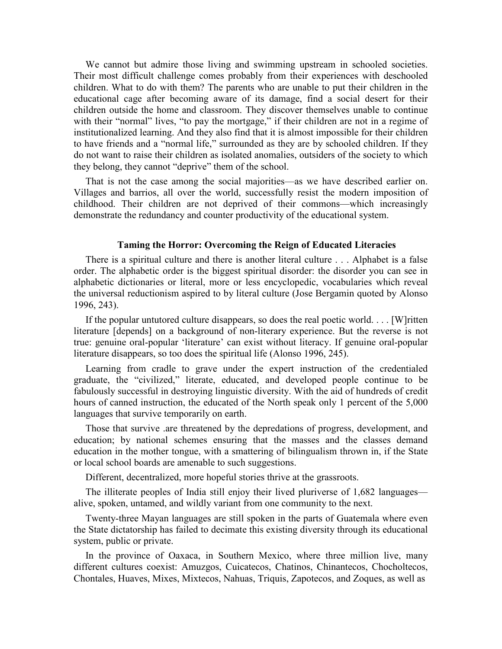We cannot but admire those living and swimming upstream in schooled societies. Their most difficult challenge comes probably from their experiences with deschooled children. What to do with them? The parents who are unable to put their children in the educational cage after becoming aware of its damage, find a social desert for their children outside the home and classroom. They discover themselves unable to continue with their "normal" lives, "to pay the mortgage," if their children are not in a regime of institutionalized learning. And they also find that it is almost impossible for their children to have friends and a "normal life," surrounded as they are by schooled children. If they do not want to raise their children as isolated anomalies, outsiders of the society to which they belong, they cannot "deprive" them of the school.

That is not the case among the social majorities—as we have described earlier on. Villages and barrios, all over the world, successfully resist the modern imposition of childhood. Their children are not deprived of their commons—which increasingly demonstrate the redundancy and counter productivity of the educational system.

### Taming the Horror: Overcoming the Reign of Educated Literacies

There is a spiritual culture and there is another literal culture . . . Alphabet is a false order. The alphabetic order is the biggest spiritual disorder: the disorder you can see in alphabetic dictionaries or literal, more or less encyclopedic, vocabularies which reveal the universal reductionism aspired to by literal culture (Jose Bergamin quoted by Alonso 1996, 243).

If the popular untutored culture disappears, so does the real poetic world. . . . [W]ritten literature [depends] on a background of non-literary experience. But the reverse is not true: genuine oral-popular 'literature' can exist without literacy. If genuine oral-popular literature disappears, so too does the spiritual life (Alonso 1996, 245).

Learning from cradle to grave under the expert instruction of the credentialed graduate, the "civilized," literate, educated, and developed people continue to be fabulously successful in destroying linguistic diversity. With the aid of hundreds of credit hours of canned instruction, the educated of the North speak only 1 percent of the 5,000 languages that survive temporarily on earth.

Those that survive .are threatened by the depredations of progress, development, and education; by national schemes ensuring that the masses and the classes demand education in the mother tongue, with a smattering of bilingualism thrown in, if the State or local school boards are amenable to such suggestions.

Different, decentralized, more hopeful stories thrive at the grassroots.

The illiterate peoples of India still enjoy their lived pluriverse of 1,682 languages alive, spoken, untamed, and wildly variant from one community to the next.

Twenty-three Mayan languages are still spoken in the parts of Guatemala where even the State dictatorship has failed to decimate this existing diversity through its educational system, public or private.

In the province of Oaxaca, in Southern Mexico, where three million live, many different cultures coexist: Amuzgos, Cuicatecos, Chatinos, Chinantecos, Chocholtecos, Chontales, Huaves, Mixes, Mixtecos, Nahuas, Triquis, Zapotecos, and Zoques, as well as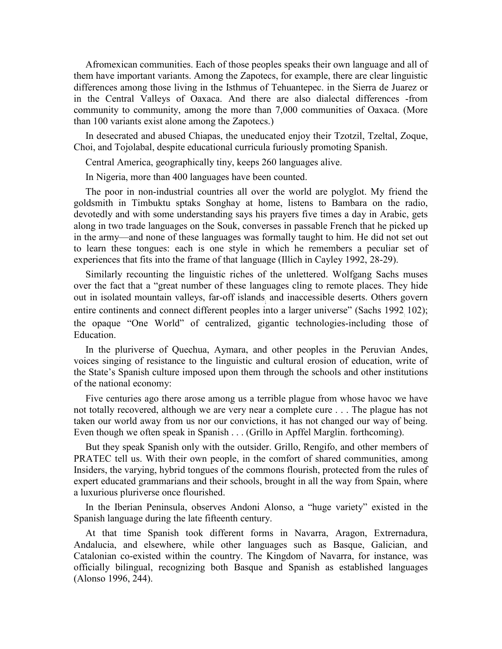Afromexican communities. Each of those peoples speaks their own language and all of them have important variants. Among the Zapotecs, for example, there are clear linguistic differences among those living in the Isthmus of Tehuantepec. in the Sierra de Juarez or in the Central Valleys of Oaxaca. And there are also dialectal differences -from community to community, among the more than 7,000 communities of Oaxaca. (More than 100 variants exist alone among the Zapotecs.)

In desecrated and abused Chiapas, the uneducated enjoy their Tzotzil, Tzeltal, Zoque, Choi, and Tojolabal, despite educational curricula furiously promoting Spanish.

Central America, geographically tiny, keeps 260 languages alive.

In Nigeria, more than 400 languages have been counted.

The poor in non-industrial countries all over the world are polyglot. My friend the goldsmith in Timbuktu sptaks Songhay at home, listens to Bambara on the radio, devotedly and with some understanding says his prayers five times a day in Arabic, gets along in two trade languages on the Souk, converses in passable French that he picked up in the army—and none of these languages was formally taught to him. He did not set out to learn these tongues: each is one style in which he remembers a peculiar set of experiences that fits into the frame of that language (Illich in Cayley 1992, 28-29).

Similarly recounting the linguistic riches of the unlettered. Wolfgang Sachs muses over the fact that a "great number of these languages cling to remote places. They hide out in isolated mountain valleys, far-off islands and inaccessible deserts. Others govern entire continents and connect different peoples into a larger universe" (Sachs 1992 102); the opaque "One World" of centralized, gigantic technologies-including those of Education.

In the pluriverse of Quechua, Aymara, and other peoples in the Peruvian Andes, voices singing of resistance to the linguistic and cultural erosion of education, write of the State's Spanish culture imposed upon them through the schools and other institutions of the national economy:

Five centuries ago there arose among us a terrible plague from whose havoc we have not totally recovered, although we are very near a complete cure . . . The plague has not taken our world away from us nor our convictions, it has not changed our way of being. Even though we often speak in Spanish . . . (Grillo in Apffel Marglin. forthcoming).

But they speak Spanish only with the outsider. Grillo, Rengifo, and other members of PRATEC tell us. With their own people, in the comfort of shared communities, among Insiders, the varying, hybrid tongues of the commons flourish, protected from the rules of expert educated grammarians and their schools, brought in all the way from Spain, where a luxurious pluriverse once flourished.

In the Iberian Peninsula, observes Andoni Alonso, a "huge variety" existed in the Spanish language during the late fifteenth century.

At that time Spanish took different forms in Navarra, Aragon, Extrernadura, Andalucia, and elsewhere, while other languages such as Basque, Galician, and Catalonian co-existed within the country. The Kingdom of Navarra, for instance, was officially bilingual, recognizing both Basque and Spanish as established languages (Alonso 1996, 244).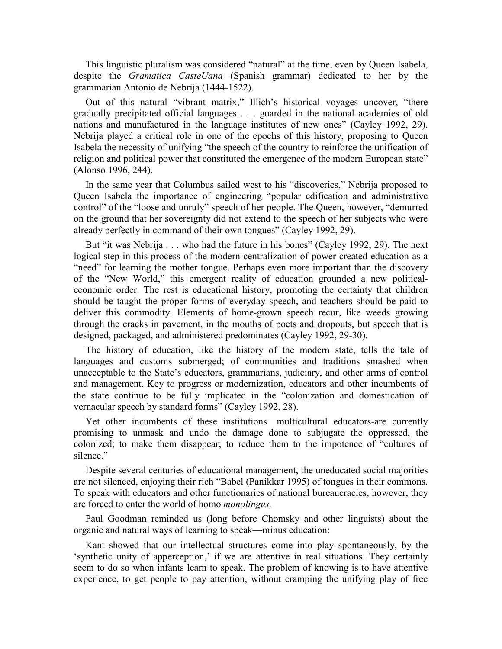This linguistic pluralism was considered "natural" at the time, even by Queen Isabela, despite the *Gramatica CasteUana* (Spanish grammar) dedicated to her by the grammarian Antonio de Nebrija (1444-1522).

Out of this natural "vibrant matrix," Illich's historical voyages uncover, "there gradually precipitated official languages . . . guarded in the national academies of old nations and manufactured in the language institutes of new ones" (Cayley 1992, 29). Nebrija played a critical role in one of the epochs of this history, proposing to Queen Isabela the necessity of unifying "the speech of the country to reinforce the unification of religion and political power that constituted the emergence of the modern European state" (Alonso 1996, 244).

In the same year that Columbus sailed west to his "discoveries," Nebrija proposed to Queen Isabela the importance of engineering "popular edification and administrative control" of the "loose and unruly" speech of her people. The Queen, however, "demurred on the ground that her sovereignty did not extend to the speech of her subjects who were already perfectly in command of their own tongues" (Cayley 1992, 29).

But "it was Nebrija . . . who had the future in his bones" (Cayley 1992, 29). The next logical step in this process of the modern centralization of power created education as a "need" for learning the mother tongue. Perhaps even more important than the discovery of the "New World," this emergent reality of education grounded a new politicaleconomic order. The rest is educational history, promoting the certainty that children should be taught the proper forms of everyday speech, and teachers should be paid to deliver this commodity. Elements of home-grown speech recur, like weeds growing through the cracks in pavement, in the mouths of poets and dropouts, but speech that is designed, packaged, and administered predominates (Cayley 1992, 29-30).

The history of education, like the history of the modern state, tells the tale of languages and customs submerged; of communities and traditions smashed when unacceptable to the State's educators, grammarians, judiciary, and other arms of control and management. Key to progress or modernization, educators and other incumbents of the state continue to be fully implicated in the "colonization and domestication of vernacular speech by standard forms" (Cayley 1992, 28).

Yet other incumbents of these institutions—multicultural educators-are currently promising to unmask and undo the damage done to subjugate the oppressed, the colonized; to make them disappear; to reduce them to the impotence of "cultures of silence."

Despite several centuries of educational management, the uneducated social majorities are not silenced, enjoying their rich "Babel (Panikkar 1995) of tongues in their commons. To speak with educators and other functionaries of national bureaucracies, however, they are forced to enter the world of homo monolingus.

Paul Goodman reminded us (long before Chomsky and other linguists) about the organic and natural ways of learning to speak—minus education:

Kant showed that our intellectual structures come into play spontaneously, by the 'synthetic unity of apperception,' if we are attentive in real situations. They certainly seem to do so when infants learn to speak. The problem of knowing is to have attentive experience, to get people to pay attention, without cramping the unifying play of free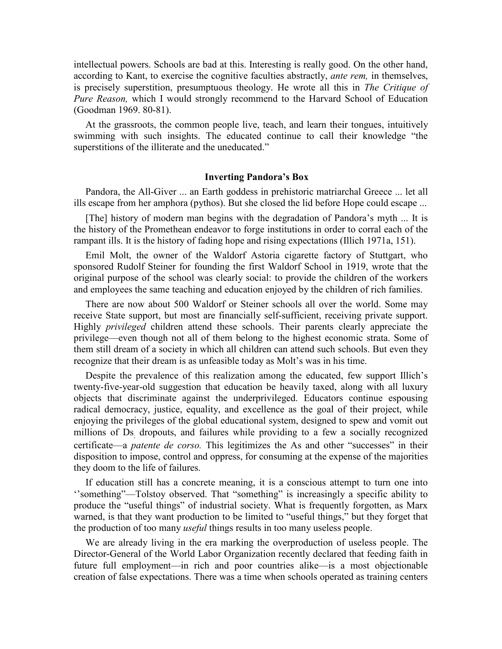intellectual powers. Schools are bad at this. Interesting is really good. On the other hand, according to Kant, to exercise the cognitive faculties abstractly, *ante rem*, in themselves, is precisely superstition, presumptuous theology. He wrote all this in The Critique of Pure Reason, which I would strongly recommend to the Harvard School of Education (Goodman 1969. 80-81).

At the grassroots, the common people live, teach, and learn their tongues, intuitively swimming with such insights. The educated continue to call their knowledge "the superstitions of the illiterate and the uneducated."

### Inverting Pandora's Box

Pandora, the All-Giver ... an Earth goddess in prehistoric matriarchal Greece ... let all ills escape from her amphora (pythos). But she closed the lid before Hope could escape ...

[The] history of modern man begins with the degradation of Pandora's myth ... It is the history of the Promethean endeavor to forge institutions in order to corral each of the rampant ills. It is the history of fading hope and rising expectations (Illich 1971a, 151).

Emil Molt, the owner of the Waldorf Astoria cigarette factory of Stuttgart, who sponsored Rudolf Steiner for founding the first Waldorf School in 1919, wrote that the original purpose of the school was clearly social: to provide the children of the workers and employees the same teaching and education enjoyed by the children of rich families.

There are now about 500 Waldorf or Steiner schools all over the world. Some may receive State support, but most are financially self-sufficient, receiving private support. Highly privileged children attend these schools. Their parents clearly appreciate the privilege—even though not all of them belong to the highest economic strata. Some of them still dream of a society in which all children can attend such schools. But even they recognize that their dream is as unfeasible today as Molt's was in his time.

Despite the prevalence of this realization among the educated, few support Illich's twenty-five-year-old suggestion that education be heavily taxed, along with all luxury objects that discriminate against the underprivileged. Educators continue espousing radical democracy, justice, equality, and excellence as the goal of their project, while enjoying the privileges of the global educational system, designed to spew and vomit out millions of Ds; dropouts, and failures while providing to a few a socially recognized certificate—a *patente de corso*. This legitimizes the As and other "successes" in their disposition to impose, control and oppress, for consuming at the expense of the majorities they doom to the life of failures.

If education still has a concrete meaning, it is a conscious attempt to turn one into ''something"—Tolstoy observed. That "something" is increasingly a specific ability to produce the "useful things" of industrial society. What is frequently forgotten, as Marx warned, is that they want production to be limited to "useful things," but they forget that the production of too many *useful* things results in too many useless people.

We are already living in the era marking the overproduction of useless people. The Director-General of the World Labor Organization recently declared that feeding faith in future full employment—in rich and poor countries alike—is a most objectionable creation of false expectations. There was a time when schools operated as training centers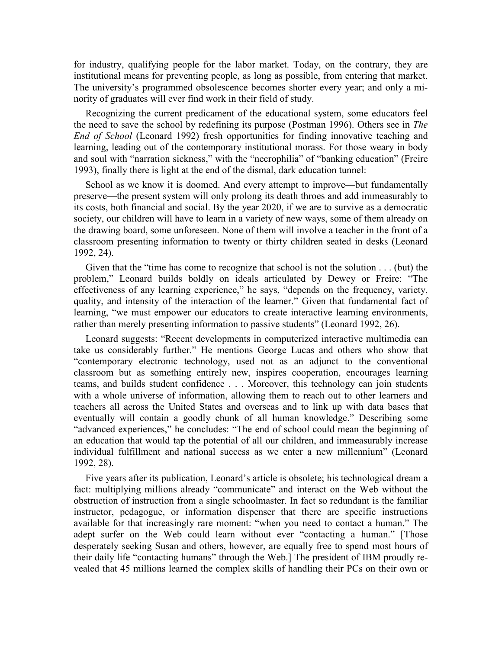for industry, qualifying people for the labor market. Today, on the contrary, they are institutional means for preventing people, as long as possible, from entering that market. The university's programmed obsolescence becomes shorter every year; and only a minority of graduates will ever find work in their field of study.

Recognizing the current predicament of the educational system, some educators feel the need to save the school by redefining its purpose (Postman 1996). Others see in The End of School (Leonard 1992) fresh opportunities for finding innovative teaching and learning, leading out of the contemporary institutional morass. For those weary in body and soul with "narration sickness," with the "necrophilia" of "banking education" (Freire 1993), finally there is light at the end of the dismal, dark education tunnel:

School as we know it is doomed. And every attempt to improve—but fundamentally preserve—the present system will only prolong its death throes and add immeasurably to its costs, both financial and social. By the year 2020, if we are to survive as a democratic society, our children will have to learn in a variety of new ways, some of them already on the drawing board, some unforeseen. None of them will involve a teacher in the front of a classroom presenting information to twenty or thirty children seated in desks (Leonard 1992, 24).

Given that the "time has come to recognize that school is not the solution . . . (but) the problem," Leonard builds boldly on ideals articulated by Dewey or Freire: "The effectiveness of any learning experience," he says, "depends on the frequency, variety, quality, and intensity of the interaction of the learner." Given that fundamental fact of learning, "we must empower our educators to create interactive learning environments, rather than merely presenting information to passive students" (Leonard 1992, 26).

Leonard suggests: "Recent developments in computerized interactive multimedia can take us considerably further." He mentions George Lucas and others who show that "contemporary electronic technology, used not as an adjunct to the conventional classroom but as something entirely new, inspires cooperation, encourages learning teams, and builds student confidence . . . Moreover, this technology can join students with a whole universe of information, allowing them to reach out to other learners and teachers all across the United States and overseas and to link up with data bases that eventually will contain a goodly chunk of all human knowledge." Describing some "advanced experiences," he concludes: "The end of school could mean the beginning of an education that would tap the potential of all our children, and immeasurably increase individual fulfillment and national success as we enter a new millennium" (Leonard 1992, 28).

Five years after its publication, Leonard's article is obsolete; his technological dream a fact: multiplying millions already "communicate" and interact on the Web without the obstruction of instruction from a single schoolmaster. In fact so redundant is the familiar instructor, pedagogue, or information dispenser that there are specific instructions available for that increasingly rare moment: "when you need to contact a human." The adept surfer on the Web could learn without ever "contacting a human." [Those desperately seeking Susan and others, however, are equally free to spend most hours of their daily life "contacting humans" through the Web.] The president of IBM proudly revealed that 45 millions learned the complex skills of handling their PCs on their own or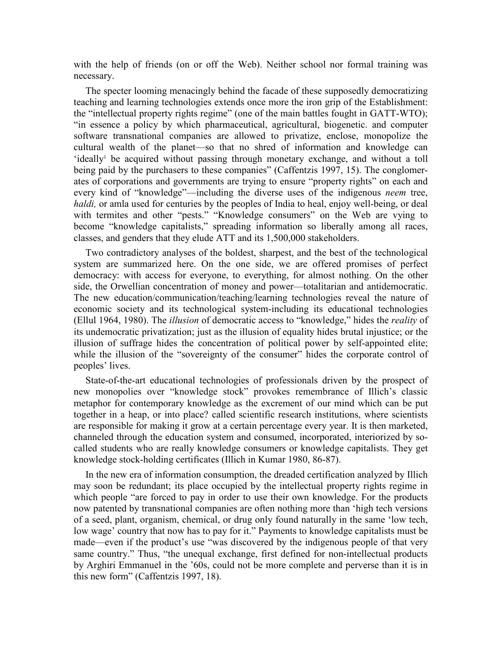with the help of friends (on or off the Web). Neither school nor formal training was necessary.

The specter looming menacingly behind the facade of these supposedly democratizing teaching and learning technologies extends once more the iron grip of the Establishment: the "intellectual property rights regime" (one of the main battles fought in GATT-WTO); "in essence a policy by which pharmaceutical, agricultural, biogenetic. and computer software transnational companies are allowed to privatize, enclose, monopolize the cultural wealth of the planet—so that no shred of information and knowledge can 'ideally<sup>1</sup> be acquired without passing through monetary exchange, and without a toll being paid by the purchasers to these companies" (Caffentzis 1997, 15). The conglomerates of corporations and governments are trying to ensure "property rights" on each and every kind of "knowledge"—including the diverse uses of the indigenous *neem* tree, haldi, or amla used for centuries by the peoples of India to heal, enjoy well-being, or deal with termites and other "pests." "Knowledge consumers" on the Web are vying to become "knowledge capitalists," spreading information so liberally among all races, classes, and genders that they elude ATT and its 1,500,000 stakeholders.

Two contradictory analyses of the boldest, sharpest, and the best of the technological system are summarized here. On the one side, we are offered promises of perfect democracy: with access for everyone, to everything, for almost nothing. On the other side, the Orwellian concentration of money and power—totalitarian and antidemocratic. The new education/communication/teaching/learning technologies reveal the nature of economic society and its technological system-including its educational technologies (Ellul 1964, 1980). The illusion of democratic access to "knowledge," hides the reality of its undemocratic privatization; just as the illusion of equality hides brutal injustice; or the illusion of suffrage hides the concentration of political power by self-appointed elite; while the illusion of the "sovereignty of the consumer" hides the corporate control of peoples' lives.

State-of-the-art educational technologies of professionals driven by the prospect of new monopolies over "knowledge stock" provokes remembrance of Illich's classic metaphor for contemporary knowledge as the excrement of our mind which can be put together in a heap, or into place? called scientific research institutions, where scientists are responsible for making it grow at a certain percentage every year. It is then marketed, channeled through the education system and consumed, incorporated, interiorized by socalled students who are really knowledge consumers or knowledge capitalists. They get knowledge stock-holding certificates (Illich in Kumar 1980, 86-87).

In the new era of information consumption, the dreaded certification analyzed by Illich may soon be redundant; its place occupied by the intellectual property rights regime in which people "are forced to pay in order to use their own knowledge. For the products now patented by transnational companies are often nothing more than 'high tech versions of a seed, plant, organism, chemical, or drug only found naturally in the same 'low tech, low wage' country that now has to pay for it." Payments to knowledge capitalists must be made—even if the product's use "was discovered by the indigenous people of that very same country." Thus, "the unequal exchange, first defined for non-intellectual products by Arghiri Emmanuel in the '60s, could not be more complete and perverse than it is in this new form" (Caffentzis 1997, 18).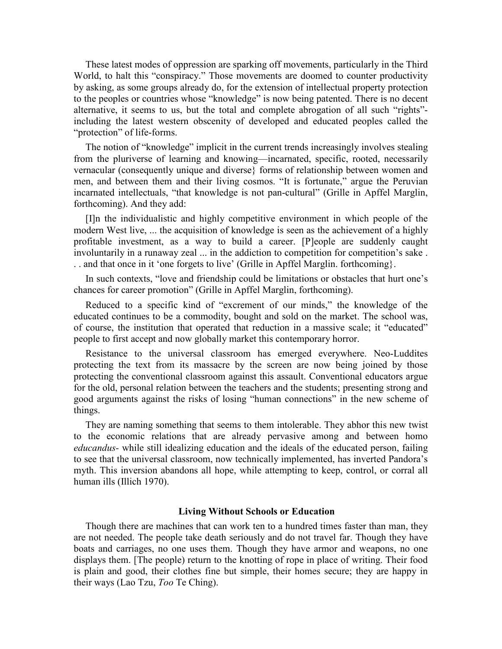These latest modes of oppression are sparking off movements, particularly in the Third World, to halt this "conspiracy." Those movements are doomed to counter productivity by asking, as some groups already do, for the extension of intellectual property protection to the peoples or countries whose "knowledge" is now being patented. There is no decent alternative, it seems to us, but the total and complete abrogation of all such "rights" including the latest western obscenity of developed and educated peoples called the "protection" of life-forms.

The notion of "knowledge" implicit in the current trends increasingly involves stealing from the pluriverse of learning and knowing—incarnated, specific, rooted, necessarily vernacular (consequently unique and diverse} forms of relationship between women and men, and between them and their living cosmos. "It is fortunate," argue the Peruvian incarnated intellectuals, "that knowledge is not pan-cultural" (Grille in Apffel Marglin, forthcoming). And they add:

[I]n the individualistic and highly competitive environment in which people of the modern West live, ... the acquisition of knowledge is seen as the achievement of a highly profitable investment, as a way to build a career. [P]eople are suddenly caught involuntarily in a runaway zeal ... in the addiction to competition for competition's sake . . . and that once in it 'one forgets to live' (Grille in Apffel Marglin. forthcoming}.

In such contexts, "love and friendship could be limitations or obstacles that hurt one's chances for career promotion" (Grille in Apffel Marglin, forthcoming).

Reduced to a specific kind of "excrement of our minds," the knowledge of the educated continues to be a commodity, bought and sold on the market. The school was, of course, the institution that operated that reduction in a massive scale; it "educated" people to first accept and now globally market this contemporary horror.

Resistance to the universal classroom has emerged everywhere. Neo-Luddites protecting the text from its massacre by the screen are now being joined by those protecting the conventional classroom against this assault. Conventional educators argue for the old, personal relation between the teachers and the students; presenting strong and good arguments against the risks of losing "human connections" in the new scheme of things.

They are naming something that seems to them intolerable. They abhor this new twist to the economic relations that are already pervasive among and between homo educandus- while still idealizing education and the ideals of the educated person, failing to see that the universal classroom, now technically implemented, has inverted Pandora's myth. This inversion abandons all hope, while attempting to keep, control, or corral all human ills (Illich 1970).

### Living Without Schools or Education

Though there are machines that can work ten to a hundred times faster than man, they are not needed. The people take death seriously and do not travel far. Though they have boats and carriages, no one uses them. Though they have armor and weapons, no one displays them. [The people) return to the knotting of rope in place of writing. Their food is plain and good, their clothes fine but simple, their homes secure; they are happy in their ways (Lao Tzu, Too Te Ching).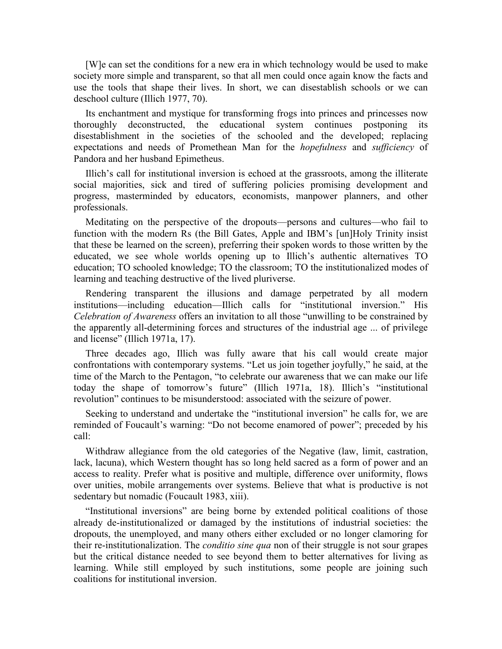[W]e can set the conditions for a new era in which technology would be used to make society more simple and transparent, so that all men could once again know the facts and use the tools that shape their lives. In short, we can disestablish schools or we can deschool culture (Illich 1977, 70).

Its enchantment and mystique for transforming frogs into princes and princesses now thoroughly deconstructed, the educational system continues postponing its disestablishment in the societies of the schooled and the developed; replacing expectations and needs of Promethean Man for the *hopefulness* and *sufficiency* of Pandora and her husband Epimetheus.

Illich's call for institutional inversion is echoed at the grassroots, among the illiterate social majorities, sick and tired of suffering policies promising development and progress, masterminded by educators, economists, manpower planners, and other professionals.

Meditating on the perspective of the dropouts—persons and cultures—who fail to function with the modern Rs (the Bill Gates, Apple and IBM's [un]Holy Trinity insist that these be learned on the screen), preferring their spoken words to those written by the educated, we see whole worlds opening up to Illich's authentic alternatives TO education; TO schooled knowledge; TO the classroom; TO the institutionalized modes of learning and teaching destructive of the lived pluriverse.

Rendering transparent the illusions and damage perpetrated by all modern institutions—including education—Illich calls for "institutional inversion." His Celebration of Awareness offers an invitation to all those "unwilling to be constrained by the apparently all-determining forces and structures of the industrial age ... of privilege and license" (Illich 1971a, 17).

Three decades ago, Illich was fully aware that his call would create major confrontations with contemporary systems. "Let us join together joyfully," he said, at the time of the March to the Pentagon, "to celebrate our awareness that we can make our life today the shape of tomorrow's future" (Illich 1971a, 18). Illich's "institutional revolution" continues to be misunderstood: associated with the seizure of power.

Seeking to understand and undertake the "institutional inversion" he calls for, we are reminded of Foucault's warning: "Do not become enamored of power"; preceded by his call:

Withdraw allegiance from the old categories of the Negative (law, limit, castration, lack, lacuna), which Western thought has so long held sacred as a form of power and an access to reality. Prefer what is positive and multiple, difference over uniformity, flows over unities, mobile arrangements over systems. Believe that what is productive is not sedentary but nomadic (Foucault 1983, xiii).

"Institutional inversions" are being borne by extended political coalitions of those already de-institutionalized or damaged by the institutions of industrial societies: the dropouts, the unemployed, and many others either excluded or no longer clamoring for their re-institutionalization. The *conditio sine qua* non of their struggle is not sour grapes but the critical distance needed to see beyond them to better alternatives for living as learning. While still employed by such institutions, some people are joining such coalitions for institutional inversion.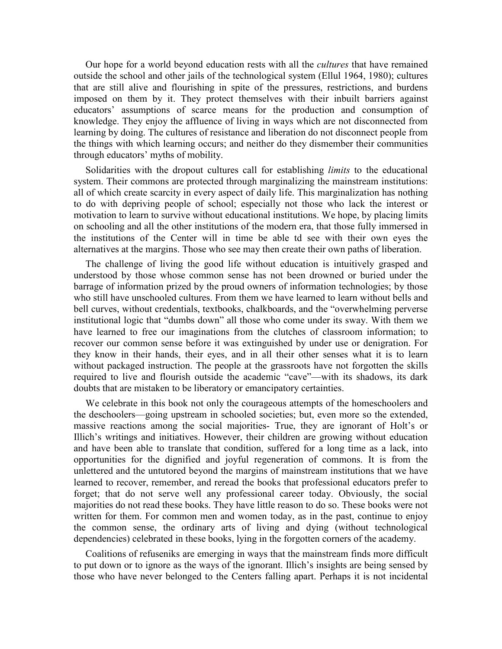Our hope for a world beyond education rests with all the *cultures* that have remained outside the school and other jails of the technological system (Ellul 1964, 1980); cultures that are still alive and flourishing in spite of the pressures, restrictions, and burdens imposed on them by it. They protect themselves with their inbuilt barriers against educators' assumptions of scarce means for the production and consumption of knowledge. They enjoy the affluence of living in ways which are not disconnected from learning by doing. The cultures of resistance and liberation do not disconnect people from the things with which learning occurs; and neither do they dismember their communities through educators' myths of mobility.

Solidarities with the dropout cultures call for establishing limits to the educational system. Their commons are protected through marginalizing the mainstream institutions: all of which create scarcity in every aspect of daily life. This marginalization has nothing to do with depriving people of school; especially not those who lack the interest or motivation to learn to survive without educational institutions. We hope, by placing limits on schooling and all the other institutions of the modern era, that those fully immersed in the institutions of the Center will in time be able td see with their own eyes the alternatives at the margins. Those who see may then create their own paths of liberation.

The challenge of living the good life without education is intuitively grasped and understood by those whose common sense has not been drowned or buried under the barrage of information prized by the proud owners of information technologies; by those who still have unschooled cultures. From them we have learned to learn without bells and bell curves, without credentials, textbooks, chalkboards, and the "overwhelming perverse institutional logic that "dumbs down" all those who come under its sway. With them we have learned to free our imaginations from the clutches of classroom information; to recover our common sense before it was extinguished by under use or denigration. For they know in their hands, their eyes, and in all their other senses what it is to learn without packaged instruction. The people at the grassroots have not forgotten the skills required to live and flourish outside the academic "cave"—with its shadows, its dark doubts that are mistaken to be liberatory or emancipatory certainties.

We celebrate in this book not only the courageous attempts of the homeschoolers and the deschoolers—going upstream in schooled societies; but, even more so the extended, massive reactions among the social majorities- True, they are ignorant of Holt's or Illich's writings and initiatives. However, their children are growing without education and have been able to translate that condition, suffered for a long time as a lack, into opportunities for the dignified and joyful regeneration of commons. It is from the unlettered and the untutored beyond the margins of mainstream institutions that we have learned to recover, remember, and reread the books that professional educators prefer to forget; that do not serve well any professional career today. Obviously, the social majorities do not read these books. They have little reason to do so. These books were not written for them. For common men and women today, as in the past, continue to enjoy the common sense, the ordinary arts of living and dying (without technological dependencies) celebrated in these books, lying in the forgotten corners of the academy.

Coalitions of refuseniks are emerging in ways that the mainstream finds more difficult to put down or to ignore as the ways of the ignorant. Illich's insights are being sensed by those who have never belonged to the Centers falling apart. Perhaps it is not incidental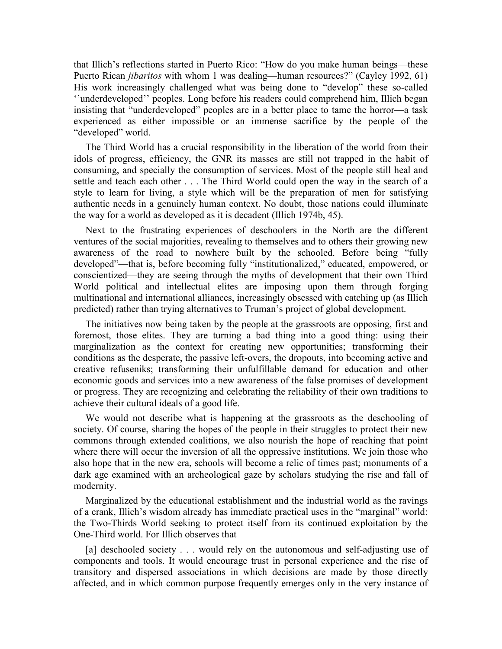that Illich's reflections started in Puerto Rico: "How do you make human beings—these Puerto Rican *jibaritos* with whom 1 was dealing—human resources?" (Cayley 1992, 61) His work increasingly challenged what was being done to "develop" these so-called ''underdeveloped'' peoples. Long before his readers could comprehend him, Illich began insisting that "underdeveloped" peoples are in a better place to tame the horror—a task experienced as either impossible or an immense sacrifice by the people of the "developed" world.

The Third World has a crucial responsibility in the liberation of the world from their idols of progress, efficiency, the GNR its masses are still not trapped in the habit of consuming, and specially the consumption of services. Most of the people still heal and settle and teach each other . . . The Third World could open the way in the search of a style to learn for living, a style which will be the preparation of men for satisfying authentic needs in a genuinely human context. No doubt, those nations could illuminate the way for a world as developed as it is decadent (Illich 1974b, 45).

Next to the frustrating experiences of deschoolers in the North are the different ventures of the social majorities, revealing to themselves and to others their growing new awareness of the road to nowhere built by the schooled. Before being "fully developed"—that is, before becoming fully "institutionalized," educated, empowered, or conscientized—they are seeing through the myths of development that their own Third World political and intellectual elites are imposing upon them through forging multinational and international alliances, increasingly obsessed with catching up (as Illich predicted) rather than trying alternatives to Truman's project of global development.

The initiatives now being taken by the people at the grassroots are opposing, first and foremost, those elites. They are turning a bad thing into a good thing: using their marginalization as the context for creating new opportunities; transforming their conditions as the desperate, the passive left-overs, the dropouts, into becoming active and creative refuseniks; transforming their unfulfillable demand for education and other economic goods and services into a new awareness of the false promises of development or progress. They are recognizing and celebrating the reliability of their own traditions to achieve their cultural ideals of a good life.

We would not describe what is happening at the grassroots as the deschooling of society. Of course, sharing the hopes of the people in their struggles to protect their new commons through extended coalitions, we also nourish the hope of reaching that point where there will occur the inversion of all the oppressive institutions. We join those who also hope that in the new era, schools will become a relic of times past; monuments of a dark age examined with an archeological gaze by scholars studying the rise and fall of modernity.

Marginalized by the educational establishment and the industrial world as the ravings of a crank, Illich's wisdom already has immediate practical uses in the "marginal" world: the Two-Thirds World seeking to protect itself from its continued exploitation by the One-Third world. For Illich observes that

[a] deschooled society . . . would rely on the autonomous and self-adjusting use of components and tools. It would encourage trust in personal experience and the rise of transitory and dispersed associations in which decisions are made by those directly affected, and in which common purpose frequently emerges only in the very instance of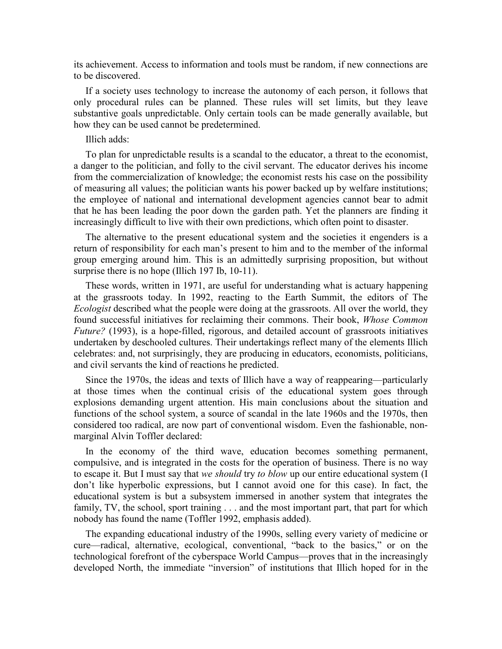its achievement. Access to information and tools must be random, if new connections are to be discovered.

If a society uses technology to increase the autonomy of each person, it follows that only procedural rules can be planned. These rules will set limits, but they leave substantive goals unpredictable. Only certain tools can be made generally available, but how they can be used cannot be predetermined.

## Illich adds:

To plan for unpredictable results is a scandal to the educator, a threat to the economist, a danger to the politician, and folly to the civil servant. The educator derives his income from the commercialization of knowledge; the economist rests his case on the possibility of measuring all values; the politician wants his power backed up by welfare institutions; the employee of national and international development agencies cannot bear to admit that he has been leading the poor down the garden path. Yet the planners are finding it increasingly difficult to live with their own predictions, which often point to disaster.

The alternative to the present educational system and the societies it engenders is a return of responsibility for each man's present to him and to the member of the informal group emerging around him. This is an admittedly surprising proposition, but without surprise there is no hope (Illich 197 Ib, 10-11).

These words, written in 1971, are useful for understanding what is actuary happening at the grassroots today. In 1992, reacting to the Earth Summit, the editors of The Ecologist described what the people were doing at the grassroots. All over the world, they found successful initiatives for reclaiming their commons. Their book, Whose Common Future? (1993), is a hope-filled, rigorous, and detailed account of grassroots initiatives undertaken by deschooled cultures. Their undertakings reflect many of the elements Illich celebrates: and, not surprisingly, they are producing in educators, economists, politicians, and civil servants the kind of reactions he predicted.

Since the 1970s, the ideas and texts of Illich have a way of reappearing—particularly at those times when the continual crisis of the educational system goes through explosions demanding urgent attention. His main conclusions about the situation and functions of the school system, a source of scandal in the late 1960s and the 1970s, then considered too radical, are now part of conventional wisdom. Even the fashionable, nonmarginal Alvin Toffler declared:

In the economy of the third wave, education becomes something permanent, compulsive, and is integrated in the costs for the operation of business. There is no way to escape it. But I must say that we should try to blow up our entire educational system (I don't like hyperbolic expressions, but I cannot avoid one for this case). In fact, the educational system is but a subsystem immersed in another system that integrates the family, TV, the school, sport training . . . and the most important part, that part for which nobody has found the name (Toffler 1992, emphasis added).

The expanding educational industry of the 1990s, selling every variety of medicine or cure—radical, alternative, ecological, conventional, "back to the basics," or on the technological forefront of the cyberspace World Campus—proves that in the increasingly developed North, the immediate "inversion" of institutions that Illich hoped for in the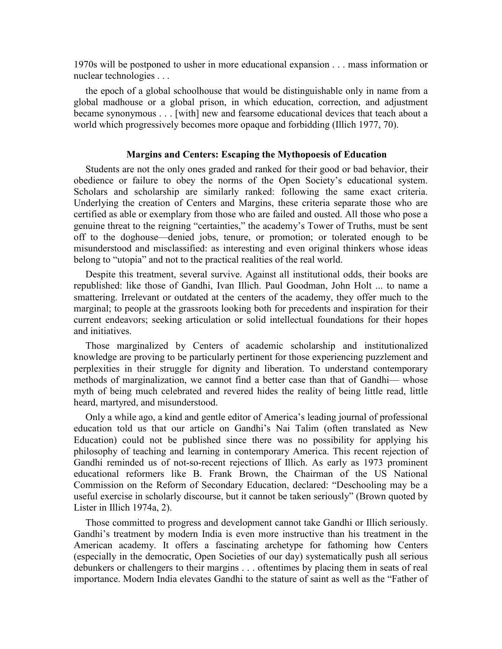1970s will be postponed to usher in more educational expansion . . . mass information or nuclear technologies . . .

the epoch of a global schoolhouse that would be distinguishable only in name from a global madhouse or a global prison, in which education, correction, and adjustment became synonymous . . . [with] new and fearsome educational devices that teach about a world which progressively becomes more opaque and forbidding (Illich 1977, 70).

### Margins and Centers: Escaping the Mythopoesis of Education

Students are not the only ones graded and ranked for their good or bad behavior, their obedience or failure to obey the norms of the Open Society's educational system. Scholars and scholarship are similarly ranked: following the same exact criteria. Underlying the creation of Centers and Margins, these criteria separate those who are certified as able or exemplary from those who are failed and ousted. All those who pose a genuine threat to the reigning "certainties," the academy's Tower of Truths, must be sent off to the doghouse—denied jobs, tenure, or promotion; or tolerated enough to be misunderstood and misclassified: as interesting and even original thinkers whose ideas belong to "utopia" and not to the practical realities of the real world.

Despite this treatment, several survive. Against all institutional odds, their books are republished: like those of Gandhi, Ivan Illich. Paul Goodman, John Holt ... to name a smattering. Irrelevant or outdated at the centers of the academy, they offer much to the marginal; to people at the grassroots looking both for precedents and inspiration for their current endeavors; seeking articulation or solid intellectual foundations for their hopes and initiatives.

Those marginalized by Centers of academic scholarship and institutionalized knowledge are proving to be particularly pertinent for those experiencing puzzlement and perplexities in their struggle for dignity and liberation. To understand contemporary methods of marginalization, we cannot find a better case than that of Gandhi— whose myth of being much celebrated and revered hides the reality of being little read, little heard, martyred, and misunderstood.

Only a while ago, a kind and gentle editor of America's leading journal of professional education told us that our article on Gandhi's Nai Talim (often translated as New Education) could not be published since there was no possibility for applying his philosophy of teaching and learning in contemporary America. This recent rejection of Gandhi reminded us of not-so-recent rejections of Illich. As early as 1973 prominent educational reformers like B. Frank Brown, the Chairman of the US National Commission on the Reform of Secondary Education, declared: "Deschooling may be a useful exercise in scholarly discourse, but it cannot be taken seriously" (Brown quoted by Lister in Illich 1974a, 2).

Those committed to progress and development cannot take Gandhi or Illich seriously. Gandhi's treatment by modern India is even more instructive than his treatment in the American academy. It offers a fascinating archetype for fathoming how Centers (especially in the democratic, Open Societies of our day) systematically push all serious debunkers or challengers to their margins . . . oftentimes by placing them in seats of real importance. Modern India elevates Gandhi to the stature of saint as well as the "Father of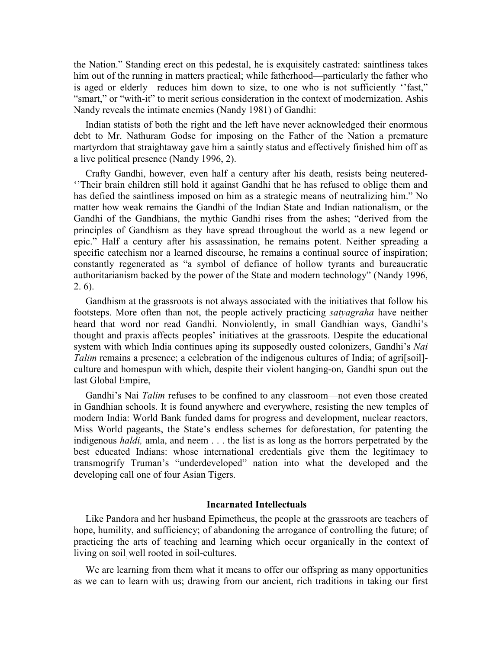the Nation." Standing erect on this pedestal, he is exquisitely castrated: saintliness takes him out of the running in matters practical; while fatherhood—particularly the father who is aged or elderly—reduces him down to size, to one who is not sufficiently ''fast," "smart," or "with-it" to merit serious consideration in the context of modernization. Ashis Nandy reveals the intimate enemies (Nandy 1981) of Gandhi:

Indian statists of both the right and the left have never acknowledged their enormous debt to Mr. Nathuram Godse for imposing on the Father of the Nation a premature martyrdom that straightaway gave him a saintly status and effectively finished him off as a live political presence (Nandy 1996, 2).

Crafty Gandhi, however, even half a century after his death, resists being neutered- ''Their brain children still hold it against Gandhi that he has refused to oblige them and has defied the saintliness imposed on him as a strategic means of neutralizing him." No matter how weak remains the Gandhi of the Indian State and Indian nationalism, or the Gandhi of the Gandhians, the mythic Gandhi rises from the ashes; "derived from the principles of Gandhism as they have spread throughout the world as a new legend or epic." Half a century after his assassination, he remains potent. Neither spreading a specific catechism nor a learned discourse, he remains a continual source of inspiration; constantly regenerated as "a symbol of defiance of hollow tyrants and bureaucratic authoritarianism backed by the power of the State and modern technology" (Nandy 1996, 2. 6).

Gandhism at the grassroots is not always associated with the initiatives that follow his footsteps. More often than not, the people actively practicing satyagraha have neither heard that word nor read Gandhi. Nonviolently, in small Gandhian ways, Gandhi's thought and praxis affects peoples' initiatives at the grassroots. Despite the educational system with which India continues aping its supposedly ousted colonizers, Gandhi's Nai Talim remains a presence; a celebration of the indigenous cultures of India; of agri[soil] culture and homespun with which, despite their violent hanging-on, Gandhi spun out the last Global Empire,

Gandhi's Nai Talim refuses to be confined to any classroom—not even those created in Gandhian schools. It is found anywhere and everywhere, resisting the new temples of modern India: World Bank funded dams for progress and development, nuclear reactors, Miss World pageants, the State's endless schemes for deforestation, for patenting the indigenous *haldi*, amla, and neem . . . the list is as long as the horrors perpetrated by the best educated Indians: whose international credentials give them the legitimacy to transmogrify Truman's "underdeveloped" nation into what the developed and the developing call one of four Asian Tigers.

### Incarnated Intellectuals

Like Pandora and her husband Epimetheus, the people at the grassroots are teachers of hope, humility, and sufficiency; of abandoning the arrogance of controlling the future; of practicing the arts of teaching and learning which occur organically in the context of living on soil well rooted in soil-cultures.

We are learning from them what it means to offer our offspring as many opportunities as we can to learn with us; drawing from our ancient, rich traditions in taking our first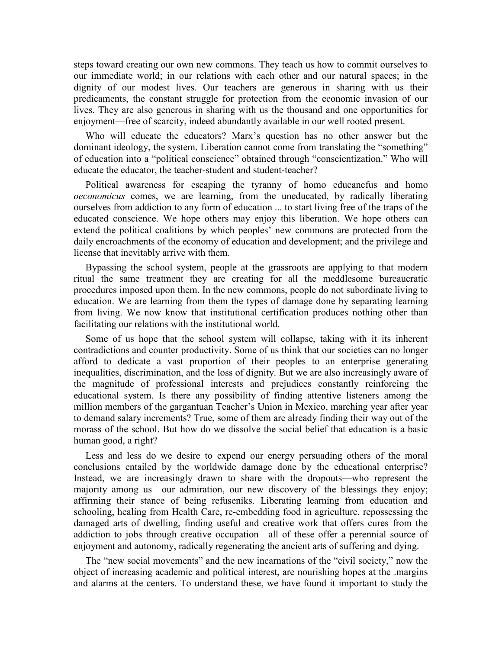steps toward creating our own new commons. They teach us how to commit ourselves to our immediate world; in our relations with each other and our natural spaces; in the dignity of our modest lives. Our teachers are generous in sharing with us their predicaments, the constant struggle for protection from the economic invasion of our lives. They are also generous in sharing with us the thousand and one opportunities for enjoyment—free of scarcity, indeed abundantly available in our well rooted present.

Who will educate the educators? Marx's question has no other answer but the dominant ideology, the system. Liberation cannot come from translating the "something" of education into a "political conscience" obtained through "conscientization." Who will educate the educator, the teacher-student and student-teacher?

Political awareness for escaping the tyranny of homo educancfus and homo oeconomicus comes, we are learning, from the uneducated, by radically liberating ourselves from addiction to any form of education ... to start living free of the traps of the educated conscience. We hope others may enjoy this liberation. We hope others can extend the political coalitions by which peoples' new commons are protected from the daily encroachments of the economy of education and development; and the privilege and license that inevitably arrive with them.

Bypassing the school system, people at the grassroots are applying to that modern ritual the same treatment they are creating for all the meddlesome bureaucratic procedures imposed upon them. In the new commons, people do not subordinate living to education. We are learning from them the types of damage done by separating learning from living. We now know that institutional certification produces nothing other than facilitating our relations with the institutional world.

Some of us hope that the school system will collapse, taking with it its inherent contradictions and counter productivity. Some of us think that our societies can no longer afford to dedicate a vast proportion of their peoples to an enterprise generating inequalities, discrimination, and the loss of dignity. But we are also increasingly aware of the magnitude of professional interests and prejudices constantly reinforcing the educational system. Is there any possibility of finding attentive listeners among the million members of the gargantuan Teacher's Union in Mexico, marching year after year to demand salary increments? True, some of them are already finding their way out of the morass of the school. But how do we dissolve the social belief that education is a basic human good, a right?

Less and less do we desire to expend our energy persuading others of the moral conclusions entailed by the worldwide damage done by the educational enterprise? Instead, we are increasingly drawn to share with the dropouts—who represent the majority among us—our admiration, our new discovery of the blessings they enjoy; affirming their stance of being refuseniks. Liberating learning from education and schooling, healing from Health Care, re-embedding food in agriculture, repossessing the damaged arts of dwelling, finding useful and creative work that offers cures from the addiction to jobs through creative occupation—all of these offer a perennial source of enjoyment and autonomy, radically regenerating the ancient arts of suffering and dying.

The "new social movements" and the new incarnations of the "civil society," now the object of increasing academic and political interest, are nourishing hopes at the .margins and alarms at the centers. To understand these, we have found it important to study the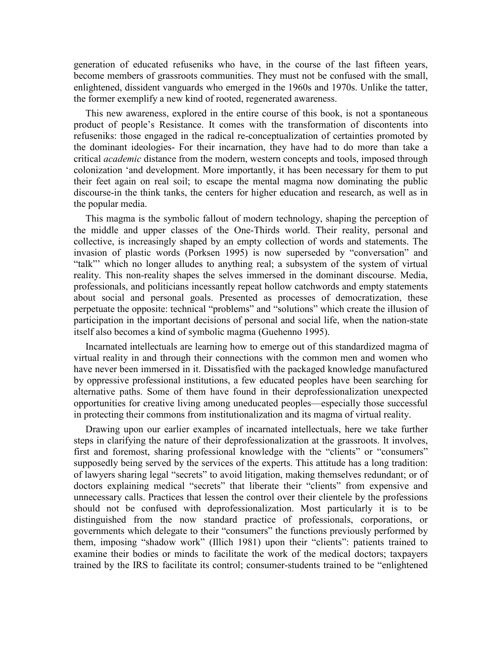generation of educated refuseniks who have, in the course of the last fifteen years, become members of grassroots communities. They must not be confused with the small, enlightened, dissident vanguards who emerged in the 1960s and 1970s. Unlike the tatter, the former exemplify a new kind of rooted, regenerated awareness.

This new awareness, explored in the entire course of this book, is not a spontaneous product of people's Resistance. It comes with the transformation of discontents into refuseniks: those engaged in the radical re-conceptualization of certainties promoted by the dominant ideologies- For their incarnation, they have had to do more than take a critical *academic* distance from the modern, western concepts and tools, imposed through colonization 'and development. More importantly, it has been necessary for them to put their feet again on real soil; to escape the mental magma now dominating the public discourse-in the think tanks, the centers for higher education and research, as well as in the popular media.

This magma is the symbolic fallout of modern technology, shaping the perception of the middle and upper classes of the One-Thirds world. Their reality, personal and collective, is increasingly shaped by an empty collection of words and statements. The invasion of plastic words (Porksen 1995) is now superseded by "conversation" and "talk"' which no longer alludes to anything real; a subsystem of the system of virtual reality. This non-reality shapes the selves immersed in the dominant discourse. Media, professionals, and politicians incessantly repeat hollow catchwords and empty statements about social and personal goals. Presented as processes of democratization, these perpetuate the opposite: technical "problems" and "solutions" which create the illusion of participation in the important decisions of personal and social life, when the nation-state itself also becomes a kind of symbolic magma (Guehenno 1995).

Incarnated intellectuals are learning how to emerge out of this standardized magma of virtual reality in and through their connections with the common men and women who have never been immersed in it. Dissatisfied with the packaged knowledge manufactured by oppressive professional institutions, a few educated peoples have been searching for alternative paths. Some of them have found in their deprofessionalization unexpected opportunities for creative living among uneducated peoples—especially those successful in protecting their commons from institutionalization and its magma of virtual reality.

Drawing upon our earlier examples of incarnated intellectuals, here we take further steps in clarifying the nature of their deprofessionalization at the grassroots. It involves, first and foremost, sharing professional knowledge with the "clients" or "consumers" supposedly being served by the services of the experts. This attitude has a long tradition: of lawyers sharing legal "secrets" to avoid litigation, making themselves redundant; or of doctors explaining medical "secrets" that liberate their "clients" from expensive and unnecessary calls. Practices that lessen the control over their clientele by the professions should not be confused with deprofessionalization. Most particularly it is to be distinguished from the now standard practice of professionals, corporations, or governments which delegate to their "consumers" the functions previously performed by them, imposing "shadow work" (Illich 1981) upon their "clients": patients trained to examine their bodies or minds to facilitate the work of the medical doctors; taxpayers trained by the IRS to facilitate its control; consumer-students trained to be "enlightened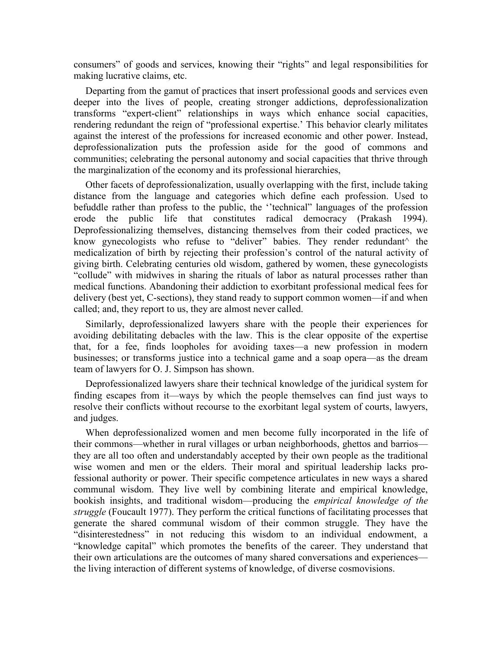consumers" of goods and services, knowing their "rights" and legal responsibilities for making lucrative claims, etc.

Departing from the gamut of practices that insert professional goods and services even deeper into the lives of people, creating stronger addictions, deprofessionalization transforms "expert-client" relationships in ways which enhance social capacities, rendering redundant the reign of "professional expertise.' This behavior clearly militates against the interest of the professions for increased economic and other power. Instead, deprofessionalization puts the profession aside for the good of commons and communities; celebrating the personal autonomy and social capacities that thrive through the marginalization of the economy and its professional hierarchies,

Other facets of deprofessionalization, usually overlapping with the first, include taking distance from the language and categories which define each profession. Used to befuddle rather than profess to the public, the ''technical" languages of the profession erode the public life that constitutes radical democracy (Prakash 1994). Deprofessionalizing themselves, distancing themselves from their coded practices, we know gynecologists who refuse to "deliver" babies. They render redundant^ the medicalization of birth by rejecting their profession's control of the natural activity of giving birth. Celebrating centuries old wisdom, gathered by women, these gynecologists "collude" with midwives in sharing the rituals of labor as natural processes rather than medical functions. Abandoning their addiction to exorbitant professional medical fees for delivery (best yet, C-sections), they stand ready to support common women—if and when called; and, they report to us, they are almost never called.

Similarly, deprofessionalized lawyers share with the people their experiences for avoiding debilitating debacles with the law. This is the clear opposite of the expertise that, for a fee, finds loopholes for avoiding taxes—a new profession in modern businesses; or transforms justice into a technical game and a soap opera—as the dream team of lawyers for O. J. Simpson has shown.

Deprofessionalized lawyers share their technical knowledge of the juridical system for finding escapes from it—ways by which the people themselves can find just ways to resolve their conflicts without recourse to the exorbitant legal system of courts, lawyers, and judges.

When deprofessionalized women and men become fully incorporated in the life of their commons—whether in rural villages or urban neighborhoods, ghettos and barrios they are all too often and understandably accepted by their own people as the traditional wise women and men or the elders. Their moral and spiritual leadership lacks professional authority or power. Their specific competence articulates in new ways a shared communal wisdom. They live well by combining literate and empirical knowledge, bookish insights, and traditional wisdom—producing the empirical knowledge of the struggle (Foucault 1977). They perform the critical functions of facilitating processes that generate the shared communal wisdom of their common struggle. They have the "disinterestedness" in not reducing this wisdom to an individual endowment, a "knowledge capital" which promotes the benefits of the career. They understand that their own articulations are the outcomes of many shared conversations and experiences the living interaction of different systems of knowledge, of diverse cosmovisions.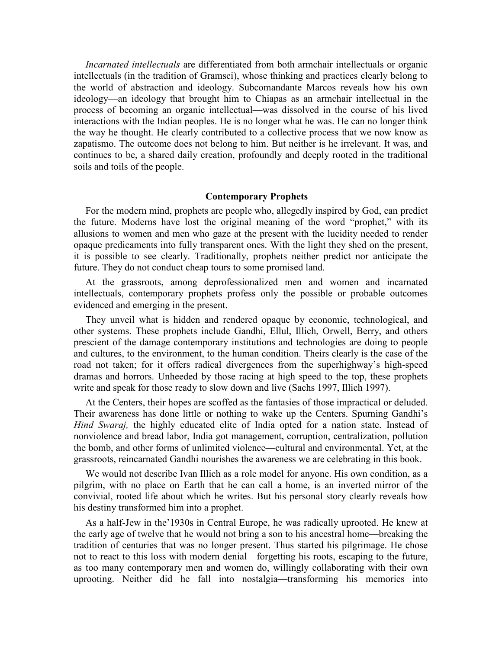Incarnated intellectuals are differentiated from both armchair intellectuals or organic intellectuals (in the tradition of Gramsci), whose thinking and practices clearly belong to the world of abstraction and ideology. Subcomandante Marcos reveals how his own ideology—an ideology that brought him to Chiapas as an armchair intellectual in the process of becoming an organic intellectual—was dissolved in the course of his lived interactions with the Indian peoples. He is no longer what he was. He can no longer think the way he thought. He clearly contributed to a collective process that we now know as zapatismo. The outcome does not belong to him. But neither is he irrelevant. It was, and continues to be, a shared daily creation, profoundly and deeply rooted in the traditional soils and toils of the people.

## Contemporary Prophets

For the modern mind, prophets are people who, allegedly inspired by God, can predict the future. Moderns have lost the original meaning of the word "prophet," with its allusions to women and men who gaze at the present with the lucidity needed to render opaque predicaments into fully transparent ones. With the light they shed on the present, it is possible to see clearly. Traditionally, prophets neither predict nor anticipate the future. They do not conduct cheap tours to some promised land.

At the grassroots, among deprofessionalized men and women and incarnated intellectuals, contemporary prophets profess only the possible or probable outcomes evidenced and emerging in the present.

They unveil what is hidden and rendered opaque by economic, technological, and other systems. These prophets include Gandhi, Ellul, Illich, Orwell, Berry, and others prescient of the damage contemporary institutions and technologies are doing to people and cultures, to the environment, to the human condition. Theirs clearly is the case of the road not taken; for it offers radical divergences from the superhighway's high-speed dramas and horrors. Unheeded by those racing at high speed to the top, these prophets write and speak for those ready to slow down and live (Sachs 1997, Illich 1997).

At the Centers, their hopes are scoffed as the fantasies of those impractical or deluded. Their awareness has done little or nothing to wake up the Centers. Spurning Gandhi's Hind Swaraj, the highly educated elite of India opted for a nation state. Instead of nonviolence and bread labor, India got management, corruption, centralization, pollution the bomb, and other forms of unlimited violence—cultural and environmental. Yet, at the grassroots, reincarnated Gandhi nourishes the awareness we are celebrating in this book.

We would not describe Ivan Illich as a role model for anyone. His own condition, as a pilgrim, with no place on Earth that he can call a home, is an inverted mirror of the convivial, rooted life about which he writes. But his personal story clearly reveals how his destiny transformed him into a prophet.

As a half-Jew in the'1930s in Central Europe, he was radically uprooted. He knew at the early age of twelve that he would not bring a son to his ancestral home—breaking the tradition of centuries that was no longer present. Thus started his pilgrimage. He chose not to react to this loss with modern denial—forgetting his roots, escaping to the future, as too many contemporary men and women do, willingly collaborating with their own uprooting. Neither did he fall into nostalgia—transforming his memories into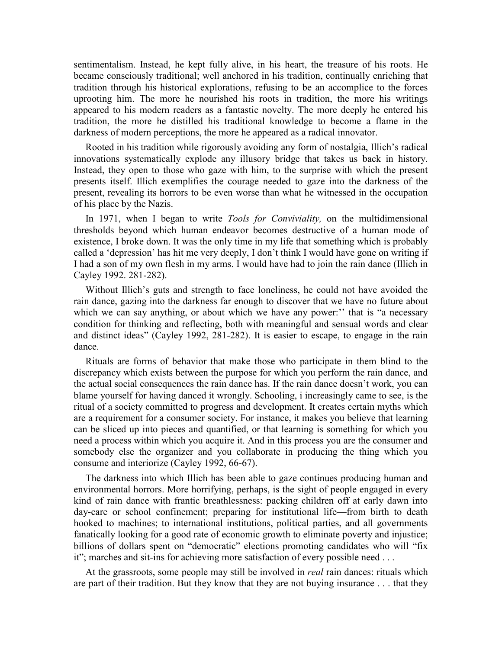sentimentalism. Instead, he kept fully alive, in his heart, the treasure of his roots. He became consciously traditional; well anchored in his tradition, continually enriching that tradition through his historical explorations, refusing to be an accomplice to the forces uprooting him. The more he nourished his roots in tradition, the more his writings appeared to his modern readers as a fantastic novelty. The more deeply he entered his tradition, the more he distilled his traditional knowledge to become a flame in the darkness of modern perceptions, the more he appeared as a radical innovator.

Rooted in his tradition while rigorously avoiding any form of nostalgia, Illich's radical innovations systematically explode any illusory bridge that takes us back in history. Instead, they open to those who gaze with him, to the surprise with which the present presents itself. Illich exemplifies the courage needed to gaze into the darkness of the present, revealing its horrors to be even worse than what he witnessed in the occupation of his place by the Nazis.

In 1971, when I began to write *Tools for Conviviality*, on the multidimensional thresholds beyond which human endeavor becomes destructive of a human mode of existence, I broke down. It was the only time in my life that something which is probably called a 'depression' has hit me very deeply, I don't think I would have gone on writing if I had a son of my own flesh in my arms. I would have had to join the rain dance (Illich in Cayley 1992. 281-282).

Without Illich's guts and strength to face loneliness, he could not have avoided the rain dance, gazing into the darkness far enough to discover that we have no future about which we can say anything, or about which we have any power:" that is "a necessary condition for thinking and reflecting, both with meaningful and sensual words and clear and distinct ideas" (Cayley 1992, 281-282). It is easier to escape, to engage in the rain dance.

Rituals are forms of behavior that make those who participate in them blind to the discrepancy which exists between the purpose for which you perform the rain dance, and the actual social consequences the rain dance has. If the rain dance doesn't work, you can blame yourself for having danced it wrongly. Schooling, i increasingly came to see, is the ritual of a society committed to progress and development. It creates certain myths which are a requirement for a consumer society. For instance, it makes you believe that learning can be sliced up into pieces and quantified, or that learning is something for which you need a process within which you acquire it. And in this process you are the consumer and somebody else the organizer and you collaborate in producing the thing which you consume and interiorize (Cayley 1992, 66-67).

The darkness into which Illich has been able to gaze continues producing human and environmental horrors. More horrifying, perhaps, is the sight of people engaged in every kind of rain dance with frantic breathlessness: packing children off at early dawn into day-care or school confinement; preparing for institutional life—from birth to death hooked to machines; to international institutions, political parties, and all governments fanatically looking for a good rate of economic growth to eliminate poverty and injustice; billions of dollars spent on "democratic" elections promoting candidates who will "fix it"; marches and sit-ins for achieving more satisfaction of every possible need . . .

At the grassroots, some people may still be involved in *real* rain dances: rituals which are part of their tradition. But they know that they are not buying insurance . . . that they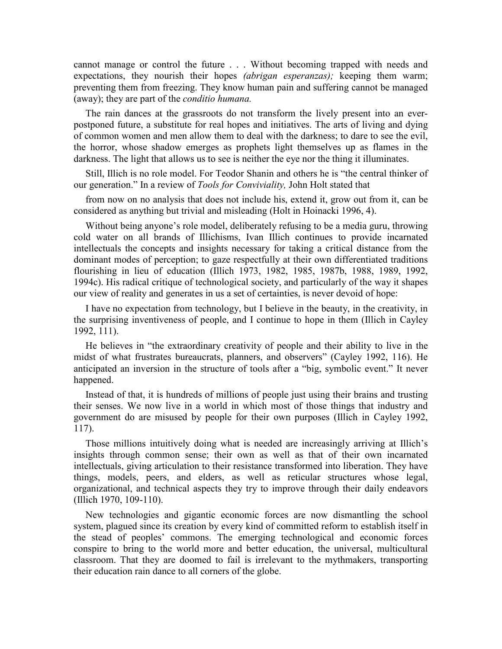cannot manage or control the future . . . Without becoming trapped with needs and expectations, they nourish their hopes *(abrigan esperanzas)*; keeping them warm; preventing them from freezing. They know human pain and suffering cannot be managed (away); they are part of the conditio humana.

The rain dances at the grassroots do not transform the lively present into an everpostponed future, a substitute for real hopes and initiatives. The arts of living and dying of common women and men allow them to deal with the darkness; to dare to see the evil, the horror, whose shadow emerges as prophets light themselves up as flames in the darkness. The light that allows us to see is neither the eye nor the thing it illuminates.

Still, Illich is no role model. For Teodor Shanin and others he is "the central thinker of our generation." In a review of Tools for Conviviality, John Holt stated that

from now on no analysis that does not include his, extend it, grow out from it, can be considered as anything but trivial and misleading (Holt in Hoinacki 1996, 4).

Without being anyone's role model, deliberately refusing to be a media guru, throwing cold water on all brands of Illichisms, Ivan Illich continues to provide incarnated intellectuals the concepts and insights necessary for taking a critical distance from the dominant modes of perception; to gaze respectfully at their own differentiated traditions flourishing in lieu of education (Illich 1973, 1982, 1985, 1987b, 1988, 1989, 1992, 1994c). His radical critique of technological society, and particularly of the way it shapes our view of reality and generates in us a set of certainties, is never devoid of hope:

I have no expectation from technology, but I believe in the beauty, in the creativity, in the surprising inventiveness of people, and I continue to hope in them (Illich in Cayley 1992, 111).

He believes in "the extraordinary creativity of people and their ability to live in the midst of what frustrates bureaucrats, planners, and observers" (Cayley 1992, 116). He anticipated an inversion in the structure of tools after a "big, symbolic event." It never happened.

Instead of that, it is hundreds of millions of people just using their brains and trusting their senses. We now live in a world in which most of those things that industry and government do are misused by people for their own purposes (Illich in Cayley 1992, 117).

Those millions intuitively doing what is needed are increasingly arriving at Illich's insights through common sense; their own as well as that of their own incarnated intellectuals, giving articulation to their resistance transformed into liberation. They have things, models, peers, and elders, as well as reticular structures whose legal, organizational, and technical aspects they try to improve through their daily endeavors (Illich 1970, 109-110).

New technologies and gigantic economic forces are now dismantling the school system, plagued since its creation by every kind of committed reform to establish itself in the stead of peoples' commons. The emerging technological and economic forces conspire to bring to the world more and better education, the universal, multicultural classroom. That they are doomed to fail is irrelevant to the mythmakers, transporting their education rain dance to all corners of the globe.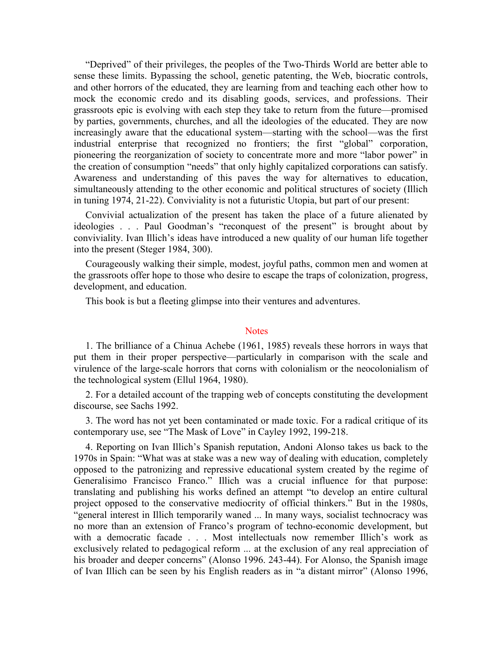"Deprived" of their privileges, the peoples of the Two-Thirds World are better able to sense these limits. Bypassing the school, genetic patenting, the Web, biocratic controls, and other horrors of the educated, they are learning from and teaching each other how to mock the economic credo and its disabling goods, services, and professions. Their grassroots epic is evolving with each step they take to return from the future—promised by parties, governments, churches, and all the ideologies of the educated. They are now increasingly aware that the educational system—starting with the school—was the first industrial enterprise that recognized no frontiers; the first "global" corporation, pioneering the reorganization of society to concentrate more and more "labor power" in the creation of consumption "needs" that only highly capitalized corporations can satisfy. Awareness and understanding of this paves the way for alternatives to education, simultaneously attending to the other economic and political structures of society (Illich in tuning 1974, 21-22). Conviviality is not a futuristic Utopia, but part of our present:

Convivial actualization of the present has taken the place of a future alienated by ideologies . . . Paul Goodman's "reconquest of the present" is brought about by conviviality. Ivan Illich's ideas have introduced a new quality of our human life together into the present (Steger 1984, 300).

Courageously walking their simple, modest, joyful paths, common men and women at the grassroots offer hope to those who desire to escape the traps of colonization, progress, development, and education.

This book is but a fleeting glimpse into their ventures and adventures.

### **Notes**

1. The brilliance of a Chinua Achebe (1961, 1985) reveals these horrors in ways that put them in their proper perspective—particularly in comparison with the scale and virulence of the large-scale horrors that corns with colonialism or the neocolonialism of the technological system (Ellul 1964, 1980).

2. For a detailed account of the trapping web of concepts constituting the development discourse, see Sachs 1992.

3. The word has not yet been contaminated or made toxic. For a radical critique of its contemporary use, see "The Mask of Love" in Cayley 1992, 199-218.

4. Reporting on Ivan Illich's Spanish reputation, Andoni Alonso takes us back to the 1970s in Spain: "What was at stake was a new way of dealing with education, completely opposed to the patronizing and repressive educational system created by the regime of Generalisimo Francisco Franco." Illich was a crucial influence for that purpose: translating and publishing his works defined an attempt "to develop an entire cultural project opposed to the conservative mediocrity of official thinkers." But in the 1980s, "general interest in Illich temporarily waned ... In many ways, socialist technocracy was no more than an extension of Franco's program of techno-economic development, but with a democratic facade . . . Most intellectuals now remember Illich's work as exclusively related to pedagogical reform ... at the exclusion of any real appreciation of his broader and deeper concerns" (Alonso 1996. 243-44). For Alonso, the Spanish image of Ivan Illich can be seen by his English readers as in "a distant mirror" (Alonso 1996,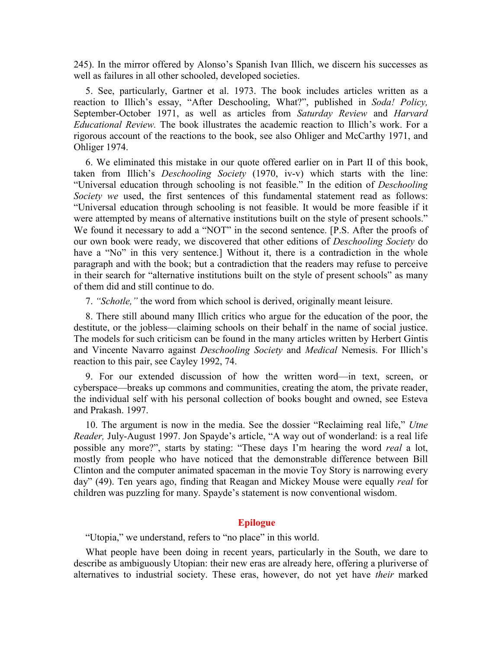245). In the mirror offered by Alonso's Spanish Ivan Illich, we discern his successes as well as failures in all other schooled, developed societies.

5. See, particularly, Gartner et al. 1973. The book includes articles written as a reaction to Illich's essay, "After Deschooling, What?", published in Soda! Policy, September-October 1971, as well as articles from Saturday Review and Harvard Educational Review. The book illustrates the academic reaction to Illich's work. For a rigorous account of the reactions to the book, see also Ohliger and McCarthy 1971, and Ohliger 1974.

6. We eliminated this mistake in our quote offered earlier on in Part II of this book, taken from Illich's *Deschooling Society* (1970, iv-v) which starts with the line: "Universal education through schooling is not feasible." In the edition of Deschooling Society we used, the first sentences of this fundamental statement read as follows: "Universal education through schooling is not feasible. It would be more feasible if it were attempted by means of alternative institutions built on the style of present schools." We found it necessary to add a "NOT" in the second sentence. [P.S. After the proofs of our own book were ready, we discovered that other editions of Deschooling Society do have a "No" in this very sentence.] Without it, there is a contradiction in the whole paragraph and with the book; but a contradiction that the readers may refuse to perceive in their search for "alternative institutions built on the style of present schools" as many of them did and still continue to do.

7. "Schotle," the word from which school is derived, originally meant leisure.

8. There still abound many Illich critics who argue for the education of the poor, the destitute, or the jobless—claiming schools on their behalf in the name of social justice. The models for such criticism can be found in the many articles written by Herbert Gintis and Vincente Navarro against Deschooling Society and Medical Nemesis. For Illich's reaction to this pair, see Cayley 1992, 74.

9. For our extended discussion of how the written word—in text, screen, or cyberspace—breaks up commons and communities, creating the atom, the private reader, the individual self with his personal collection of books bought and owned, see Esteva and Prakash. 1997.

10. The argument is now in the media. See the dossier "Reclaiming real life," Utne Reader, July-August 1997. Jon Spayde's article, "A way out of wonderland: is a real life possible any more?", starts by stating: "These days I'm hearing the word *real* a lot, mostly from people who have noticed that the demonstrable difference between Bill Clinton and the computer animated spaceman in the movie Toy Story is narrowing every day" (49). Ten years ago, finding that Reagan and Mickey Mouse were equally *real* for children was puzzling for many. Spayde's statement is now conventional wisdom.

# Epilogue

"Utopia," we understand, refers to "no place" in this world.

What people have been doing in recent years, particularly in the South, we dare to describe as ambiguously Utopian: their new eras are already here, offering a pluriverse of alternatives to industrial society. These eras, however, do not yet have *their* marked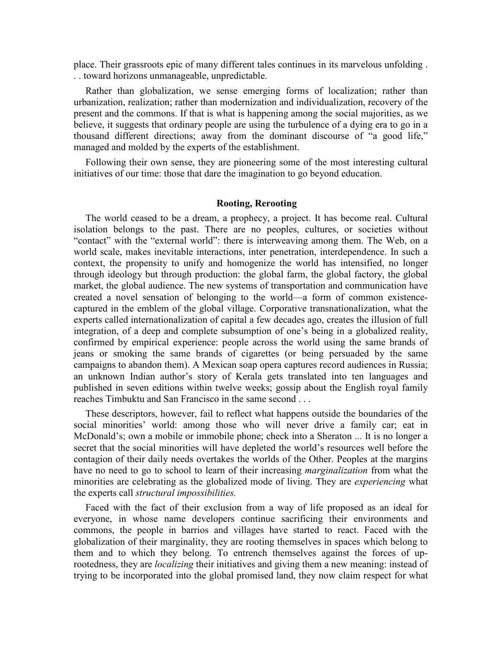place. Their grassroots epic of many different tales continues in its marvelous unfolding . . . toward horizons unmanageable, unpredictable.

Rather than globalization, we sense emerging forms of localization; rather than urbanization, realization; rather than modernization and individualization, recovery of the present and the commons. If that is what is happening among the social majorities, as we believe, it suggests that ordinary people are using the turbulence of a dying era to go in a thousand different directions; away from the dominant discourse of "a good life," managed and molded by the experts of the establishment.

Following their own sense, they are pioneering some of the most interesting cultural initiatives of our time: those that dare the imagination to go beyond education.

### Rooting, Rerooting

The world ceased to be a dream, a prophecy, a project. It has become real. Cultural isolation belongs to the past. There are no peoples, cultures, or societies without "contact" with the "external world": there is interweaving among them. The Web, on a world scale, makes inevitable interactions, inter penetration, interdependence. In such a context, the propensity to unify and homogenize the world has intensified, no longer through ideology but through production: the global farm, the global factory, the global market, the global audience. The new systems of transportation and communication have created a novel sensation of belonging to the world—a form of common existencecaptured in the emblem of the global village. Corporative transnationalization, what the experts called internationalization of capital a few decades ago, creates the illusion of full integration, of a deep and complete subsumption of one's being in a globalized reality, confirmed by empirical experience: people across the world using the same brands of jeans or smoking the same brands of cigarettes (or being persuaded by the same campaigns to abandon them). A Mexican soap opera captures record audiences in Russia; an unknown Indian author's story of Kerala gets translated into ten languages and published in seven editions within twelve weeks; gossip about the English royal family reaches Timbuktu and San Francisco in the same second . . .

These descriptors, however, fail to reflect what happens outside the boundaries of the social minorities' world: among those who will never drive a family car; eat in McDonald's; own a mobile or immobile phone; check into a Sheraton ... It is no longer a secret that the social minorities will have depleted the world's resources well before the contagion of their daily needs overtakes the worlds of the Other. Peoples at the margins have no need to go to school to learn of their increasing *marginalization* from what the minorities are celebrating as the globalized mode of living. They are *experiencing* what the experts call structural impossibilities.

Faced with the fact of their exclusion from a way of life proposed as an ideal for everyone, in whose name developers continue sacrificing their environments and commons, the people in barrios and villages have started to react. Faced with the globalization of their marginality, they are rooting themselves in spaces which belong to them and to which they belong. To entrench themselves against the forces of uprootedness, they are *localizing* their initiatives and giving them a new meaning: instead of trying to be incorporated into the global promised land, they now claim respect for what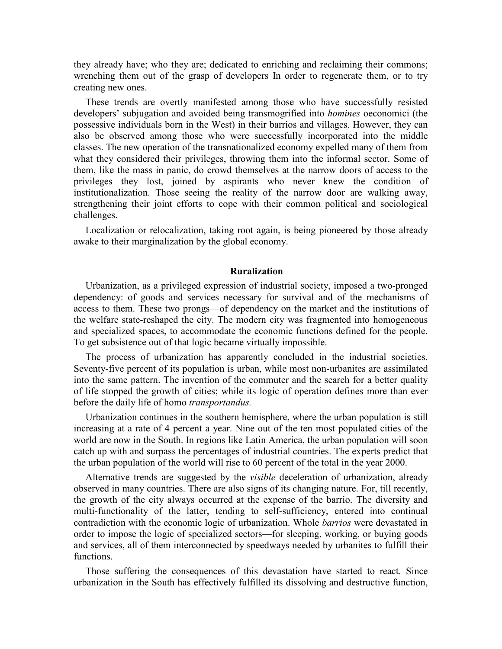they already have; who they are; dedicated to enriching and reclaiming their commons; wrenching them out of the grasp of developers In order to regenerate them, or to try creating new ones.

These trends are overtly manifested among those who have successfully resisted developers' subjugation and avoided being transmogrified into *homines* oeconomici (the possessive individuals born in the West) in their barrios and villages. However, they can also be observed among those who were successfully incorporated into the middle classes. The new operation of the transnationalized economy expelled many of them from what they considered their privileges, throwing them into the informal sector. Some of them, like the mass in panic, do crowd themselves at the narrow doors of access to the privileges they lost, joined by aspirants who never knew the condition of institutionalization. Those seeing the reality of the narrow door are walking away, strengthening their joint efforts to cope with their common political and sociological challenges.

Localization or relocalization, taking root again, is being pioneered by those already awake to their marginalization by the global economy.

### Ruralization

Urbanization, as a privileged expression of industrial society, imposed a two-pronged dependency: of goods and services necessary for survival and of the mechanisms of access to them. These two prongs—of dependency on the market and the institutions of the welfare state-reshaped the city. The modern city was fragmented into homogeneous and specialized spaces, to accommodate the economic functions defined for the people. To get subsistence out of that logic became virtually impossible.

The process of urbanization has apparently concluded in the industrial societies. Seventy-five percent of its population is urban, while most non-urbanites are assimilated into the same pattern. The invention of the commuter and the search for a better quality of life stopped the growth of cities; while its logic of operation defines more than ever before the daily life of homo transportandus.

Urbanization continues in the southern hemisphere, where the urban population is still increasing at a rate of 4 percent a year. Nine out of the ten most populated cities of the world are now in the South. In regions like Latin America, the urban population will soon catch up with and surpass the percentages of industrial countries. The experts predict that the urban population of the world will rise to 60 percent of the total in the year 2000.

Alternative trends are suggested by the visible deceleration of urbanization, already observed in many countries. There are also signs of its changing nature. For, till recently, the growth of the city always occurred at the expense of the barrio. The diversity and multi-functionality of the latter, tending to self-sufficiency, entered into continual contradiction with the economic logic of urbanization. Whole barrios were devastated in order to impose the logic of specialized sectors—for sleeping, working, or buying goods and services, all of them interconnected by speedways needed by urbanites to fulfill their functions.

Those suffering the consequences of this devastation have started to react. Since urbanization in the South has effectively fulfilled its dissolving and destructive function,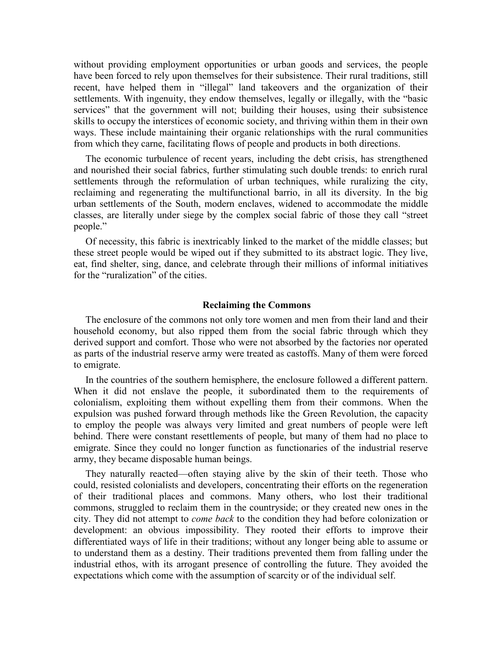without providing employment opportunities or urban goods and services, the people have been forced to rely upon themselves for their subsistence. Their rural traditions, still recent, have helped them in "illegal" land takeovers and the organization of their settlements. With ingenuity, they endow themselves, legally or illegally, with the "basic services" that the government will not; building their houses, using their subsistence skills to occupy the interstices of economic society, and thriving within them in their own ways. These include maintaining their organic relationships with the rural communities from which they carne, facilitating flows of people and products in both directions.

The economic turbulence of recent years, including the debt crisis, has strengthened and nourished their social fabrics, further stimulating such double trends: to enrich rural settlements through the reformulation of urban techniques, while ruralizing the city, reclaiming and regenerating the multifunctional barrio, in all its diversity. In the big urban settlements of the South, modern enclaves, widened to accommodate the middle classes, are literally under siege by the complex social fabric of those they call "street people."

Of necessity, this fabric is inextricably linked to the market of the middle classes; but these street people would be wiped out if they submitted to its abstract logic. They live, eat, find shelter, sing, dance, and celebrate through their millions of informal initiatives for the "ruralization" of the cities.

#### Reclaiming the Commons

The enclosure of the commons not only tore women and men from their land and their household economy, but also ripped them from the social fabric through which they derived support and comfort. Those who were not absorbed by the factories nor operated as parts of the industrial reserve army were treated as castoffs. Many of them were forced to emigrate.

In the countries of the southern hemisphere, the enclosure followed a different pattern. When it did not enslave the people, it subordinated them to the requirements of colonialism, exploiting them without expelling them from their commons. When the expulsion was pushed forward through methods like the Green Revolution, the capacity to employ the people was always very limited and great numbers of people were left behind. There were constant resettlements of people, but many of them had no place to emigrate. Since they could no longer function as functionaries of the industrial reserve army, they became disposable human beings.

They naturally reacted—often staying alive by the skin of their teeth. Those who could, resisted colonialists and developers, concentrating their efforts on the regeneration of their traditional places and commons. Many others, who lost their traditional commons, struggled to reclaim them in the countryside; or they created new ones in the city. They did not attempt to come back to the condition they had before colonization or development: an obvious impossibility. They rooted their efforts to improve their differentiated ways of life in their traditions; without any longer being able to assume or to understand them as a destiny. Their traditions prevented them from falling under the industrial ethos, with its arrogant presence of controlling the future. They avoided the expectations which come with the assumption of scarcity or of the individual self.